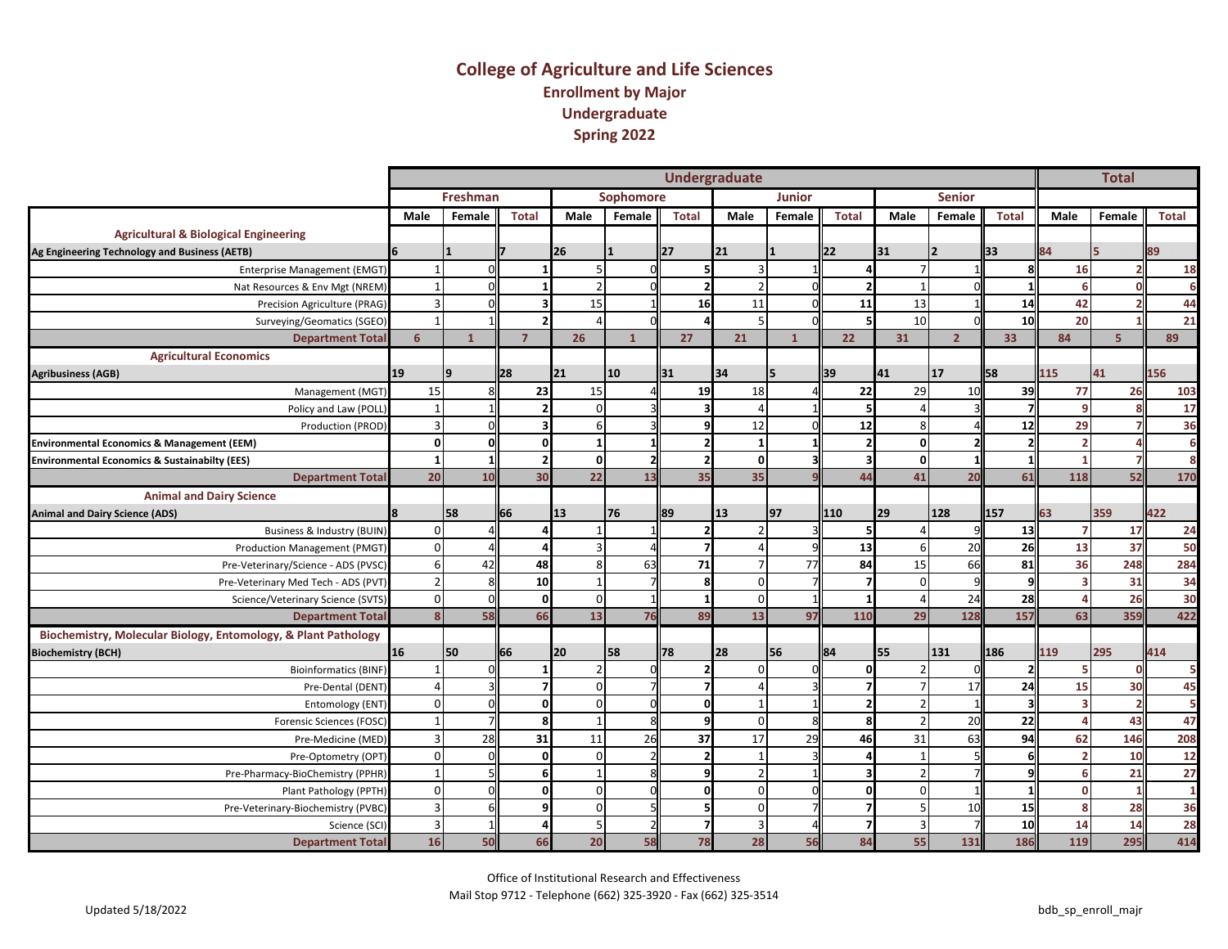#### **College of Agriculture and Life Sciences Enrollment by Major Undergraduate Spring 2022**

|                                                                |                         |                 |                |                |              |             | <b>Undergraduate</b> |               |              |                |                |              |                 | <b>Total</b> |              |
|----------------------------------------------------------------|-------------------------|-----------------|----------------|----------------|--------------|-------------|----------------------|---------------|--------------|----------------|----------------|--------------|-----------------|--------------|--------------|
|                                                                |                         | <b>Freshman</b> |                |                | Sophomore    |             |                      | <b>Junior</b> |              |                | <b>Senior</b>  |              |                 |              |              |
|                                                                | <b>Male</b>             | Female          | <b>Total</b>   | Male           | Female       | Total       | Male                 | Female        | <b>Total</b> | Male           | Female         | <b>Total</b> | Male            | Female       | <b>Total</b> |
| <b>Agricultural &amp; Biological Engineering</b>               |                         |                 |                |                |              |             |                      |               |              |                |                |              |                 |              |              |
| Ag Engineering Technology and Business (AETB)                  |                         |                 |                | 26             |              | <b>1</b> 27 | 21                   |               | 22           | 31             |                | 133          | 84              | 15           | 89           |
| <b>Enterprise Management (EMGT)</b>                            | $\mathbf{1}$            |                 |                | 5              |              |             |                      |               |              | $\overline{7}$ |                |              | 16              |              | <b>18</b>    |
| Nat Resources & Env Mgt (NREM)                                 |                         |                 |                | $\overline{2}$ |              |             |                      |               |              |                |                |              |                 |              | 6            |
| Precision Agriculture (PRAG)                                   |                         |                 |                | 15             |              | 16          | 11                   |               | 11           | 13             |                | 14           | 42              |              | 44           |
| Surveying/Geomatics (SGEO)                                     |                         |                 |                |                |              |             |                      |               |              | 10             |                | 10           | 20              |              | 21           |
| <b>Department Total</b>                                        | 6                       | $\mathbf{1}$    | $\overline{7}$ | 26             | $\mathbf{1}$ | 27          | 21                   | $\mathbf{1}$  | 22           | 31             | $\overline{2}$ | 33           | 84              | 5            | 89           |
| <b>Agricultural Economics</b>                                  |                         |                 |                |                |              |             |                      |               |              |                |                |              |                 |              |              |
| <b>Agribusiness (AGB)</b>                                      | 19                      | $\alpha$        | <b>l28</b>     | 21             | 10           | 31          | 34                   |               | 39           | 41             | 17             | 58           | L <sub>15</sub> | 41           | 156          |
| Management (MGT)                                               | 15                      |                 | 23             | 15             |              | 19          | 18                   |               | 22           | 29             | 10             | 39           | 77              | 26           | 103          |
| Policy and Law (POLL)                                          |                         |                 |                | $\Omega$       |              |             |                      |               |              |                |                |              |                 |              | 17           |
| Production (PROD)                                              | 3                       |                 |                | 6              |              |             | 12                   |               | 12           | 8              |                | 12           | 29              |              | 36           |
| Environmental Economics & Management (EEM)                     | $\mathbf 0$             |                 |                | $\mathbf{1}$   |              |             | - 1                  |               |              | 0              |                |              |                 |              | 6            |
| <b>Environmental Economics &amp; Sustainabilty (EES)</b>       | $\mathbf{1}$            |                 |                | οI             |              |             | $\Omega$             |               |              | $\Omega$       |                |              |                 |              |              |
| <b>Department Total</b>                                        | 20                      | 10              | 30             | 22             | 13           | 35          | 35                   |               | 44           | 41             | 20             | 61           | 118             | 52           | 170          |
| <b>Animal and Dairy Science</b>                                |                         |                 |                |                |              |             |                      |               |              |                |                |              |                 |              |              |
| <b>Animal and Dairy Science (ADS)</b>                          |                         | 58              | 66             | 13             | 76           | <b>8</b> 9  | 13                   | 97            | 110          | 29             | 128            | 157          | 63              | 359          | 422          |
| Business & Industry (BUIN)                                     | $\Omega$                |                 |                |                |              |             |                      |               |              |                |                | 13           |                 | 17           | 24           |
| Production Management (PMGT)                                   | $\Omega$                |                 |                | $\overline{3}$ |              |             |                      |               | 13           | 6              | 20             | 26           | 13              | 37           | 50           |
| Pre-Veterinary/Science - ADS (PVSC)                            | 6                       | 42              | 48             | 8              | 63           | 71          |                      | 77            | 84           | 15             | 66             | 81           | 36              | 248          | 284          |
| Pre-Veterinary Med Tech - ADS (PVT)                            |                         |                 | 10             |                |              |             | $\Omega$             |               |              | n              |                |              |                 | 31           | 34           |
| Science/Veterinary Science (SVTS)                              | $\mathbf 0$             |                 | $\Omega$       | $\mathbf{0}$   |              |             | $\Omega$             |               |              | $\overline{a}$ | 24             | 28           |                 | 26           | 30           |
| <b>Department Total</b>                                        | $\overline{\mathbf{8}}$ | 58              | 66             | 13             | 76           | 89          | 13                   | 97            | 110          | 29             | 128            | 157          | 63              | 359          | 422          |
| Biochemistry, Molecular Biology, Entomology, & Plant Pathology |                         |                 |                |                |              |             |                      |               |              |                |                |              |                 |              |              |
| <b>Biochemistry (BCH)</b>                                      | 16                      | 50              | 66             | 20             | 58           | 78          | 28                   | 56            | 84           | 55             | 131            | 186          | 119             | 295          | 414          |
| <b>Bioinformatics (BINF)</b>                                   |                         |                 |                | $\overline{2}$ |              |             | $\Omega$             |               | $\Omega$     |                |                |              |                 |              |              |
| Pre-Dental (DENT)                                              |                         |                 |                | $\mathbf{0}$   |              |             |                      |               |              |                | 17             | 24           | 15              | 30           | 45           |
| Entomology (ENT)                                               | $\Omega$                |                 |                | $\Omega$       |              |             |                      |               |              |                |                |              |                 |              | 5            |
| Forensic Sciences (FOSC)                                       |                         |                 |                |                |              |             | $\Omega$             |               |              |                | 20             | 22           |                 | 43           | 47           |
| Pre-Medicine (MED)                                             | 3                       | 28              | 31             | 11             | 26           | 37          | 17                   | 29            | 46           | 31             | 63             | 94           | 62              | 146          | 208          |
| Pre-Optometry (OPT)                                            | $\Omega$                |                 |                | $\mathbf{0}$   |              |             |                      |               |              |                |                |              |                 | 10           | $12$         |
| Pre-Pharmacy-BioChemistry (PPHR)                               | $\mathbf{1}$            |                 |                |                |              |             |                      |               |              |                |                |              |                 | 21           | 27           |
| Plant Pathology (PPTH)                                         | $\Omega$                |                 |                | $\Omega$       |              |             | $\Omega$             |               | n            | ŋ              |                |              |                 |              | $\mathbf{1}$ |
| Pre-Veterinary-Biochemistry (PVBC)                             | $\overline{3}$          |                 |                | $\overline{0}$ |              |             | $\Omega$             |               |              |                | 10             | 15           |                 | 28           | 36           |
| Science (SCI)                                                  | 3                       |                 |                | 5              |              |             | 3                    |               |              | 3              |                | 10           | 14              | 14           | 28           |
| <b>Department Total</b>                                        | 16                      | 50              | 66             | 20             | 58           | 78          | 28                   | 56            | 84           | 55             | 131            | 186          | 119             | 295          | 414          |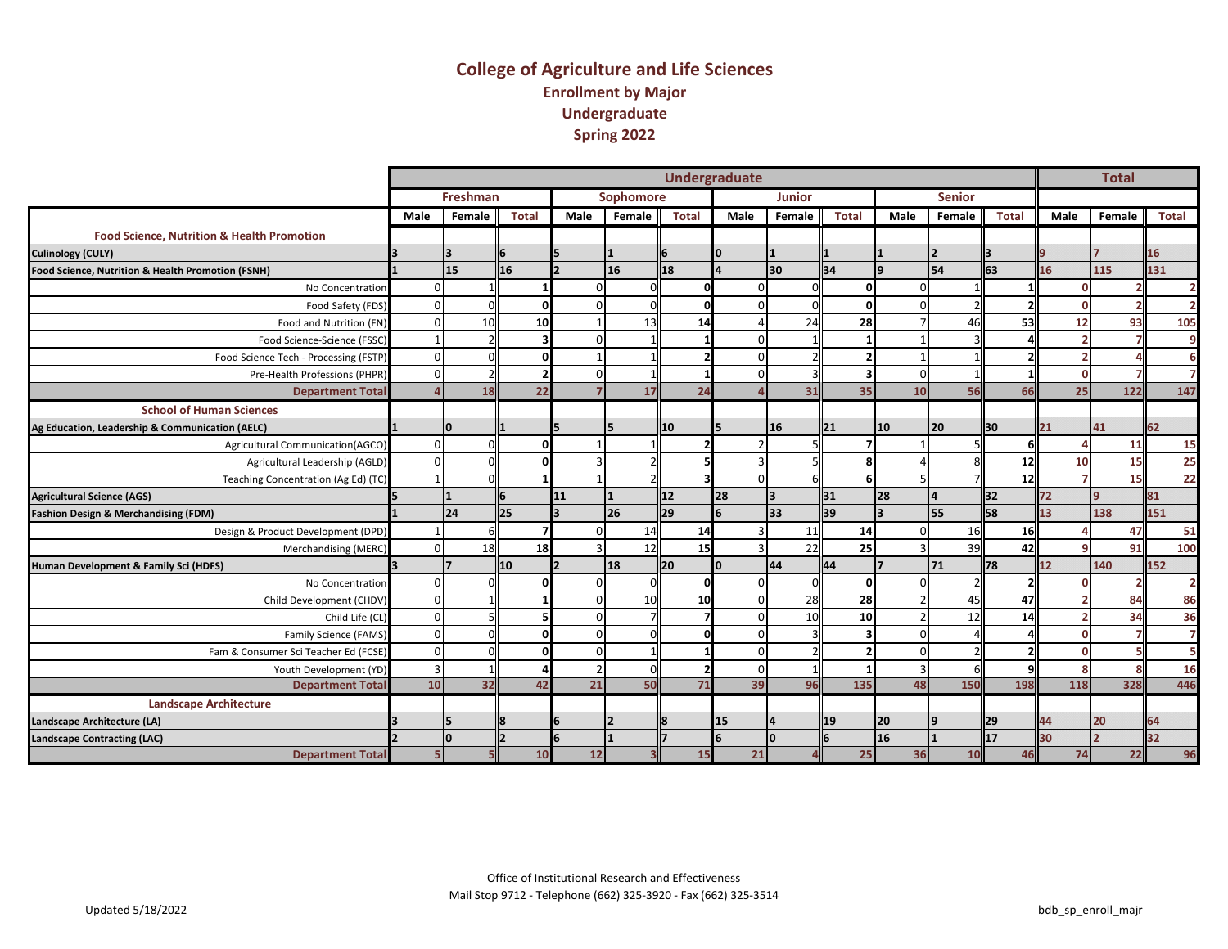#### **College of Agriculture and Life Sciences Enrollment by Major Undergraduate Spring 2022**

|                                                       |                |          |                 |                |           |              | <b>Undergraduate</b> |               |              |                         |               |                |                 | <b>Total</b> |                |
|-------------------------------------------------------|----------------|----------|-----------------|----------------|-----------|--------------|----------------------|---------------|--------------|-------------------------|---------------|----------------|-----------------|--------------|----------------|
|                                                       |                | Freshman |                 |                | Sophomore |              |                      | <b>Junior</b> |              |                         | <b>Senior</b> |                |                 |              |                |
|                                                       | Male           | Female   | <b>Total</b>    | Male           | Female    | <b>Total</b> | Male                 | Female        | <b>Total</b> | Male                    | Female        | <b>Total</b>   | Male            | Female       | Total          |
| <b>Food Science, Nutrition &amp; Health Promotion</b> |                |          |                 |                |           |              |                      |               |              |                         |               |                |                 |              |                |
| <b>Culinology (CULY)</b>                              |                |          |                 |                |           |              |                      |               |              |                         | <u> 2</u>     |                |                 |              | 16             |
| Food Science, Nutrition & Health Promotion (FSNH)     |                | 15       | 16              |                | 16        | 18           |                      | 30            | 34           | a                       | 54            | 63             | 16              | 115          | 131            |
| No Concentration                                      | $\Omega$       |          |                 |                |           |              |                      |               |              |                         |               |                |                 |              | $\overline{2}$ |
| Food Safety (FDS)                                     | $\Omega$       |          |                 |                |           |              |                      |               |              |                         |               |                |                 |              | $\overline{2}$ |
| Food and Nutrition (FN)                               | $\Omega$       | 10       | <b>10</b>       |                | 13        | 14           |                      | 24            | 28           |                         | 46            | 53             | 12              | 93           | 105            |
| Food Science-Science (FSSC)                           |                |          |                 |                |           |              |                      |               |              |                         |               |                |                 |              | 9              |
| Food Science Tech - Processing (FSTP)                 | $\Omega$       |          |                 |                |           |              |                      |               |              |                         |               |                |                 |              | 6              |
| Pre-Health Professions (PHPR)                         | $\Omega$       |          |                 |                |           |              |                      |               |              |                         |               |                |                 |              | $\overline{7}$ |
| <b>Department Total</b>                               |                | 18       | 22              |                | 17        | 24           |                      | 31            | 35           | 10                      | 56            | 66             | 25              | 122          | 147            |
| <b>School of Human Sciences</b>                       |                |          |                 |                |           |              |                      |               |              |                         |               |                |                 |              |                |
| Ag Education, Leadership & Communication (AELC)       |                | I٥       |                 |                | 5         | 10           |                      | 16            | 21           | 10                      | <b>20</b>     | ll30           | 21              | 41           | 62             |
| Agricultural Communication(AGCO)                      | $\mathbf 0$    |          |                 |                |           |              |                      |               |              |                         |               |                |                 | 11           | 15             |
| Agricultural Leadership (AGLD)                        | $\Omega$       |          |                 |                |           |              |                      |               |              |                         |               | 12             | 10              | 15           | 25             |
| Teaching Concentration (Ag Ed) (TC)                   |                |          |                 |                |           |              |                      |               |              |                         |               | 12             |                 | 15           | 22             |
| <b>Agricultural Science (AGS)</b>                     |                |          | 6               | 11             | 11        | l12          | 28                   | 3             | 31           | 28                      | 14            | 132            | 72              | $\mathbf{q}$ | 81             |
| Fashion Design & Merchandising (FDM)                  |                | 24       | $\overline{25}$ |                | <b>26</b> | <b>29</b>    | 6                    | 33            | 39           | $\overline{\mathbf{z}}$ | l55           | <b>S8</b>      | 13 <sup>1</sup> | 138          | 151            |
| Design & Product Development (DPD)                    |                |          |                 |                | 14        | 14           |                      | 11            | 14           |                         | 16            | 16             |                 | 47           | 51             |
| Merchandising (MERC)                                  | $\Omega$       | 18       | 18              |                | 12        | 15           |                      | 22            | 25           |                         | 39            | 42             |                 | 91           | 100            |
| Human Development & Family Sci (HDFS)                 |                |          | 10              |                | 18        | l20          | In                   | 44            | 44           |                         | 71            | 78             | 12              | 140          | 152            |
| No Concentration                                      | $\Omega$       |          |                 |                |           |              |                      |               |              |                         |               |                |                 |              | $\overline{2}$ |
| Child Development (CHDV)                              | $\mathbf 0$    |          |                 | $\Omega$       | 10        | 10           |                      | 28            | 28           |                         | 45            | 47             |                 | 84           | 86             |
| Child Life (CL)                                       | $\mathbf 0$    |          |                 | ŋ              |           |              |                      | 10            | 10           |                         | 12            | 14             |                 | 34           | 36             |
| Family Science (FAMS)                                 | $\mathbf 0$    |          |                 | U              |           |              |                      |               |              |                         |               |                |                 |              | $\overline{7}$ |
| Fam & Consumer Sci Teacher Ed (FCSE)                  | $\mathbf 0$    |          |                 | $\Omega$       |           |              |                      |               |              |                         |               |                |                 |              | 5              |
| Youth Development (YD)                                | $\overline{3}$ |          |                 | $\overline{2}$ |           |              | $\Omega$             |               |              |                         |               |                |                 |              | 16             |
| <b>Department Total</b>                               | 10             | 32       | 42              | 21             | 50        | 71           | 39                   | 96            | 135          | 48                      | 150           | 198            | 118             | 328          | 446            |
| <b>Landscape Architecture</b>                         |                |          |                 |                |           |              |                      |               |              |                         |               |                |                 |              |                |
| Landscape Architecture (LA)                           |                | I5       |                 |                |           |              | 15                   |               | 19           | 20                      | 19            | $\mathsf{I}29$ | 44              | 20           | 64             |
| <b>Landscape Contracting (LAC)</b>                    |                | I٥       |                 |                |           |              | 6                    | n             |              | 16                      |               | 17             | 30              |              | 32             |
| <b>Department Total</b>                               |                |          | 10              | 12             |           | 15           | 21                   |               | 25           | 36                      | 10            | 46             | 74              | 22           | 96             |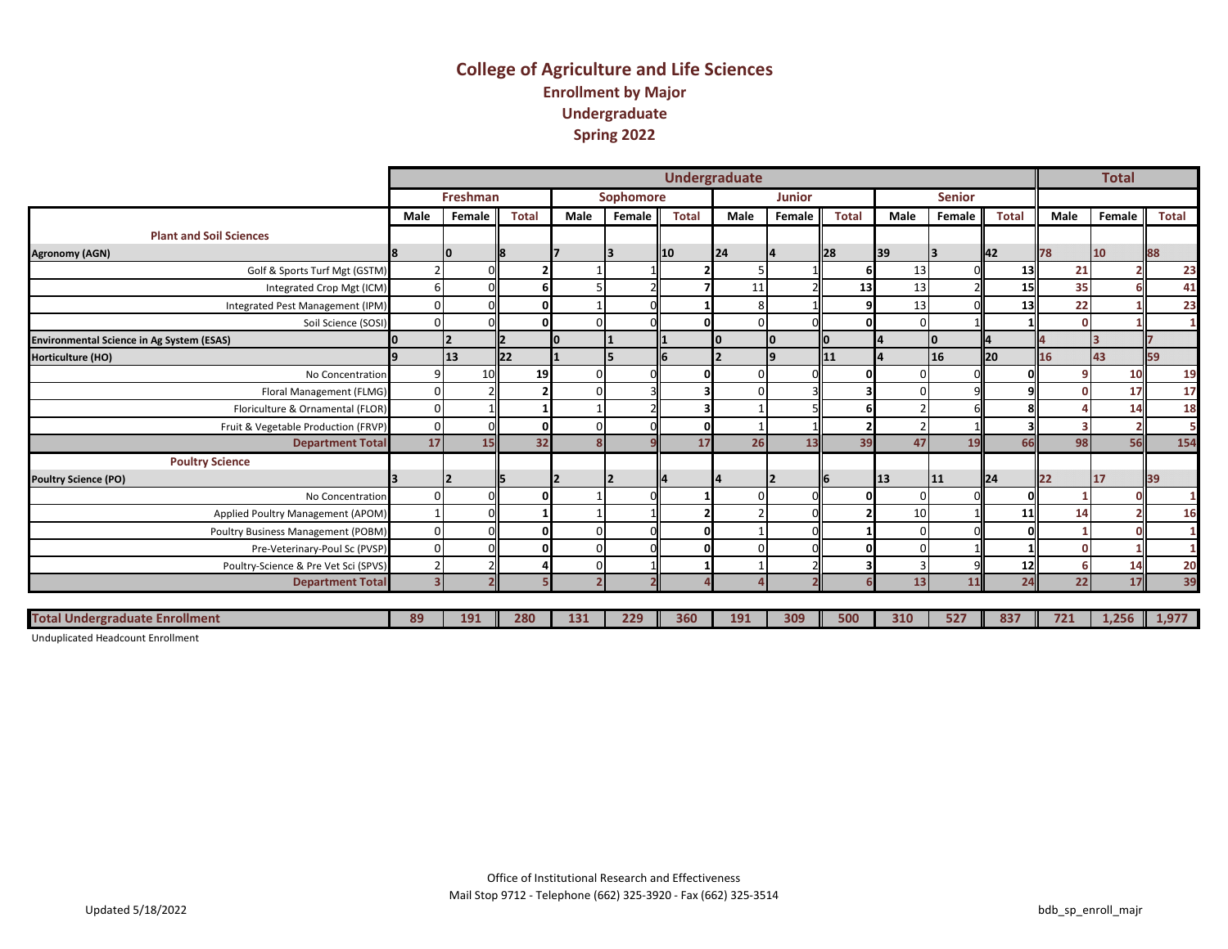#### **College of Agriculture and Life Sciences Enrollment by Major Undergraduate Spring 2022**

|                                                  |                         |          |                |          |           |                | <b>Undergraduate</b> |               |              |      |               |                  |      | <b>Total</b> |           |
|--------------------------------------------------|-------------------------|----------|----------------|----------|-----------|----------------|----------------------|---------------|--------------|------|---------------|------------------|------|--------------|-----------|
|                                                  |                         | Freshman |                |          | Sophomore |                |                      | <b>Junior</b> |              |      | <b>Senior</b> |                  |      |              |           |
|                                                  | Male                    | Female   | <b>Total</b>   | Male     | Female    | <b>Total</b>   | Male                 | Female        | <b>Total</b> | Male | Female        | <b>Total</b>     | Male | Female       | Total     |
| <b>Plant and Soil Sciences</b>                   |                         |          |                |          |           |                |                      |               |              |      |               |                  |      |              |           |
| <b>Agronomy (AGN)</b>                            |                         | 10       |                |          |           | $\mathbf{I}10$ | 24                   |               | <b>28</b>    | 39   |               | II42             | 78   | 10           | 88        |
| Golf & Sports Turf Mgt (GSTM)                    |                         |          |                |          |           |                |                      |               |              | 13   |               | 13               | 21   |              | 23        |
| Integrated Crop Mgt (ICM)                        | 6                       |          |                |          |           |                | 11                   |               | 13           | 13   |               | 15               | 35   |              | 41        |
| Integrated Pest Management (IPM)                 | $\Omega$                |          |                |          |           |                |                      |               |              | 13   |               | 13               | 22   |              | 23        |
| Soil Science (SOSI)                              | $\Omega$                |          |                | $\Omega$ |           |                |                      |               |              |      |               |                  |      |              |           |
| <b>Environmental Science in Ag System (ESAS)</b> |                         |          |                |          |           |                |                      | I٥            |              |      |               |                  |      |              |           |
| Horticulture (HO)                                |                         | 13       | $\mathsf{I}22$ |          |           |                |                      |               | 11           |      | 16            | ll20             | 16   | 43           | <b>59</b> |
| No Concentration                                 | $\mathbf{q}$            | 10       | 19             | $\Omega$ |           |                |                      |               |              |      |               |                  |      | 10           | 19        |
| Floral Management (FLMG)                         | $\Omega$                |          |                | $\Omega$ |           |                |                      |               |              |      |               |                  |      | 17           | 17        |
| Floriculture & Ornamental (FLOR)                 | $\Omega$                |          |                |          |           |                |                      |               |              |      |               |                  |      | 14           | 18        |
| Fruit & Vegetable Production (FRVP)              | $\mathbf 0$             |          |                | $\Omega$ |           |                |                      |               |              |      |               |                  |      |              |           |
| <b>Department Total</b>                          | 17                      | 15       | 32             | 8        |           | 17             | 26                   | 13            | 39           | 47   | 19            | 66               | 98   | 56           | 154       |
| <b>Poultry Science</b>                           |                         |          |                |          |           |                |                      |               |              |      |               |                  |      |              |           |
| <b>Poultry Science (PO)</b>                      |                         |          |                |          |           |                |                      |               |              | 13   | 11            | II <sub>24</sub> | 122  | 117          | 39        |
| No Concentration                                 | $\Omega$                |          |                |          |           |                |                      |               |              |      |               |                  |      |              |           |
| Applied Poultry Management (APOM)                |                         |          |                |          |           |                |                      |               |              | 10   |               | 11               | 14   |              | 16        |
| Poultry Business Management (POBM)               | $\Omega$                |          |                | $\Omega$ |           |                |                      |               |              |      |               |                  |      |              |           |
| Pre-Veterinary-Poul Sc (PVSP)                    | $\Omega$                |          |                | $\Omega$ |           |                |                      |               |              |      |               |                  |      |              |           |
| Poultry-Science & Pre Vet Sci (SPVS)             |                         |          |                | $\Omega$ |           |                |                      |               |              |      |               | 12               |      | 14           | 20        |
| <b>Department Total</b>                          | $\overline{\mathbf{z}}$ |          |                |          |           |                |                      |               |              | 13   | 11            | 24               | 22   | 17           | 39        |
|                                                  |                         |          |                |          |           |                |                      |               |              |      |               |                  |      |              |           |
| <b>Total Undergraduate Enrollment</b>            | 89                      | 191      | 280            | 131      | 229       | 360            | 191                  | 309           | 500          | 310  | 527           | 837              | 721  | 1,256        | 1,977     |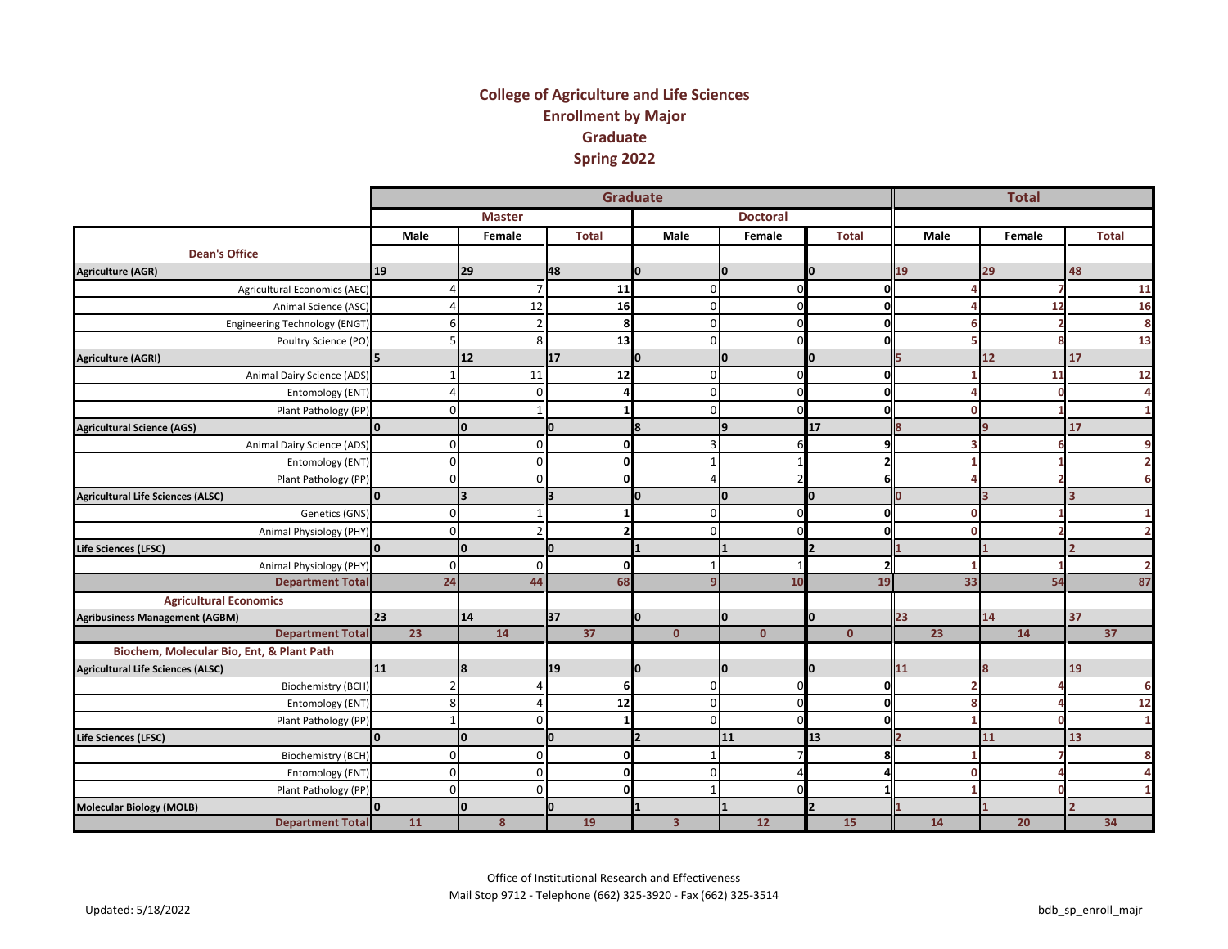#### **College of Agriculture and Life Sciences Enrollment by Major Graduate Spring 2022**

|                                           |                 |                |    |               |     | Graduate        |                         |                         |    |                 |    |              |                |                 |    | <b>Total</b> |    |                |
|-------------------------------------------|-----------------|----------------|----|---------------|-----|-----------------|-------------------------|-------------------------|----|-----------------|----|--------------|----------------|-----------------|----|--------------|----|----------------|
|                                           |                 |                |    | <b>Master</b> |     |                 |                         |                         |    | <b>Doctoral</b> |    |              |                |                 |    |              |    |                |
|                                           | Male            |                |    | Female        |     | <b>Total</b>    |                         | Male                    |    | Female          |    | <b>Total</b> |                | Male            |    | Female       |    | <b>Total</b>   |
| <b>Dean's Office</b>                      |                 |                |    |               |     |                 |                         |                         |    |                 |    |              |                |                 |    |              |    |                |
| <b>Agriculture (AGR)</b>                  | 19              |                | 29 |               | 48  |                 |                         |                         | 10 |                 |    |              | 19             |                 | 29 |              | 48 |                |
| Agricultural Economics (AEC)              |                 | Δ              |    |               |     | 11              |                         | $\overline{0}$          |    |                 |    | ΩI           |                |                 |    |              |    | 11             |
| Animal Science (ASC)                      |                 |                |    | 12            |     | 16              |                         | $\mathbf 0$             |    |                 |    | ŋ            |                |                 |    | 12           |    | 16             |
| Engineering Technology (ENGT)             |                 | 6              |    |               |     | 8               |                         | $\overline{0}$          |    |                 |    |              |                |                 |    |              |    | 8              |
| Poultry Science (PO)                      |                 |                |    |               |     | 13              |                         | $\Omega$                |    |                 |    |              |                |                 |    |              |    | 13             |
| <b>Agriculture (AGRI)</b>                 | 5               |                | 12 |               | 17  |                 | O                       |                         | I٥ |                 | IО |              |                |                 | 12 |              | 17 |                |
| Animal Dairy Science (ADS)                |                 |                |    | 11            |     | 12              |                         | $\mathbf{0}$            |    |                 |    | 0            |                |                 |    | 11           |    | 12             |
| Entomology (ENT)                          |                 |                |    |               |     |                 |                         | $\mathbf 0$             |    |                 |    |              |                |                 |    |              |    |                |
| Plant Pathology (PP)                      |                 | $\mathbf{0}$   |    |               |     |                 |                         | οI                      |    |                 |    | O            |                | n               |    |              |    |                |
| <b>Agricultural Science (AGS)</b>         | O.              |                | Iо |               | O   |                 | 8                       |                         | l9 |                 | 17 |              | 8              |                 | 9  |              | 17 |                |
| Animal Dairy Science (ADS)                |                 | $\mathsf{O}$   |    | $\Omega$      |     | οI              |                         | $\overline{3}$          |    |                 |    | q            |                |                 |    |              |    | 9              |
| Entomology (ENT)                          |                 | $\mathsf{o}$   |    |               |     | $\mathbf{0}$    |                         |                         |    |                 |    |              |                |                 |    |              |    |                |
| Plant Pathology (PP)                      |                 | $\mathsf{o}$   |    |               |     | $\Omega$        |                         |                         |    |                 |    | 61           |                |                 |    |              |    | 6              |
| <b>Agricultural Life Sciences (ALSC)</b>  | O.              |                | 3  |               | l3  |                 | O                       |                         | I٥ |                 | IО |              | n              |                 |    |              |    |                |
| Genetics (GNS)                            |                 | $\mathbf{0}$   |    |               |     |                 |                         | οI                      |    |                 |    | 0l           |                | $\mathbf{0}$    |    |              |    |                |
| Animal Physiology (PHY)                   |                 | $\Omega$       |    |               |     |                 |                         | $\Omega$                |    |                 |    | 0            |                | n               |    |              |    | $\overline{2}$ |
| Life Sciences (LFSC)                      | $\Omega$        |                | I٥ |               | IO. |                 |                         |                         |    |                 |    |              |                |                 |    |              |    |                |
| Animal Physiology (PHY)                   |                 | $\mathsf{o}$   |    | ΩI            |     | οI              |                         |                         |    |                 |    | 2            |                |                 |    |              |    | $\overline{2}$ |
| <b>Department Total</b>                   |                 | 24             |    | 44            |     | 68              |                         |                         |    | 10              |    | 19           |                | 33              |    | 54           |    | 87             |
| <b>Agricultural Economics</b>             |                 |                |    |               |     |                 |                         |                         |    |                 |    |              |                |                 |    |              |    |                |
| <b>Agribusiness Management (AGBM)</b>     | 23              |                | 14 |               | 37  |                 |                         |                         | 0  |                 |    |              | 23             |                 | 14 |              | 37 |                |
| <b>Department Total</b>                   | $\overline{23}$ |                |    | 14            |     | $\overline{37}$ |                         | $\mathbf{0}$            |    | $\mathbf{0}$    |    | $\mathbf{0}$ |                | $\overline{23}$ |    | 14           |    | 37             |
| Biochem, Molecular Bio, Ent, & Plant Path |                 |                |    |               |     |                 |                         |                         |    |                 |    |              |                |                 |    |              |    |                |
| <b>Agricultural Life Sciences (ALSC)</b>  | 11              |                | 18 |               | 19  |                 | o                       |                         | 10 |                 | n  |              | 11             |                 | 8  |              | 19 |                |
| <b>Biochemistry (BCH)</b>                 |                 | $\overline{2}$ |    |               |     | 6               |                         | $\Omega$                |    |                 |    | ΩI           |                |                 |    |              |    | 6              |
| Entomology (ENT)                          |                 | 8              |    |               |     | 12              |                         | $\mathbf{0}$            |    |                 |    | 0l           |                |                 |    |              |    | 12             |
| Plant Pathology (PP)                      |                 |                |    |               |     |                 |                         | $\Omega$                |    |                 |    | 0l           |                |                 |    |              |    | $\mathbf{1}$   |
| Life Sciences (LFSC)                      | lo.             |                | I٥ |               | l0  |                 | $\overline{\mathbf{z}}$ |                         | 11 |                 | 13 |              | $\overline{2}$ |                 | 11 |              | 13 |                |
| <b>Biochemistry (BCH)</b>                 |                 | $\mathsf{o}$   |    | ΩI            |     | $\mathbf{0}$    |                         |                         |    |                 |    | 8            |                |                 |    |              |    | 8              |
| Entomology (ENT)                          |                 | $\mathsf{o}$   |    |               |     | $\Omega$        |                         | $\Omega$                |    |                 |    |              |                | n               |    |              |    |                |
| Plant Pathology (PP)                      |                 | $\Omega$       |    |               |     | $\Omega$        |                         |                         |    |                 |    |              |                |                 |    |              |    |                |
| <b>Molecular Biology (MOLB)</b>           | O               |                | I٥ |               | O   |                 |                         |                         |    |                 |    |              |                |                 |    |              |    |                |
| <b>Department Total</b>                   | <b>11</b>       |                |    | 8             |     | 19              |                         | $\overline{\mathbf{3}}$ |    | 12              |    | 15           |                | 14              |    | 20           |    | 34             |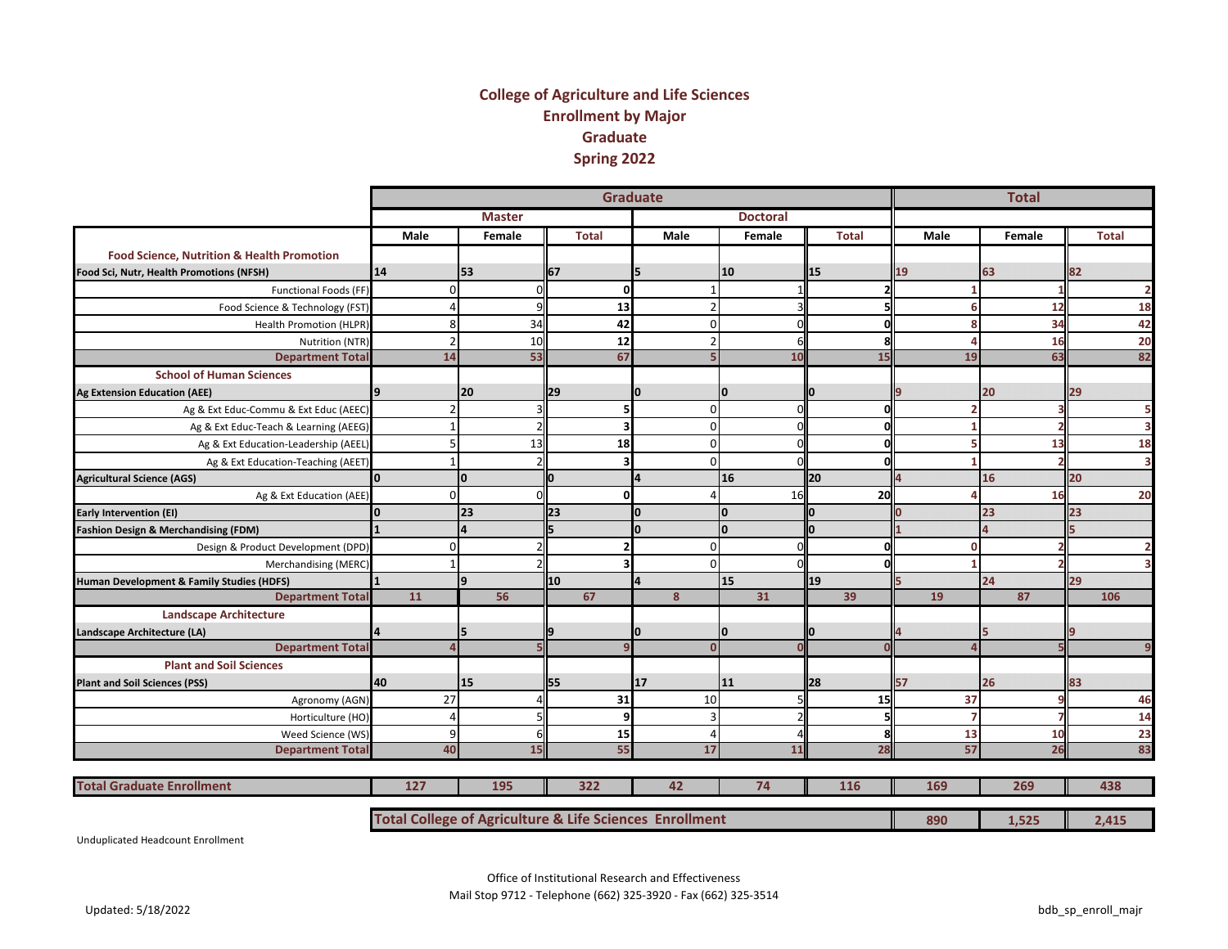#### **College of Agriculture and Life Sciences Enrollment by Major Graduate Spring 2022**

|                                                       |                                                         |                |               |     | <b>Graduate</b> |    |                |              |                 |           |                |    |             |    | <b>Total</b> |    |              |
|-------------------------------------------------------|---------------------------------------------------------|----------------|---------------|-----|-----------------|----|----------------|--------------|-----------------|-----------|----------------|----|-------------|----|--------------|----|--------------|
|                                                       |                                                         |                | <b>Master</b> |     |                 |    |                |              | <b>Doctoral</b> |           |                |    |             |    |              |    |              |
|                                                       | Male                                                    |                | Female        |     | <b>Total</b>    |    | Male           |              | Female          |           | <b>Total</b>   |    | <b>Male</b> |    | Female       |    | <b>Total</b> |
| <b>Food Science, Nutrition &amp; Health Promotion</b> |                                                         |                |               |     |                 |    |                |              |                 |           |                |    |             |    |              |    |              |
| Food Sci, Nutr, Health Promotions (NFSH)              | 14                                                      | 53             |               | 67  |                 | 15 |                | 10           |                 | 15        |                | 19 |             | 63 |              | 82 |              |
| Functional Foods (FF)                                 |                                                         | $\Omega$       | $\Omega$      |     | <sub>0</sub>    |    |                |              |                 |           | $\overline{2}$ |    | 1           |    |              |    |              |
| Food Science & Technology (FST                        |                                                         |                |               |     | 13              |    | $\overline{2}$ |              |                 |           |                |    | 6           |    | 12           |    | 18           |
| Health Promotion (HLPR)                               |                                                         | 8              | 34            |     | 42              |    | $\overline{0}$ |              |                 |           | $\Omega$       |    | 8           |    | 34           |    | 42           |
| Nutrition (NTR)                                       |                                                         |                | 10            |     | 12              |    | $\overline{2}$ |              |                 |           | s              |    | Δ           |    | 16           |    | 20           |
| <b>Department Total</b>                               | 14                                                      |                | 53            |     | 67              |    |                |              | 10              |           | 15             |    | 19          |    | 63           |    | 82           |
| <b>School of Human Sciences</b>                       |                                                         |                |               |     |                 |    |                |              |                 |           |                |    |             |    |              |    |              |
| <b>Ag Extension Education (AEE)</b>                   |                                                         | 20             |               | 29  |                 | 10 |                | 0            |                 |           |                |    |             | 20 |              | 29 |              |
| Ag & Ext Educ-Commu & Ext Educ (AEEC)                 |                                                         |                |               |     | 5               |    | $\mathbf 0$    |              | $\Omega$        |           | 0              |    | n           |    |              |    |              |
| Ag & Ext Educ-Teach & Learning (AEEG)                 |                                                         |                |               |     |                 |    | $\Omega$       |              |                 |           | $\Omega$       |    |             |    |              |    |              |
| Ag & Ext Education-Leadership (AEEL)                  |                                                         |                | 13            |     | 18              |    | $\overline{0}$ |              |                 |           | $\Omega$       |    |             |    | 13           |    | 18           |
| Ag & Ext Education-Teaching (AEET)                    |                                                         |                |               |     |                 |    | $\Omega$       |              |                 |           | n              |    |             |    |              |    |              |
| <b>Agricultural Science (AGS)</b>                     | ln.                                                     | I٥             |               | lo  |                 | 4  |                | 16           |                 | <b>20</b> |                |    |             | 16 |              | 20 |              |
| Ag & Ext Education (AEE)                              |                                                         | $\Omega$       |               |     | $\Omega$        |    |                |              | 16              |           | 20             |    |             |    | 16           |    | 20           |
| Early Intervention (EI)                               |                                                         | 23             |               | 23  |                 | I٥ |                | $\mathbf{0}$ |                 | n         |                |    |             | 23 |              | 23 |              |
| Fashion Design & Merchandising (FDM)                  |                                                         | $\overline{a}$ |               | ls. |                 | I٥ |                | $\mathbf{0}$ |                 | n         |                |    |             |    |              |    |              |
| Design & Product Development (DPD)                    |                                                         | n              |               |     |                 |    | $\Omega$       |              |                 |           | $\Omega$       |    | $\Omega$    |    |              |    |              |
| Merchandising (MERC)                                  |                                                         |                |               |     |                 |    | $\Omega$       |              |                 |           |                |    |             |    |              |    |              |
| Human Development & Family Studies (HDFS)             |                                                         | 9              |               | 10  |                 | Δ  |                | 15           |                 | 19        |                |    |             | 24 |              | 29 |              |
| <b>Department Total</b>                               | 11                                                      |                | 56            |     | 67              |    | 8              |              | 31              |           | 39             |    | 19          |    | 87           |    | 106          |
| <b>Landscape Architecture</b>                         |                                                         |                |               |     |                 |    |                |              |                 |           |                |    |             |    |              |    |              |
| Landscape Architecture (LA)                           |                                                         | 5              |               |     |                 |    |                | O            |                 |           |                |    |             |    |              |    |              |
| <b>Department Total</b>                               |                                                         |                |               |     |                 |    | $\Omega$       |              |                 |           | r              |    |             |    |              |    |              |
| <b>Plant and Soil Sciences</b>                        |                                                         |                |               |     |                 |    |                |              |                 |           |                |    |             |    |              |    |              |
| <b>Plant and Soil Sciences (PSS)</b>                  | 40                                                      | 15             |               | 55  |                 | 17 |                | 11           |                 | 28        |                | 57 |             | 26 |              | 83 |              |
| Agronomy (AGN)                                        | 27                                                      |                | $\lambda$     |     | 31              |    | 10             |              |                 |           | 15             |    | 37          |    |              |    | 46           |
| Horticulture (HO)                                     | $\Delta$                                                |                |               |     | 9               |    | $\overline{3}$ |              |                 |           |                |    | 7           |    |              |    | 14           |
| Weed Science (WS)                                     |                                                         | q              |               |     | 15              |    | $\overline{a}$ |              |                 |           | 8              |    | 13          |    | 10           |    | 23           |
| <b>Department Total</b>                               | 40                                                      |                | 15            |     | 55              |    | 17             |              | 11              |           | 28             |    | 57          |    | 26           |    | 83           |
|                                                       |                                                         |                |               |     |                 |    |                |              |                 |           |                |    |             |    |              |    |              |
| <b>Total Graduate Enrollment</b>                      | 127                                                     |                | 195           |     | 322             |    | 42             |              | 74              |           | 116            |    | 169         |    | 269          |    | 438          |
|                                                       | Total College of Agriculture & Life Sciences Enrollment |                |               |     |                 |    |                |              |                 |           |                |    | 890         |    | 1,525        |    | 2,415        |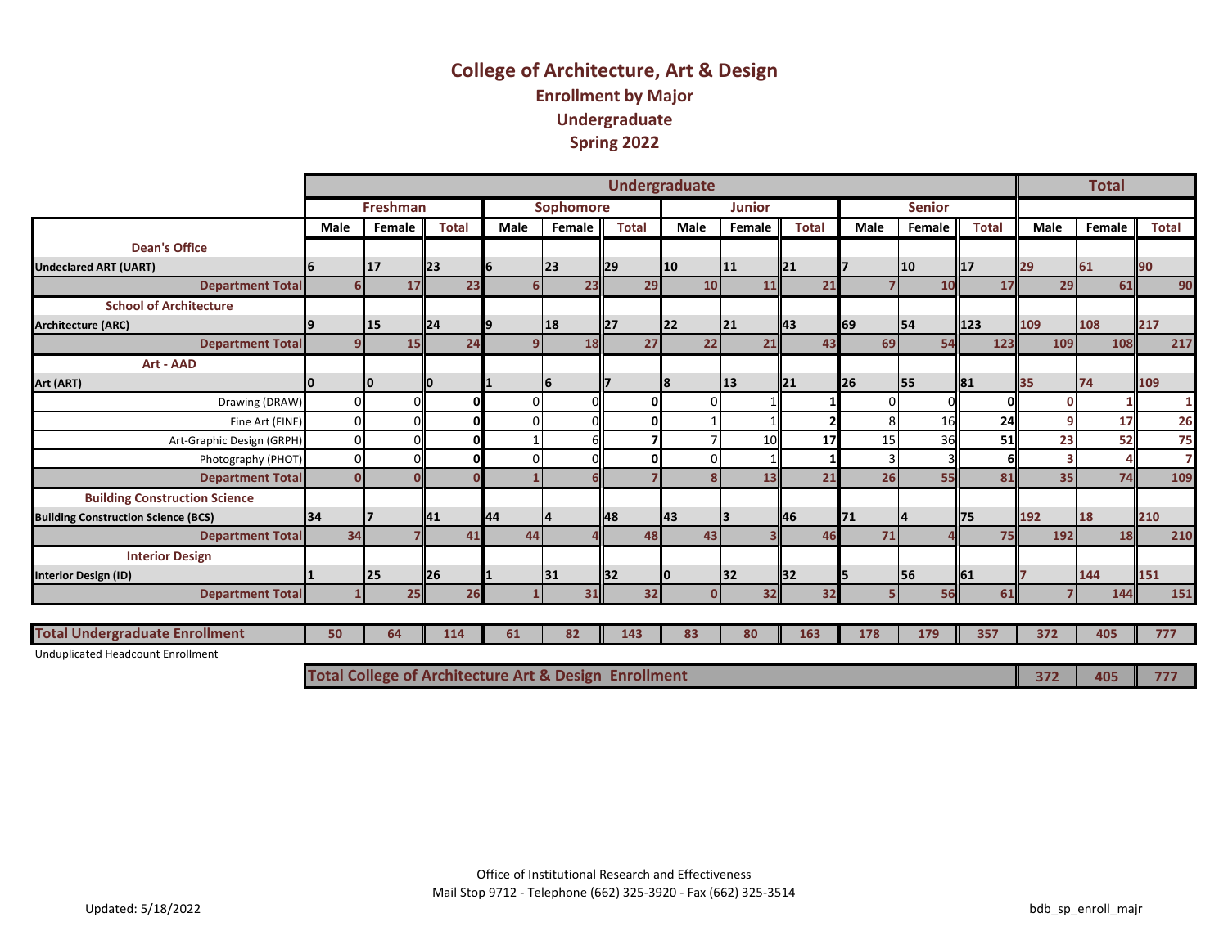## **College of Architecture, Art & Design Enrollment by Major Undergraduate Spring 2022**

|                                            |             |                                                                  |              |      |                  |                         | Undergraduate |               |                |           |               |              |             | <b>Total</b> |                |
|--------------------------------------------|-------------|------------------------------------------------------------------|--------------|------|------------------|-------------------------|---------------|---------------|----------------|-----------|---------------|--------------|-------------|--------------|----------------|
|                                            |             | <b>Freshman</b>                                                  |              |      | <b>Sophomore</b> |                         |               | <b>Junior</b> |                |           | <b>Senior</b> |              |             |              |                |
|                                            | <b>Male</b> | Female                                                           | <b>Total</b> | Male | Female           | <b>Total</b>            | <b>Male</b>   | Female        | <b>Total</b>   | Male      | Female        | <b>Total</b> | <b>Male</b> | Female       | <b>Total</b>   |
| <b>Dean's Office</b>                       |             |                                                                  |              |      |                  |                         |               |               |                |           |               |              |             |              |                |
| <b>Undeclared ART (UART)</b>               |             | <b>17</b>                                                        | <b>23</b>    | 16.  | 23               | $\mathsf{I}29$          | 10            | 11            | $\mathsf{I}21$ |           | 10            | ll17         | 29          | 61           | 90             |
| <b>Department Total</b>                    | 6           | 17                                                               | 23           | 6    | 23               | 29                      | 10            | 11            | 21             |           | 10            | 17           | 29          | 61           | 90             |
| <b>School of Architecture</b>              |             |                                                                  |              |      |                  |                         |               |               |                |           |               |              |             |              |                |
| <b>Architecture (ARC)</b>                  |             | 15                                                               | 24           | 19   | 18               | <b>127</b>              | <b>22</b>     | 21            | ll43           | 69        | 54            | $\vert$ 123  | 109         | 108          | 217            |
| <b>Department Total</b>                    | 9.          | 15                                                               | 24           | 9    | 18               | 27                      | 22            | 21            | 43             | 69        | 54            | 123          | 109         | 108          | 217            |
| Art - AAD                                  |             |                                                                  |              |      |                  |                         |               |               |                |           |               |              |             |              |                |
| Art (ART)                                  |             | I۵                                                               |              |      | 6                |                         | 18            | <b>13</b>     | 121            | <b>26</b> | 55            | <b>181</b>   | 35          | 74           | 109            |
| Drawing (DRAW)                             | n           |                                                                  | O            | 0    |                  | $\mathbf{0}$            | $\Omega$      |               |                |           |               |              |             |              | 1              |
| Fine Art (FINE)                            | $\Omega$    |                                                                  | $\mathbf{0}$ | 0    |                  | $\Omega$                |               |               |                |           | 16            | 24           |             | 17           | 26             |
| Art-Graphic Design (GRPH)                  |             |                                                                  | 0            |      |                  |                         |               | 10            | 17             | 15        | 36            | 51           | 23          | 52           | 75             |
| Photography (PHOT)                         |             |                                                                  | 0            | 0    |                  | $\mathbf{0}$            | $\Omega$      |               |                |           |               |              |             |              | $\overline{7}$ |
| <b>Department Total</b>                    | U           |                                                                  |              |      |                  |                         |               | 13            | 21             | 26        | 55            | 81           | 35          | 74           | 109            |
| <b>Building Construction Science</b>       |             |                                                                  |              |      |                  |                         |               |               |                |           |               |              |             |              |                |
| <b>Building Construction Science (BCS)</b> | 34          |                                                                  | 141          | 44   |                  | <b>148</b>              | <b>143</b>    | 13            | ll46           | <b>71</b> | 14            | l75          | 192         | 18           | 210            |
| <b>Department Total</b>                    | 34          |                                                                  | 41           | 44   |                  | 48                      | 43            |               | 46             | 71        |               | 75           | 192         | 18           | 210            |
| <b>Interior Design</b>                     |             |                                                                  |              |      |                  |                         |               |               |                |           |               |              |             |              |                |
| <b>Interior Design (ID)</b>                |             | 25                                                               | 26           |      | <b>31</b>        | <b>I</b> B <sub>2</sub> |               | <b>32</b>     | <b>I</b> 32    | 5         | 56            | ll61         |             | 144          | 151            |
| <b>Department Total</b>                    |             | 25                                                               | 26           |      | 31               | 32                      |               | 32            | 32             |           | 56            | 61           |             | 144          | 151            |
|                                            |             |                                                                  |              |      |                  |                         |               |               |                |           |               |              |             |              |                |
| <b>Total Undergraduate Enrollment</b>      | 50          | 64                                                               | 114          | 61   | 82               | 143                     | 83            | 80            | 163            | 178       | 179           | 357          | 372         | 405          | 777            |
| Unduplicated Headcount Enrollment          |             |                                                                  |              |      |                  |                         |               |               |                |           |               |              |             |              |                |
|                                            |             | <b>Total College of Architecture Art &amp; Design Enrollment</b> |              |      |                  |                         |               |               |                |           |               |              | 372         | 405          | 777            |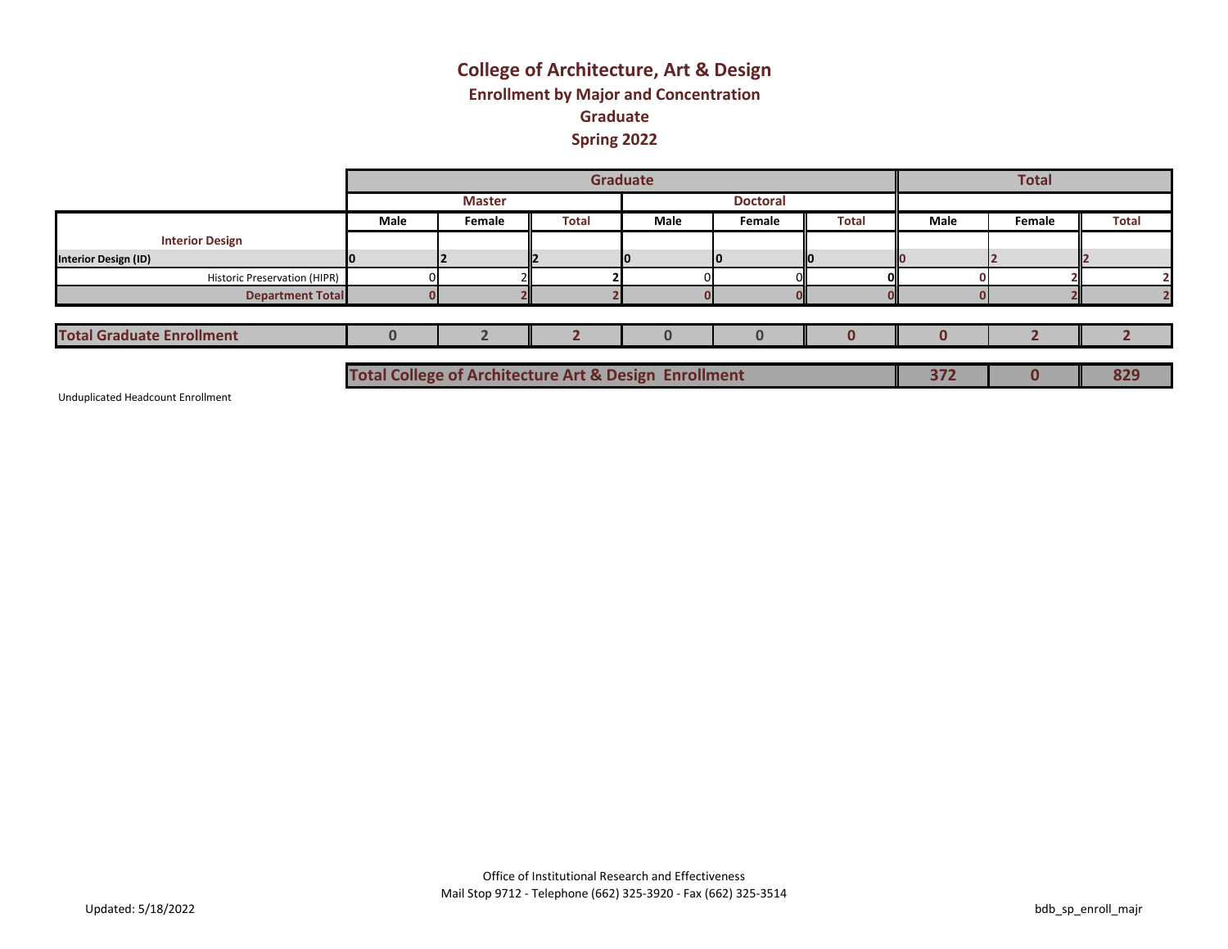## **College of Architecture, Art & Design Enrollment by Major and Concentration Graduate Spring 2022**

|                                     |                                                                  |               |              | Graduate |                 |              |      | <b>Total</b> |              |
|-------------------------------------|------------------------------------------------------------------|---------------|--------------|----------|-----------------|--------------|------|--------------|--------------|
|                                     |                                                                  | <b>Master</b> |              |          | <b>Doctoral</b> |              |      |              |              |
|                                     | Male                                                             | Female        | <b>Total</b> | Male     | Female          | <b>Total</b> | Male | Female       | <b>Total</b> |
| <b>Interior Design</b>              |                                                                  |               |              |          |                 |              |      |              |              |
| <b>Interior Design (ID)</b>         |                                                                  |               |              |          |                 |              |      |              |              |
| <b>Historic Preservation (HIPR)</b> |                                                                  |               |              |          |                 |              |      |              |              |
| <b>Department Total</b>             |                                                                  |               |              |          |                 |              |      |              |              |
|                                     |                                                                  |               |              |          |                 |              |      |              |              |
| <b>Total Graduate Enrollment</b>    |                                                                  |               |              |          |                 |              |      |              |              |
|                                     |                                                                  |               |              |          |                 |              |      |              |              |
|                                     | <b>Total College of Architecture Art &amp; Design Enrollment</b> |               |              |          |                 |              | 372  | O            | 829          |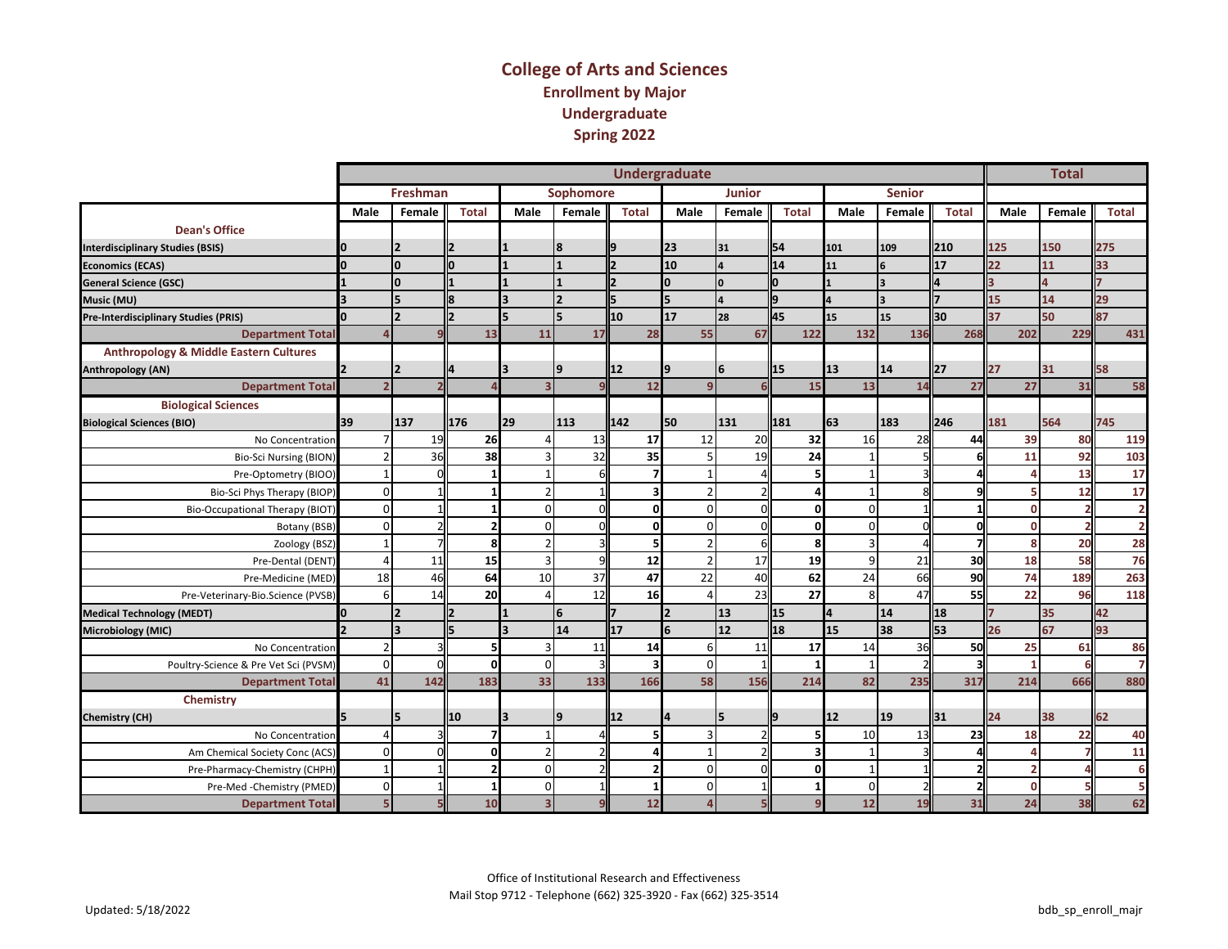#### **College of Arts and Sciences Enrollment by Major Undergraduate Spring 2022**

|                                                   |                |                 |              |                         |                  |                          | <b>Undergraduate</b> |               |              |                 |                         |              |                 | <b>Total</b>   |                |
|---------------------------------------------------|----------------|-----------------|--------------|-------------------------|------------------|--------------------------|----------------------|---------------|--------------|-----------------|-------------------------|--------------|-----------------|----------------|----------------|
|                                                   |                | <b>Freshman</b> |              |                         | <b>Sophomore</b> |                          |                      | <b>Junior</b> |              |                 | <b>Senior</b>           |              |                 |                |                |
|                                                   | Male           | Female          | <b>Total</b> | Male                    | Female           | <b>Total</b>             | Male                 | Female        | <b>Total</b> | Male            | Female                  | <b>Total</b> | Male            | Female         | <b>Total</b>   |
| <b>Dean's Office</b>                              |                |                 |              |                         |                  |                          |                      |               |              |                 |                         |              |                 |                |                |
| <b>Interdisciplinary Studies (BSIS)</b>           |                |                 |              |                         | 8                |                          | 23                   | 31            | 54           | 101             | 109                     | 210          | 125             | 150            | 275            |
| <b>Economics (ECAS)</b>                           | I٥             | I٥              | lo           |                         |                  |                          | 10                   | 4             | 14           | 11              | 6                       | 17           | 22              | 11             | 33             |
| <b>General Science (GSC)</b>                      |                | I٥              |              |                         |                  |                          |                      | <sup>0</sup>  |              |                 | $\overline{\mathbf{3}}$ |              |                 |                |                |
| Music (MU)                                        |                |                 | l8           |                         |                  |                          |                      |               |              |                 | $\overline{\mathbf{3}}$ |              | 15              | 14             | 29             |
| <b>Pre-Interdisciplinary Studies (PRIS)</b>       |                |                 | I2           |                         | 5                | 10                       | 17                   | 28            | 45           | 15              | 15                      | 30           | 37              | 50             | 87             |
| <b>Department Total</b>                           | Λ              |                 | 13           | 11                      | 17               | 28                       | 55                   | 67            | 122          | 132             | 136                     | 268          | 202             | 229            | 431            |
| <b>Anthropology &amp; Middle Eastern Cultures</b> |                |                 |              |                         |                  |                          |                      |               |              |                 |                         |              |                 |                |                |
| Anthropology (AN)                                 |                |                 |              |                         | 9                | 12                       |                      | 6             | 15           | 13              | 14                      | 27           | 27              | 31             | 58             |
| <b>Department Total</b>                           | $\overline{ }$ |                 |              |                         |                  | 12                       | $\mathbf{q}$         |               | 15           | 13              | 14                      | 27           | 27              | 31             | 58             |
| <b>Biological Sciences</b>                        |                |                 |              |                         |                  |                          |                      |               |              |                 |                         |              |                 |                |                |
| <b>Biological Sciences (BIO)</b>                  | 39             | 137             | 176          | 29                      | 113              | 142                      | 50                   | 131           | 181          | 63              | 183                     | 246          | 181             | 564            | 745            |
| No Concentration                                  |                | 19              | 26           |                         | 13               | 17                       | 12                   | 20            | 32           | 16              | 28                      | 44           | 39              | 80             | 119            |
| <b>Bio-Sci Nursing (BION)</b>                     |                | 36              | 38           |                         | 32               | 35                       | 5                    | 19            | 24           |                 |                         |              | 11              | 92             | 103            |
| Pre-Optometry (BIOO)                              | $\mathbf 1$    |                 |              |                         | 6                |                          | $\mathbf{1}$         |               |              |                 |                         |              |                 | 13             | 17             |
| Bio-Sci Phys Therapy (BIOP)                       | $\Omega$       |                 |              |                         |                  | з                        | $\overline{2}$       |               |              |                 |                         |              |                 | 12             | 17             |
| <b>Bio-Occupational Therapy (BIOT)</b>            | $\Omega$       |                 |              | $\Omega$                | $\Omega$         | $\mathbf 0$              | $\mathbf 0$          | ΩI            | 0            | $\Omega$        |                         |              | n               | $\overline{2}$ | $\overline{2}$ |
| Botany (BSB)                                      | $\Omega$       |                 |              | $\Omega$                | $\Omega$         | $\mathbf 0$              | $\mathbf 0$          |               | $\Omega$     | $\Omega$        |                         |              | n               | $\overline{2}$ | $\overline{2}$ |
| Zoology (BSZ)                                     | $\mathbf{1}$   |                 | 8            |                         | $\overline{3}$   | 5                        | $\overline{2}$       |               | 8            | ς               |                         |              | s               | 20             | 28             |
| Pre-Dental (DENT)                                 | $\Delta$       | 11              | 15           | $\overline{\mathbf{a}}$ | 9                | 12                       | $\overline{2}$       | 17            | 19           | 9               | 21                      | 30           | 18              | 58             | 76             |
| Pre-Medicine (MED)                                | 18             | 46              | 64           | 10                      | 37               | 47                       | 22                   | 40            | 62           | 24              | 66                      | 90           | 74              | 189            | 263            |
| Pre-Veterinary-Bio.Science (PVSB)                 | 6              | 14              | 20           |                         | 12               | <b>16</b>                | $\overline{\Lambda}$ | 23            | 27           | 8               | 47                      | 55           | 22              | 96             | 118            |
| <b>Medical Technology (MEDT)</b>                  | I٥             | 12              |              |                         | 6                |                          |                      | 13            | 15           | ΙA.             | 14                      | 18           |                 | 35             | 42             |
| <b>Microbiology (MIC)</b>                         |                | l૨              | l5.          |                         | 14               | 17                       |                      | 12            | 18           | 15              | 38                      | 53           | 26 <sup>°</sup> | 67             | 93             |
| No Concentration                                  | $\overline{2}$ |                 |              | $\overline{3}$          | 11               | 14                       | 6                    | 11            | 17           | 14              | 36                      | 50           | 25              | 61             | 86             |
| Poultry-Science & Pre Vet Sci (PVSM)              | $\Omega$       | r               | O            | $\Omega$                | $\mathbf{a}$     | ર                        | $\Omega$             |               |              |                 |                         |              |                 | 6              | $\overline{7}$ |
| <b>Department Total</b>                           | 41             | 142             | 183          | 33                      | 133              | 166                      | 58                   | 156           | 214          | 82              | 235                     | 317          | 214             | 666            | 880            |
| Chemistry                                         |                |                 |              |                         |                  |                          |                      |               |              |                 |                         |              |                 |                |                |
| <b>Chemistry (CH)</b>                             |                | 15              | 10           |                         | $\mathbf q$      | 12                       |                      | 15            |              | <b>12</b>       | 19                      | 31           | 24              | 38             | 62             |
| No Concentration                                  | $\Delta$       |                 |              |                         |                  |                          | $\overline{3}$       |               |              | 10 <sup>1</sup> | 13                      | 23           | 18              | 22             | 40             |
| Am Chemical Society Conc (ACS)                    | $\Omega$       |                 |              |                         | $\mathcal{P}$    | Δ                        | $\mathbf{1}$         |               |              |                 |                         |              |                 | 7              | 11             |
| Pre-Pharmacy-Chemistry (CHPH)                     | $\mathbf{1}$   |                 |              | $\Omega$                | $\mathcal{P}$    | $\overline{\phantom{a}}$ | $\mathbf 0$          | ΩI            | $\Omega$     |                 |                         |              |                 |                | 6              |
| Pre-Med-Chemistry (PMED)                          | $\mathbf{0}$   |                 |              | $\Omega$                |                  | $1\vert$                 | $\mathbf 0$          |               |              | $\mathbf 0$     |                         |              | n               |                | 5              |
| <b>Department Total</b>                           | 5 <sub>5</sub> |                 | 10           |                         |                  | 12                       |                      |               |              | 12              | 19                      | 31           | 24              | 38             | 62             |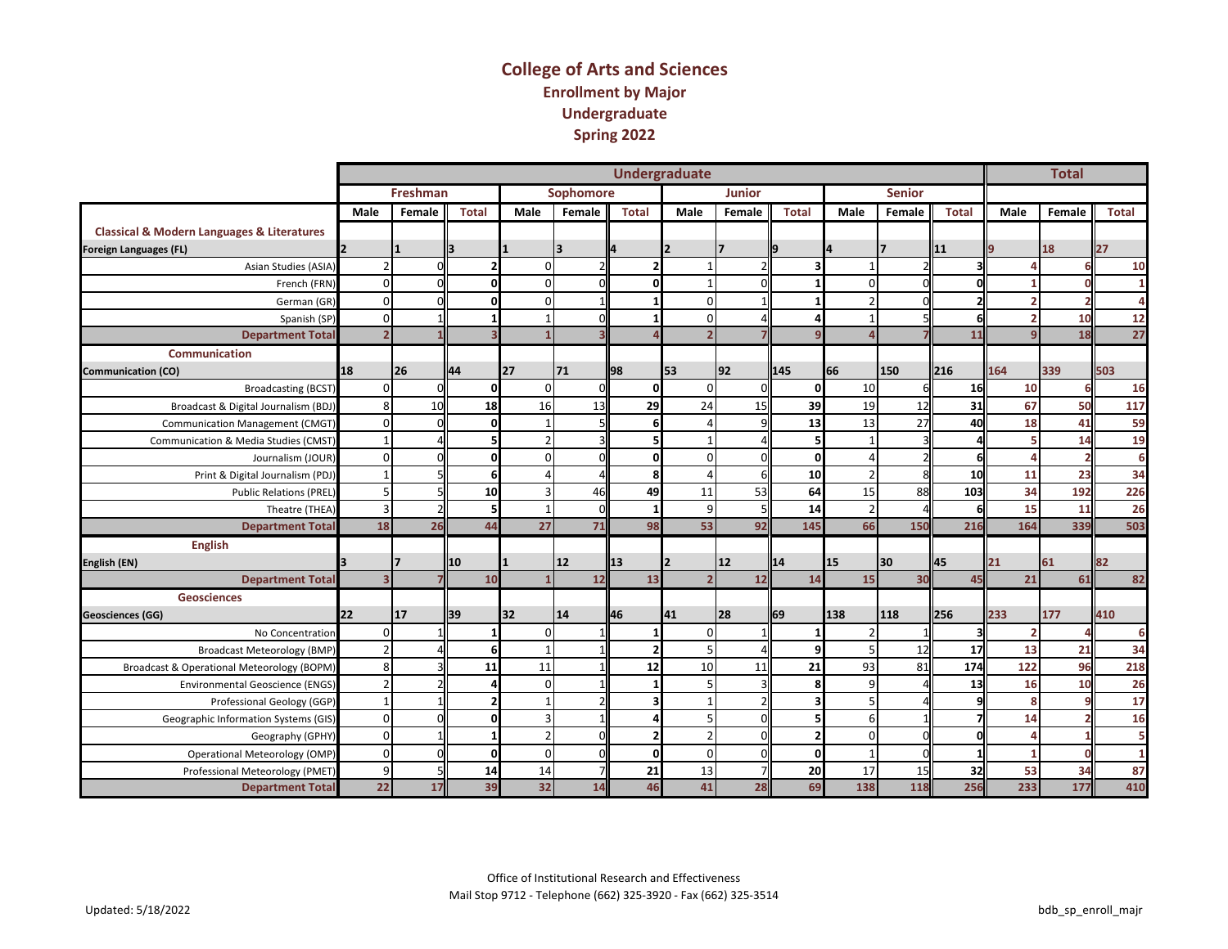#### **College of Arts and Sciences Enrollment by Major Undergraduate Spring 2022**

|                                                           |                |                 |              |                         |                          |                | <b>Undergraduate</b> |               |              |                 |               |              |      | <b>Total</b>   |                |
|-----------------------------------------------------------|----------------|-----------------|--------------|-------------------------|--------------------------|----------------|----------------------|---------------|--------------|-----------------|---------------|--------------|------|----------------|----------------|
|                                                           |                | <b>Freshman</b> |              |                         | Sophomore                |                |                      | <b>Junior</b> |              |                 | <b>Senior</b> |              |      |                |                |
|                                                           | Male           | Female          | <b>Total</b> | Male                    | Female                   | <b>Total</b>   | Male                 | Female        | <b>Total</b> | <b>Male</b>     | Female        | <b>Total</b> | Male | Female         | <b>Total</b>   |
| <b>Classical &amp; Modern Languages &amp; Literatures</b> |                |                 |              |                         |                          |                |                      |               |              |                 |               |              |      |                |                |
| <b>Foreign Languages (FL)</b>                             |                |                 |              |                         | ₹                        |                |                      |               |              | 14              | 17            | 11           |      | 18             | 27             |
| Asian Studies (ASIA)                                      | $\mathfrak{p}$ |                 |              | $\Omega$                | $\overline{\phantom{a}}$ |                |                      |               |              |                 |               |              |      | 6              | 10             |
| French (FRN)                                              | $\Omega$       |                 |              | $\Omega$                | $\mathbf 0$              | $\Omega$       |                      |               |              | $\Omega$        |               |              |      | $\Omega$       | 1              |
| German (GR)                                               | $\Omega$       |                 |              | $\Omega$                | $\mathbf{1}$             |                | $\Omega$             |               |              | $\mathfrak{p}$  |               |              |      | $\overline{2}$ | $\overline{a}$ |
| Spanish (SP)                                              | $\Omega$       |                 |              | $\mathbf{1}$            | $\Omega$                 | $\mathbf{1}$   | $\mathbf 0$          |               |              |                 |               |              |      | 10             | 12             |
| <b>Department Total</b>                                   | $\overline{2}$ |                 |              |                         |                          |                | $\overline{2}$       |               |              |                 |               | 11           |      | 18             | 27             |
| <b>Communication</b>                                      |                |                 |              |                         |                          |                |                      |               |              |                 |               |              |      |                |                |
| <b>Communication (CO)</b>                                 | 18             | 26              | 44           | 27                      | 71                       | 98             | 53                   | 92            | 145          | 66              | 150           | 216          | 164  | 339            | 503            |
| <b>Broadcasting (BCST)</b>                                | $\Omega$       |                 |              | $\Omega$                | $\Omega$                 | 0              | $\Omega$             |               | $\mathbf{0}$ | 10 <sup>1</sup> |               | 16           | 10   | 6              | 16             |
| Broadcast & Digital Journalism (BDJ)                      | 8              | 10              | 18           | 16                      | 13                       | 29             | 24                   | 15            | 39           | 19              | 12            | 31           | 67   | 50             | 117            |
| <b>Communication Management (CMGT)</b>                    | $\Omega$       |                 | ŋ            |                         | 5                        | 6              |                      |               | 13           | 13              | 27            | 40           | 18   | 41             | 59             |
| Communication & Media Studies (CMST)                      |                |                 |              |                         | 3                        | 5              |                      |               |              |                 |               |              |      | 14             | 19             |
| Journalism (JOUR)                                         | $\Omega$       |                 |              | $\Omega$                | $\Omega$                 | $\Omega$       | $\Omega$             |               | $\Omega$     |                 |               |              |      | $\overline{2}$ | 6              |
| Print & Digital Journalism (PDJ)                          |                |                 |              |                         |                          | 8              |                      |               | 10           |                 |               | 10           | 11   | 23             | 34             |
| <b>Public Relations (PREL)</b>                            | 5              |                 | 10           |                         | 46                       | 49             | 11                   | 53            | 64           | 15              | 88            | 103          | 34   | 192            | 226            |
| Theatre (THEA)                                            | 3              |                 |              | $\overline{\mathbf{1}}$ | $\Omega$                 | $\mathbf{1}$   | 9                    |               | 14           | $\overline{2}$  |               |              | 15   | 11             | 26             |
| <b>Department Total</b>                                   | 18             | 26              | 44           | 27                      | 71                       | 98             | 53                   | 92            | 145          | 66              | 150           | 216          | 164  | 339            | 503            |
| <b>English</b>                                            |                |                 |              |                         |                          |                |                      |               |              |                 |               |              |      |                |                |
| English (EN)                                              |                |                 | 10           |                         | 12                       | 13             |                      | <b>12</b>     | 14           | 15              | 30            | 45           | 21   | 61             | 82             |
| <b>Department Total</b>                                   |                |                 | 10           |                         | 12                       | 13             | $\overline{2}$       | 12            | 14           | 15              | 30            | 45           | 21   | 61             | 82             |
| <b>Geosciences</b>                                        |                |                 |              |                         |                          |                |                      |               |              |                 |               |              |      |                |                |
| <b>Geosciences (GG)</b>                                   | <b>22</b>      | 117             | 39           | 32                      | 14                       | 46             | 41                   | <b>28</b>     | 69           | 138             | 118           | 256          | 233  | 177            | 410            |
| No Concentration                                          | $\Omega$       |                 |              | $\Omega$                |                          | 1              | $\Omega$             |               |              | $\overline{2}$  |               |              | -2   | $\Lambda$      | 6              |
| <b>Broadcast Meteorology (BMP)</b>                        | $\overline{2}$ |                 |              | $\mathbf{1}$            | $\mathbf{1}$             | $\overline{2}$ | 5                    |               | 9            | 5 <sub>l</sub>  | 12            | 17           | 13   | 21             | 34             |
| <b>Broadcast &amp; Operational Meteorology (BOPM)</b>     | 8              |                 | 11           | 11                      | $\mathbf{1}$             | 12             | 10                   | 11            | 21           | 93              | 81            | 174          | 122  | 96             | 218            |
| <b>Environmental Geoscience (ENGS)</b>                    | $\overline{2}$ |                 |              | $\Omega$                | $\mathbf{1}$             | $\mathbf{1}$   | 5                    |               | 8            | 9               |               | 13           | 16   | 10             | 26             |
| Professional Geology (GGP)                                |                |                 |              |                         | $\overline{\phantom{a}}$ | 3              | $\mathbf 1$          |               |              |                 |               |              |      | q              | 17             |
| Geographic Information Systems (GIS)                      | $\mathbf{0}$   |                 |              | 3                       | 1                        |                | 5                    |               |              | 6               |               |              | 14   | $\overline{2}$ | 16             |
| Geography (GPHY)                                          | $\mathbf{0}$   |                 |              | $\mathcal{P}$           | $\mathbf 0$              | $\overline{2}$ | $\overline{2}$       |               |              | $\Omega$        |               |              |      |                | 5              |
| Operational Meteorology (OMP)                             | $\mathbf 0$    |                 | O            | $\Omega$                | $\mathbf 0$              | <sub>0</sub>   | $\Omega$             |               | $\mathbf 0$  |                 |               |              |      | $\Omega$       | $\mathbf{1}$   |
| Professional Meteorology (PMET)                           | 9              |                 | 14           | 14                      | $\overline{7}$           | 21             | 13                   |               | 20           | 17              | 15            | 32           | 53   | 34             | 87             |
| <b>Department Total</b>                                   | 22             | 17              | 39           | 32                      | 14                       | 46             | 41                   | 28            | 69           | 138             | 118           | 256          | 233  | 177            | 410            |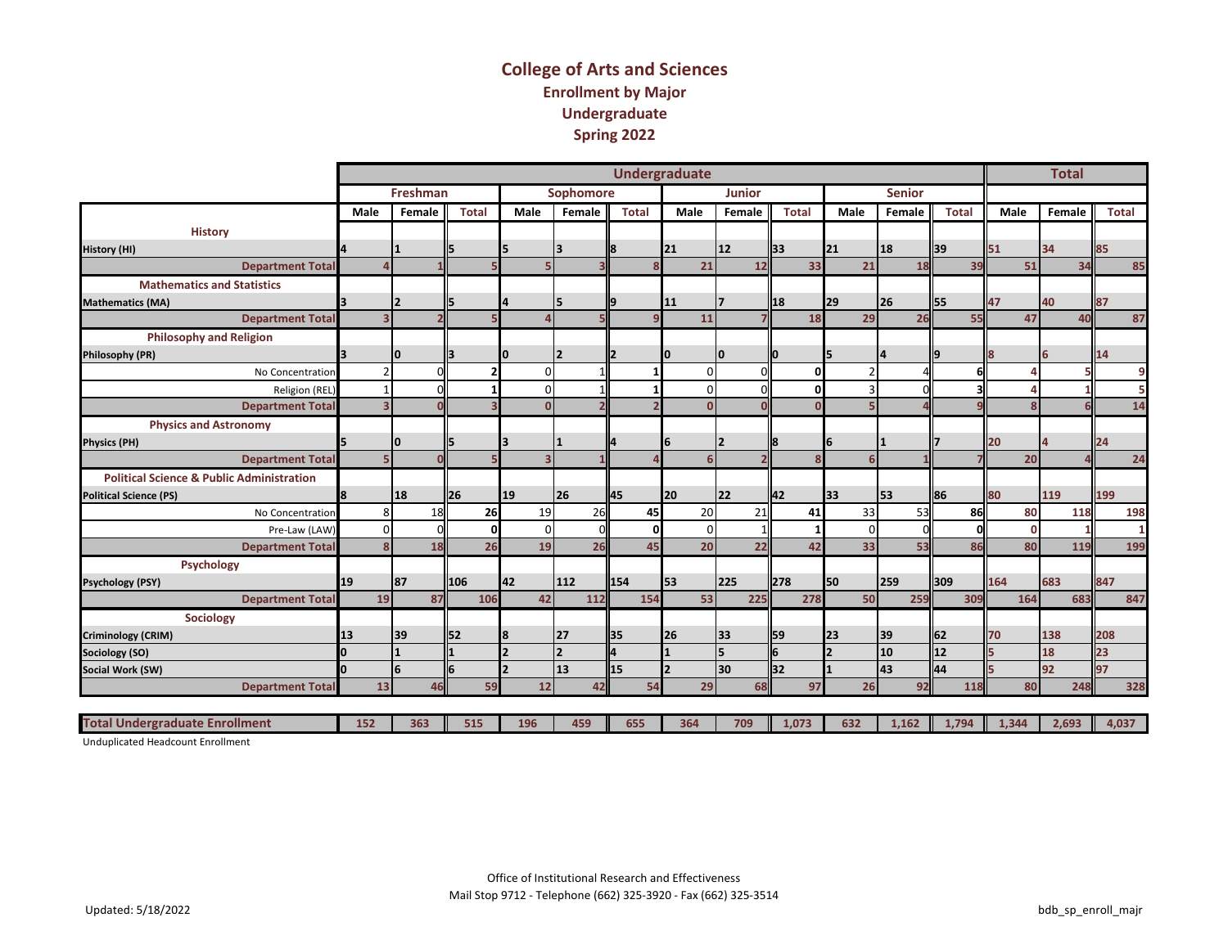#### **College of Arts and Sciences Enrollment by Major Undergraduate Spring 2022**

|                                                      |                          |                 |              |          |                  |              | <b>Undergraduate</b> |               |              |                          |               |              |       | <b>Total</b> |       |
|------------------------------------------------------|--------------------------|-----------------|--------------|----------|------------------|--------------|----------------------|---------------|--------------|--------------------------|---------------|--------------|-------|--------------|-------|
|                                                      |                          | <b>Freshman</b> |              |          | <b>Sophomore</b> |              |                      | <b>Junior</b> |              |                          | <b>Senior</b> |              |       |              |       |
|                                                      | Male                     | Female          | <b>Total</b> | Male     | Female           | <b>Total</b> | Male                 | Female        | <b>Total</b> | Male                     | Female        | <b>Total</b> | Male  | Female       | Total |
| <b>History</b>                                       |                          |                 |              |          |                  |              |                      |               |              |                          |               |              |       |              |       |
| <b>History (HI)</b>                                  |                          |                 | 5            |          |                  |              | 21                   | <b>12</b>     | 33           | 21                       | <b>18</b>     | 39           | 51    | 34           | 85    |
| <b>Department Total</b>                              |                          |                 |              |          |                  |              | 21                   | 12            | 33           | 21                       | 18            | 39           | 51    | 34           | 85    |
| <b>Mathematics and Statistics</b>                    |                          |                 |              |          |                  |              |                      |               |              |                          |               |              |       |              |       |
| <b>Mathematics (MA)</b>                              |                          |                 | 15           |          |                  |              | 11                   |               | 18           | <b>29</b>                | <b>26</b>     | 55           | 47    | 40           | 87    |
| <b>Department Total</b>                              | $\overline{\mathbf{3}}$  |                 |              |          |                  |              | 11                   |               | 18           | 29                       | 26            | 55           | 47    | 40           | 87    |
| <b>Philosophy and Religion</b>                       |                          |                 |              |          |                  |              |                      |               |              |                          |               |              |       |              |       |
| <b>Philosophy (PR)</b>                               |                          | IО              | l3           | I٥       |                  |              |                      | I٥            |              | 15                       | 14            | 9            |       | 6            | 14    |
| No Concentration                                     | $\overline{\phantom{a}}$ |                 |              | n        |                  |              | $\Omega$             |               | $\Omega$     | $\overline{\phantom{a}}$ |               |              |       |              | 9     |
| Religion (REL)                                       |                          |                 |              | $\Omega$ |                  |              | $\mathbf 0$          |               | $\Omega$     |                          |               |              |       |              |       |
| <b>Department Total</b>                              | $\overline{\mathbf{3}}$  |                 |              |          |                  |              | $\Omega$             |               |              |                          |               |              |       |              | 14    |
| <b>Physics and Astronomy</b>                         |                          |                 |              |          |                  |              |                      |               |              |                          |               |              |       |              |       |
| <b>Physics (PH)</b>                                  |                          | IО              | 15           |          |                  |              | 6                    |               |              | 6                        |               |              | 20    |              | 24    |
| <b>Department Total</b>                              | 5                        |                 |              |          |                  |              | 6                    |               |              | 6                        |               |              | 20    |              | 24    |
| <b>Political Science &amp; Public Administration</b> |                          |                 |              |          |                  |              |                      |               |              |                          |               |              |       |              |       |
| <b>Political Science (PS)</b>                        | 8                        | <b>18</b>       | ll26         | 19       | 26               | <b>145</b>   | 20                   | <b>22</b>     | 42           | <b>33</b>                | <b>53</b>     | 86           | 80    | 119          | 199   |
| No Concentration                                     | 8                        | 18              | 26           | 19       | 26               | 45           | 20                   | 21            | 41           | 33                       | 53            | 86           | 80    | 118          | 198   |
| Pre-Law (LAW)                                        | $\Omega$                 |                 | ŋ            | $\Omega$ | $\Omega$         |              | $\mathbf 0$          |               |              | $\Omega$                 |               |              | c     |              |       |
| <b>Department Total</b>                              | 8                        | 18              | 26           | 19       | 26               | 45           | 20                   | 22            | 42           | 33                       | 53            | 86           | 80    | 119          | 199   |
| Psychology                                           |                          |                 |              |          |                  |              |                      |               |              |                          |               |              |       |              |       |
| <b>Psychology (PSY)</b>                              | 19                       | 87              | 106          | 42       | 112              | <b>154</b>   | 53                   | 225           | <b>278</b>   | <b>50</b>                | 259           | 309          | 164   | 683          | 847   |
| <b>Department Total</b>                              | 19                       | 87              | 106          | 42       | 112              | 154          | 53                   | 225           | 278          | 50                       | 259           | 309          | 164   | 683          | 847   |
| Sociology                                            |                          |                 |              |          |                  |              |                      |               |              |                          |               |              |       |              |       |
| <b>Criminology (CRIM)</b>                            | 13                       | 39              | 52           | 8        | 27               | <b>1</b> 35  | 26                   | 33            | ll59         | <b>23</b>                | 39            | 62           | 70    | 138          | 208   |
| Sociology (SO)                                       | l0.                      |                 |              |          |                  |              |                      | Is.           |              |                          | 10            | 12           |       | 18           | 23    |
| Social Work (SW)                                     | I٥                       | l6              | 6            |          | 13               | 15           |                      | 30            | 32           |                          | l43           | 44           |       | 92           | 97    |
| <b>Department Total</b>                              | 13                       | 46              | 59           | 12       | 42               | 54           | 29                   | 68            | 97           | 26                       | 92            | 118          | 80    | 248          | 328   |
|                                                      |                          |                 |              |          |                  |              |                      |               |              |                          |               |              |       |              |       |
| <b>Total Undergraduate Enrollment</b>                | 152                      | 363             | 515          | 196      | 459              | 655          | 364                  | 709           | 1,073        | 632                      | 1,162         | 1,794        | 1,344 | 2,693        | 4,037 |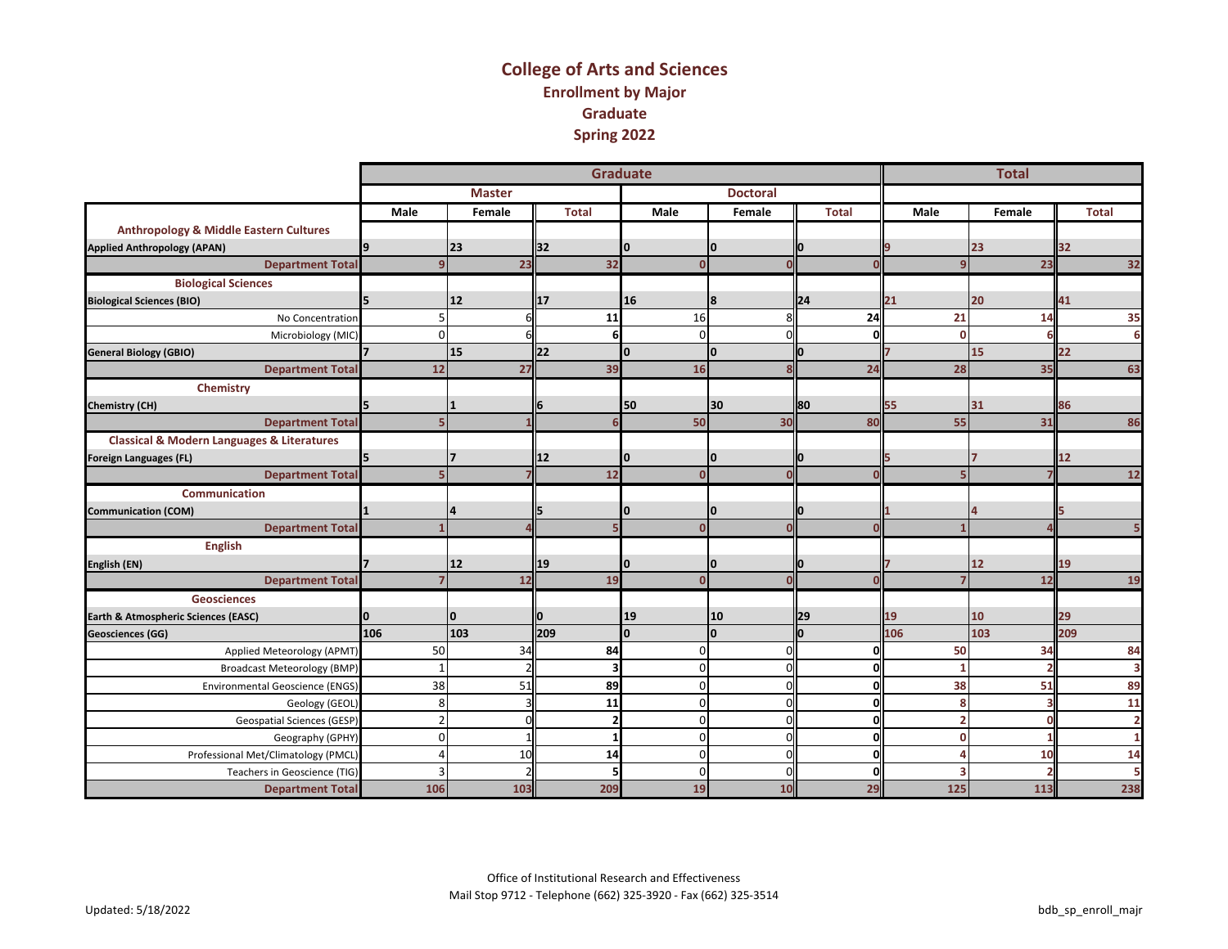#### **College of Arts and Sciences Enrollment by Major Graduate Spring 2022**

|                                                           |          |               |                         | <b>Graduate</b> |                 |              |                | <b>Total</b> |                |
|-----------------------------------------------------------|----------|---------------|-------------------------|-----------------|-----------------|--------------|----------------|--------------|----------------|
|                                                           |          | <b>Master</b> |                         |                 | <b>Doctoral</b> |              |                |              |                |
|                                                           | Male     | Female        | <b>Total</b>            | <b>Male</b>     | Female          | <b>Total</b> | Male           | Female       | <b>Total</b>   |
| <b>Anthropology &amp; Middle Eastern Cultures</b>         |          |               |                         |                 |                 |              |                |              |                |
| <b>Applied Anthropology (APAN)</b>                        | 19       | 23            | l32                     | 10              | <sup>0</sup>    |              |                | 23           | 32             |
| <b>Department Total</b>                                   |          | 23            | 32                      | $\Omega$        |                 |              | $\mathbf{q}$   | 23           | 32             |
| <b>Biological Sciences</b>                                |          |               |                         |                 |                 |              |                |              |                |
| <b>Biological Sciences (BIO)</b>                          |          | 12            | <b>17</b>               | 16              | 8               | 24           | 21             | 20           | 41             |
| No Concentration                                          |          | 61            | 11                      | 16              |                 | 24           | 21             | 14           | 35             |
| Microbiology (MIC)                                        | $\Omega$ |               | 6                       | $\Omega$        |                 |              | $\Omega$       |              | 6              |
| <b>General Biology (GBIO)</b>                             |          | 15            | 22                      | n               | I٥              | IО           |                | 15           | 22             |
| <b>Department Total</b>                                   | 12       | 27            | 39                      | 16              |                 | 24           | 28             | 35           | 63             |
| Chemistry                                                 |          |               |                         |                 |                 |              |                |              |                |
| <b>Chemistry (CH)</b>                                     |          |               |                         | 50              | 30              | 80           | 55             | 31           | 86             |
| <b>Department Total</b>                                   |          |               |                         | 50              | 30              | 80           | 55             | 31           | 86             |
| <b>Classical &amp; Modern Languages &amp; Literatures</b> |          |               |                         |                 |                 |              |                |              |                |
| Foreign Languages (FL)                                    |          |               | 12                      |                 | 10              |              |                |              | 12             |
| <b>Department Total</b>                                   |          |               | 12                      | $\Omega$        |                 |              |                |              | $12$           |
| <b>Communication</b>                                      |          |               |                         |                 |                 |              |                |              |                |
| <b>Communication (COM)</b>                                |          |               |                         | o               | 10              | IО           |                |              |                |
| <b>Department Total</b>                                   |          |               |                         | $\Omega$        |                 |              |                |              |                |
| English                                                   |          |               |                         |                 |                 |              |                |              |                |
| English (EN)                                              |          | 12            | 19                      | IΟ              | I٥              | n            |                | 12           | 19             |
| <b>Department Total</b>                                   |          | 12            | 19                      | $\Omega$        |                 |              | 7              | 12           | 19             |
| <b>Geosciences</b>                                        |          |               |                         |                 |                 |              |                |              |                |
| Earth & Atmospheric Sciences (EASC)                       |          | 0             |                         | 19              | 10              | 29           | 19             | 10           | 29             |
| <b>Geosciences (GG)</b>                                   | 106      | 103           | 209                     | $\Omega$        | I٥              | lo           | 106            | 103          | 209            |
| Applied Meteorology (APMT)                                | 50       | 34            | 84                      | $\Omega$        |                 | ŋ            | 50             | 34           | 84             |
| <b>Broadcast Meteorology (BMP)</b>                        |          |               | $\overline{\mathbf{3}}$ | $\mathbf 0$     |                 | ŋ            | 1              |              | 3              |
| <b>Environmental Geoscience (ENGS)</b>                    | 38       | 51            | 89                      | $\Omega$        | r               | O            | 38             | 51           | 89             |
| Geology (GEOL)                                            | 8        |               | 11                      | $\mathbf 0$     | r               | 0            | 8              |              | 11             |
| <b>Geospatial Sciences (GESP)</b>                         |          | ΩI            | $\overline{2}$          | $\Omega$        |                 | O            | $\overline{2}$ |              | $\overline{2}$ |
| Geography (GPHY)                                          | $\Omega$ |               | 1                       | $\Omega$        | n               | ΩI           | $\mathbf{0}$   |              | 1              |
| Professional Met/Climatology (PMCL)                       |          | 10            | 14                      | $\Omega$        | $\cap$          | ΩI           | $\Lambda$      | 10           | 14             |
| Teachers in Geoscience (TIG)                              |          |               | 5                       | $\Omega$        |                 | n            |                |              |                |
| <b>Department Total</b>                                   | 106      | 103           | 209                     | 19              | 10              | 29           | 125            | 113          | 238            |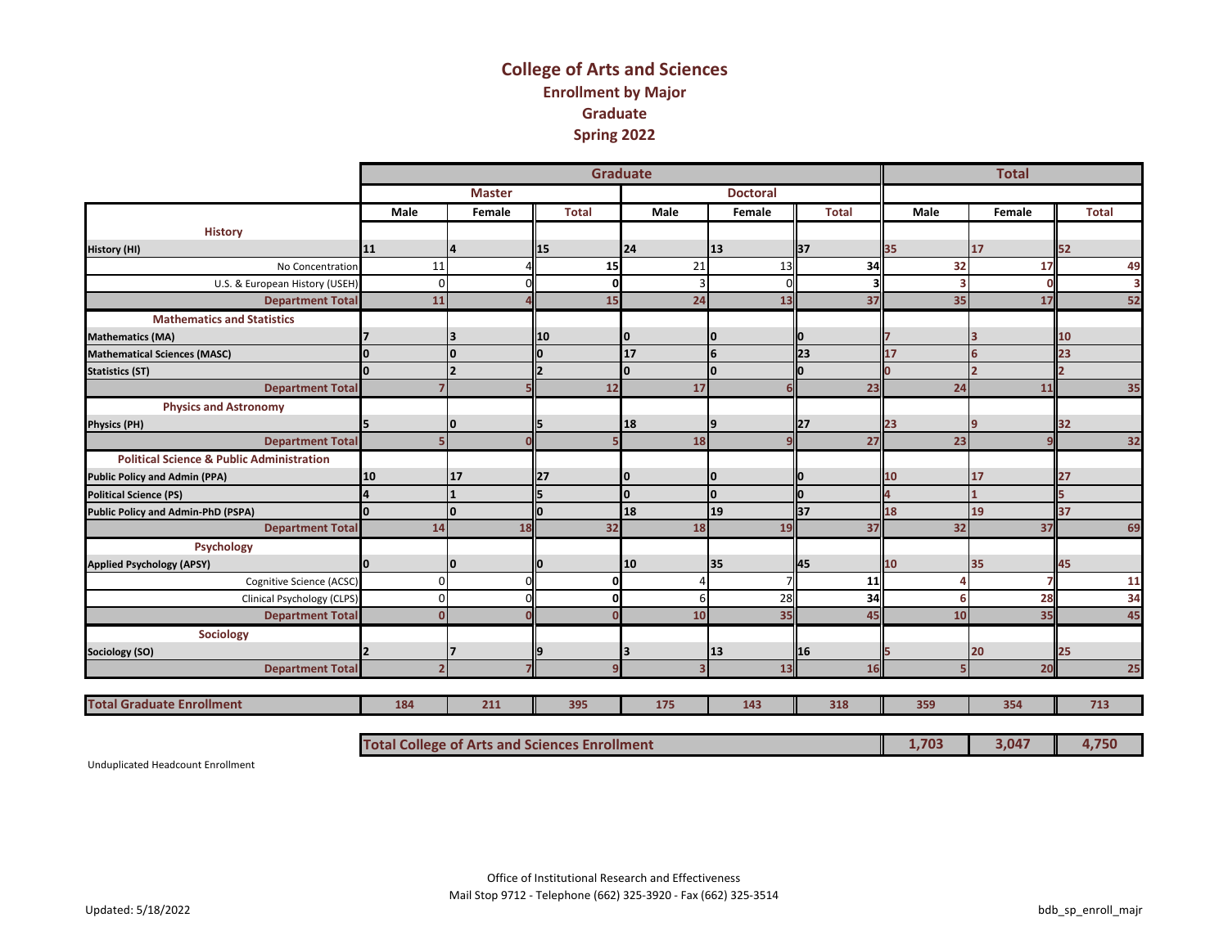#### **College of Arts and Sciences Enrollment by Major Graduate Spring 2022**

|                                                      |          |               |              | <b>Graduate</b> |                 |              |      | <b>Total</b> |              |
|------------------------------------------------------|----------|---------------|--------------|-----------------|-----------------|--------------|------|--------------|--------------|
|                                                      |          | <b>Master</b> |              |                 | <b>Doctoral</b> |              |      |              |              |
|                                                      | Male     | Female        | <b>Total</b> | Male            | Female          | <b>Total</b> | Male | Female       | <b>Total</b> |
| <b>History</b>                                       |          |               |              |                 |                 |              |      |              |              |
| <b>History (HI)</b>                                  | 11       |               | 15           | 24              | 13              | 37           | 35   | 17           | 52           |
| No Concentration                                     | 11       |               | 15           | 21              | 13              | 34           | 32   | 17           | 49           |
| U.S. & European History (USEH)                       | $\Omega$ |               | O            | 3               |                 |              |      |              | 3            |
| <b>Department Total</b>                              | 11       |               | 15           | 24              | 13              | 37           | 35   | 17           | 52           |
| <b>Mathematics and Statistics</b>                    |          |               |              |                 |                 |              |      |              |              |
| <b>Mathematics (MA)</b>                              |          |               | <b>110</b>   | 10              | 10              |              |      |              | 10           |
| <b>Mathematical Sciences (MASC)</b>                  |          | O             |              | 17              | 6               | 23           | 17   |              | 23           |
| <b>Statistics (ST)</b>                               |          |               |              |                 | I٥              |              |      |              |              |
| <b>Department Total</b>                              |          |               | 12           | 17              |                 | 23           | 24   | 11           | 35           |
| <b>Physics and Astronomy</b>                         |          |               |              |                 |                 |              |      |              |              |
| <b>Physics (PH)</b>                                  |          | 10            |              | 18              | 19              | 27           | 23   |              | 32           |
| <b>Department Total</b>                              |          |               |              | 18              |                 | 27           | 23   |              | 32           |
| <b>Political Science &amp; Public Administration</b> |          |               |              |                 |                 |              |      |              |              |
| <b>Public Policy and Admin (PPA)</b>                 | 10       | 17            | ll27         | 10              | 10              |              | 10   | 17           | 27           |
| <b>Political Science (PS)</b>                        |          |               |              | l0              | I٥              | l0           |      |              |              |
| Public Policy and Admin-PhD (PSPA)                   |          | O             |              | 18              | 19              | 37           | 18   | 19           | 37           |
| <b>Department Total</b>                              | 14       | 18            | 32           | 18              | 19              | 37           | 32   | 37           | 69           |
| Psychology                                           |          |               |              |                 |                 |              |      |              |              |
| <b>Applied Psychology (APSY)</b>                     |          | 0             |              | 10              | 35              | 45           | 10   | 35           | 45           |
| Cognitive Science (ACSC)                             | $\Omega$ |               | ŋ            |                 |                 | <b>11</b>    |      |              | 11           |
| Clinical Psychology (CLPS)                           | $\Omega$ |               | ŋ            | 6               | 28              | 34           | հ    | 28           | 34           |
| <b>Department Total</b>                              |          |               |              | 10              | 35              | 45           | 10   | 35           | 45           |
| Sociology                                            |          |               |              |                 |                 |              |      |              |              |
| Sociology (SO)                                       |          |               |              |                 | 13              | 16           |      | 20           | 25           |
| <b>Department Total</b>                              |          |               |              |                 | 13              | 16           |      | 20           | 25           |
|                                                      |          |               |              |                 |                 |              |      |              |              |
| <b>Total Graduate Enrollment</b>                     | 184      | 211           | 395          | 175             | 143             | 318          | 359  | 354          | 713          |

**Total College of Arts and Sciences Enrollment 1,703 3,047 4,750**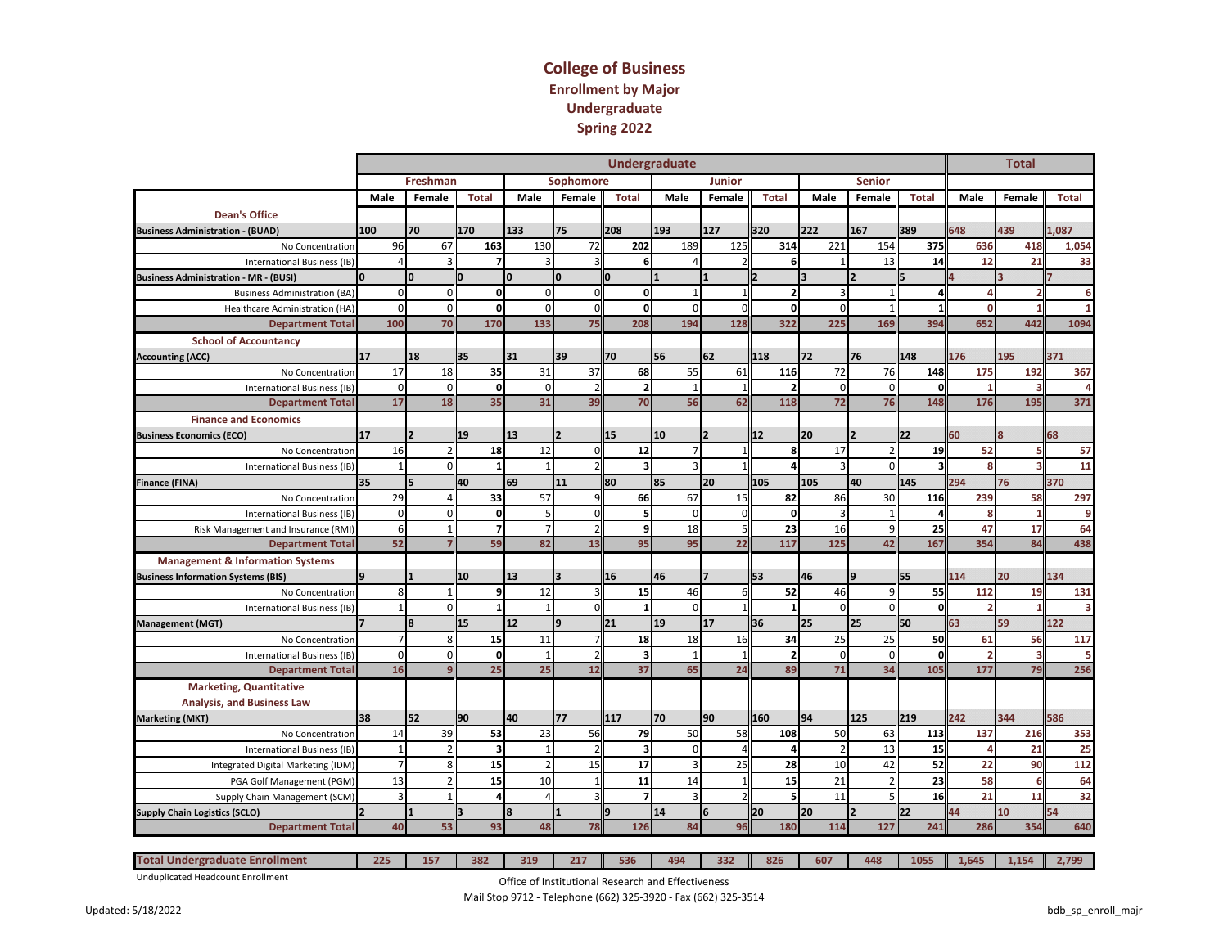#### **College of Business Enrollment by Major Undergraduate Spring 2022**

|                                              |      |                         |                          |              |      |                          |                          |              |                         | <b>Undergraduate</b>    |                |              |                          |                         |                |          |              |      |                 | <b>Total</b> |                         |
|----------------------------------------------|------|-------------------------|--------------------------|--------------|------|--------------------------|--------------------------|--------------|-------------------------|-------------------------|----------------|--------------|--------------------------|-------------------------|----------------|----------|--------------|------|-----------------|--------------|-------------------------|
|                                              |      |                         | Freshman                 |              |      |                          | Sophomore                |              |                         |                         | <b>Junior</b>  |              |                          |                         | <b>Senior</b>  |          |              |      |                 |              |                         |
|                                              | Male |                         | Female                   | <b>Total</b> | Male |                          | Female                   | <b>Total</b> |                         | Male                    | Female         |              | <b>Total</b>             | Male                    | Female         |          | <b>Total</b> | Male |                 | Female       | <b>Total</b>            |
| <b>Dean's Office</b>                         |      |                         |                          |              |      |                          |                          |              |                         |                         |                |              |                          |                         |                |          |              |      |                 |              |                         |
| <b>Business Administration - (BUAD)</b>      | 100  | 70                      |                          | 170          | 133  |                          | 75                       | 208          |                         | 193                     | 127            |              | 320                      | 222                     | 167            | 389      |              | 648  |                 | 439          | 1,087                   |
| No Concentration                             |      | 96                      | 67                       | 163          |      | 130                      | 72                       |              | 202                     | 189                     |                | 125          | 314                      | 221                     | 154            |          | 375          |      | 636             | 418          | 1,054                   |
| <b>International Business (IB)</b>           |      | $\Lambda$               |                          | 7            |      |                          |                          |              | 6                       | $\Lambda$               |                |              | 6                        |                         | 13             |          | 14           |      | 12              | 21           | 33                      |
| <b>Business Administration - MR - (BUSI)</b> |      | O                       |                          |              |      |                          | $\Omega$                 |              |                         |                         |                |              |                          |                         |                |          |              |      |                 |              |                         |
| <b>Business Administration (BA</b>           |      | $\Omega$                |                          | $\mathbf{0}$ |      | $\Omega$                 |                          |              | $\Omega$                |                         |                |              |                          | $\overline{\mathbf{z}}$ |                |          |              |      | $\Delta$        |              | 6                       |
| <b>Healthcare Administration (HA</b>         |      | $\Omega$                | $\Omega$                 | <sub>0</sub> |      | $\Omega$                 |                          |              | $\Omega$                | $\Omega$                |                | $\Omega$     | n                        | $\Omega$                |                |          |              |      | $\Omega$        |              | $\mathbf{1}$            |
| <b>Department Total</b>                      | 100  |                         | 70                       | 170          |      | 133                      | 75                       |              | 208                     | 194                     |                | 128          | 322                      | 225                     | 169            |          | 394          |      | 652             | 442          | 1094                    |
| <b>School of Accountancy</b>                 |      |                         |                          |              |      |                          |                          |              |                         |                         |                |              |                          |                         |                |          |              |      |                 |              |                         |
| <b>Accounting (ACC)</b>                      | 17   | 18                      |                          | 35           | 31   |                          | 39                       | 70           |                         | 56                      | 62             |              | 118                      | 72                      | 76             | 148      |              | 176  |                 | 195          | 371                     |
| No Concentration                             |      | 17                      | 18                       | 35           |      | 31                       | 37                       |              | 68                      | 55                      |                | 61           | 116                      | 72                      | 76             |          | 148          |      | 175             | 192          | 367                     |
| <b>International Business (IB</b>            |      | $\mathbf 0$             | $\mathbf 0$              | οl           |      | $\mathbf 0$              |                          |              |                         | $\overline{1}$          |                | $\mathbf{1}$ | $\overline{2}$           | $\mathbf 0$             |                |          | $\Omega$     |      | $\mathbf{1}$    |              | 4                       |
| <b>Department Total</b>                      |      | 17                      | 18                       | 35           |      | 31                       | 39                       |              | 70                      | 56                      |                | 62           | 118                      | 72                      | 76             |          | 148          |      | 176             | 195          | 371                     |
| <b>Finance and Economics</b>                 |      |                         |                          |              |      |                          |                          |              |                         |                         |                |              |                          |                         |                |          |              |      |                 |              |                         |
| <b>Business Economics (ECO)</b>              | 17   |                         |                          | 19           | 13   |                          | $\overline{\phantom{a}}$ | 15           |                         | 10                      | $\overline{2}$ |              | 12                       | 20                      | <b>2</b>       | 22       |              | 60   | 8               |              | 68                      |
| No Concentration                             |      | 16                      |                          | 18           |      | 12                       |                          |              | 12                      |                         |                |              | $\mathbf{R}$             | 17                      |                |          | 19           |      | 52              |              | 57                      |
| <b>International Business (IB</b>            |      | $\overline{1}$          |                          |              |      |                          |                          |              |                         | $\overline{\mathbf{a}}$ |                |              |                          | $\overline{\mathbf{a}}$ |                |          |              |      | 8               |              | 11                      |
| <b>Finance (FINA)</b>                        | 35   |                         |                          | 40           | 69   |                          | 11                       | 80           |                         | 85                      | 20             |              | 105                      | 105                     | 40             | 145      |              | 294  |                 | 76           | 370                     |
| No Concentration                             |      | 29                      |                          | 33           |      | 57                       |                          |              | 66                      | 67                      |                | 15           | 82                       | 86                      | 30             |          | 116          |      | 239             | 58           | 297                     |
| International Business (IB)                  |      | $\Omega$                | $\Omega$                 | 0            |      | 5                        |                          |              |                         | $\Omega$                |                | $\Omega$     | 0                        |                         |                |          |              |      | 8               |              | 9                       |
| Risk Management and Insurance (RMI           |      | 6                       |                          | 7            |      | $\overline{7}$           |                          |              | q                       | 18                      |                | 5            | 23                       | 16                      |                |          | 25           |      | 47              | 17           | 64                      |
| <b>Department Total</b>                      |      | 52                      |                          | 59           |      | 82                       | 13                       |              | 95                      | 95                      |                | 22           | 117                      | 125                     | 42             |          | 167          |      | 354             | 84           | 438                     |
| <b>Management &amp; Information Systems</b>  |      |                         |                          |              |      |                          |                          |              |                         |                         |                |              |                          |                         |                |          |              |      |                 |              |                         |
| <b>Business Information Systems (BIS)</b>    |      |                         |                          | 10           | 13   |                          | 3                        | 16           |                         | 46                      |                |              | 53                       | 46                      | Ι9             | 55       |              | 114  |                 | 20           | 134                     |
| No Concentration                             |      | $\mathsf{\mathsf{R}}$   |                          | 9            |      | 12                       |                          |              | 15                      | 46                      |                | 6            | 52                       | 46                      |                |          | 55           |      | 112             | 19           | 131                     |
| International Business (IB)                  |      |                         |                          |              |      |                          |                          |              |                         | $\Omega$                |                |              |                          | $\Omega$                |                |          |              |      | $\overline{2}$  |              | $\overline{\mathbf{3}}$ |
| <b>Management (MGT)</b>                      |      | $\mathbf{8}$            |                          | 15           | 12   |                          | 9                        | 21           |                         | 19                      | 17             |              | 36                       | 25                      | 25             | 50       |              | 63   |                 | 59           | 122                     |
| No Concentration                             |      | $\overline{7}$          |                          | 15           |      | 11                       |                          |              | 18                      | 18                      |                | 16           | 34                       | 25                      | 25             |          | 50           |      | 61              | 56           | 117                     |
| <b>International Business (IB</b>            |      | $\Omega$                | $\Omega$                 | o            |      |                          |                          |              | $\overline{\mathbf{a}}$ | $\overline{1}$          |                | $\mathbf{1}$ | $\overline{\phantom{a}}$ | $\Omega$                |                |          |              |      | $\overline{2}$  |              | 5                       |
| <b>Department Tota</b>                       |      | 16                      |                          | 25           |      | 25                       | 12                       |              | 37                      | 65                      |                | 24           | 89                       | 71                      | 34             |          | 105          |      | 177             | 79           | 256                     |
| <b>Marketing, Quantitative</b>               |      |                         |                          |              |      |                          |                          |              |                         |                         |                |              |                          |                         |                |          |              |      |                 |              |                         |
| <b>Analysis, and Business Law</b>            |      |                         |                          |              |      |                          |                          |              |                         |                         |                |              |                          |                         |                |          |              |      |                 |              |                         |
| <b>Marketing (MKT)</b>                       | 38   | 52                      |                          | 90           | 40   |                          | 77                       | 117          |                         | 70                      | 90             |              | 160                      | 94                      | 125            | 219      |              | 242  |                 | 344          | 586                     |
| No Concentration                             |      | 14                      | 39                       | 53           |      | 23                       | 56                       |              | 79                      | 50                      |                | 58           | 108                      | 50                      | 63             |          | 113          |      | 137             | 216          | 353                     |
| International Business (IB)                  |      | $\overline{1}$          |                          | 3            |      |                          |                          |              |                         | $\Omega$                |                |              |                          |                         | 13             |          | 15           |      | $\overline{a}$  | 21           | 25                      |
| Integrated Digital Marketing (IDM            |      | $\overline{7}$          | 8                        | 15           |      | $\overline{\phantom{a}}$ | 15                       |              | 17                      | $\overline{3}$          |                | 25           | 28                       | 10                      | 42             |          | 52           |      | 22              | 90           | 112                     |
| PGA Golf Management (PGM                     |      | 13                      | $\overline{\phantom{0}}$ | 15           |      | 10                       | 1                        |              | 11                      | 14                      |                | $\mathbf{1}$ | 15                       | 21                      |                |          | 23           |      | 58              | 6            | 64                      |
| Supply Chain Management (SCM)                |      | $\overline{\mathbf{3}}$ |                          | Δ            |      |                          |                          |              |                         | $\overline{3}$          |                |              | 5.                       | 11                      |                |          | 16           |      | $\overline{21}$ | 11           | 32                      |
| <b>Supply Chain Logistics (SCLO)</b>         |      |                         |                          |              |      |                          |                          |              |                         | 14                      | 6              |              | l20                      | 20                      | $\overline{2}$ | $22^{2}$ |              | 44   |                 | 10           | 54                      |
| <b>Department Tota</b>                       |      | 40                      | 53                       | 93           |      | 48                       | 78                       |              | 126                     | 84                      |                | 96           | 180                      | 114                     | 127            |          | 241          |      | 286             | 354          | 640                     |

| <b>Total Undergraduate Enrollment</b> | 2つち | 157 | 382 | <b>319</b> | 217 | 536 | 494 | .32 | 826 | 607 | 448 | Ш<br>05 | .645 | 151<br>. | 2.700 |
|---------------------------------------|-----|-----|-----|------------|-----|-----|-----|-----|-----|-----|-----|---------|------|----------|-------|
| .<br>.<br>.                           |     |     |     |            |     |     |     |     |     |     |     |         |      |          |       |

Unduplicated Headcount Enrollment

Office of Institutional Research and Effectiveness Mail Stop 9712 - Telephone (662) 325-3920 - Fax (662) 325-3514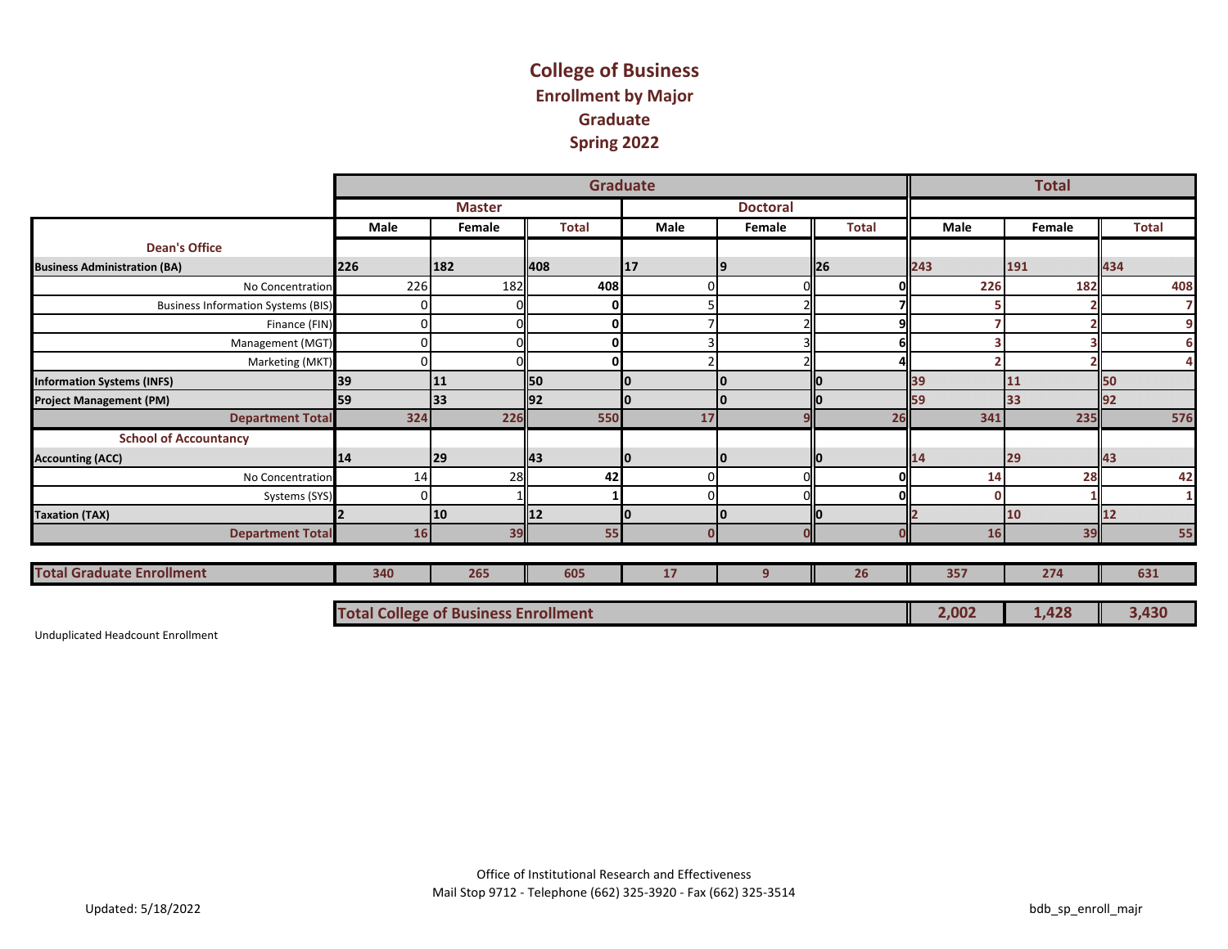## **College of Business Enrollment by Major Graduate Spring 2022**

|                                           |      |                                             |              | <b>Graduate</b> |                 |              |              | <b>Total</b> |              |
|-------------------------------------------|------|---------------------------------------------|--------------|-----------------|-----------------|--------------|--------------|--------------|--------------|
|                                           |      | <b>Master</b>                               |              |                 | <b>Doctoral</b> |              |              |              |              |
|                                           | Male | Female                                      | <b>Total</b> | Male            | Female          | <b>Total</b> | Male         | Female       | <b>Total</b> |
| <b>Dean's Office</b>                      |      |                                             |              |                 |                 |              |              |              |              |
| <b>Business Administration (BA)</b>       | 226  | 182                                         | 408          | 17              | 19              | II26         | 243          | 191          | 434          |
| No Concentration                          | 226  | 182                                         | 408          |                 |                 | 01           | 226          | 182          | 408          |
| <b>Business Information Systems (BIS)</b> |      |                                             | 0            |                 |                 | 71           |              |              | 7            |
| Finance (FIN)                             |      |                                             | O            |                 |                 | 9l           |              |              | 9            |
| Management (MGT)                          |      |                                             | 0            |                 |                 | <b>6</b>     |              |              | 6            |
| Marketing (MKT)                           |      |                                             | O            |                 |                 | $\Delta$     |              |              | 4            |
| <b>Information Systems (INFS)</b>         | 39   | 11                                          | lso          |                 | 0               |              | 39           | 11           | 50           |
| <b>Project Management (PM)</b>            | 59   | 33                                          | 92           |                 |                 |              | 59           | 33           |              |
| <b>Department Total</b>                   | 324  | 226                                         | 550          | 17              |                 | 26           | 341          | 235          | 576          |
| <b>School of Accountancy</b>              |      |                                             |              |                 |                 |              |              |              |              |
| <b>Accounting (ACC)</b>                   | 14   | 29                                          | ll43         | Ю               | 10              |              | 14           | 29           | 43           |
| No Concentration                          | 14   | 28                                          | 42           | $\Omega$        |                 | 0l           | 14           | 28           | 42           |
| Systems (SYS)                             |      |                                             |              | $\Omega$        |                 | $\Omega$     | $\mathbf{O}$ |              | 1            |
| <b>Taxation (TAX)</b>                     |      | 10                                          | 12           |                 | I٥              |              |              | 10           | 12           |
| <b>Department Total</b>                   | 16   | 39                                          | 55           |                 |                 | $\Omega$     | 16           | 39           | 55           |
|                                           |      |                                             |              |                 |                 |              |              |              |              |
| <b>Total Graduate Enrollment</b>          | 340  | 265                                         | 605          | 17              | 9               | 26           | 357          | 274          | 631          |
|                                           |      | <b>Total College of Business Enrollment</b> |              |                 |                 |              | 2,002        | 1,428        | 3,430        |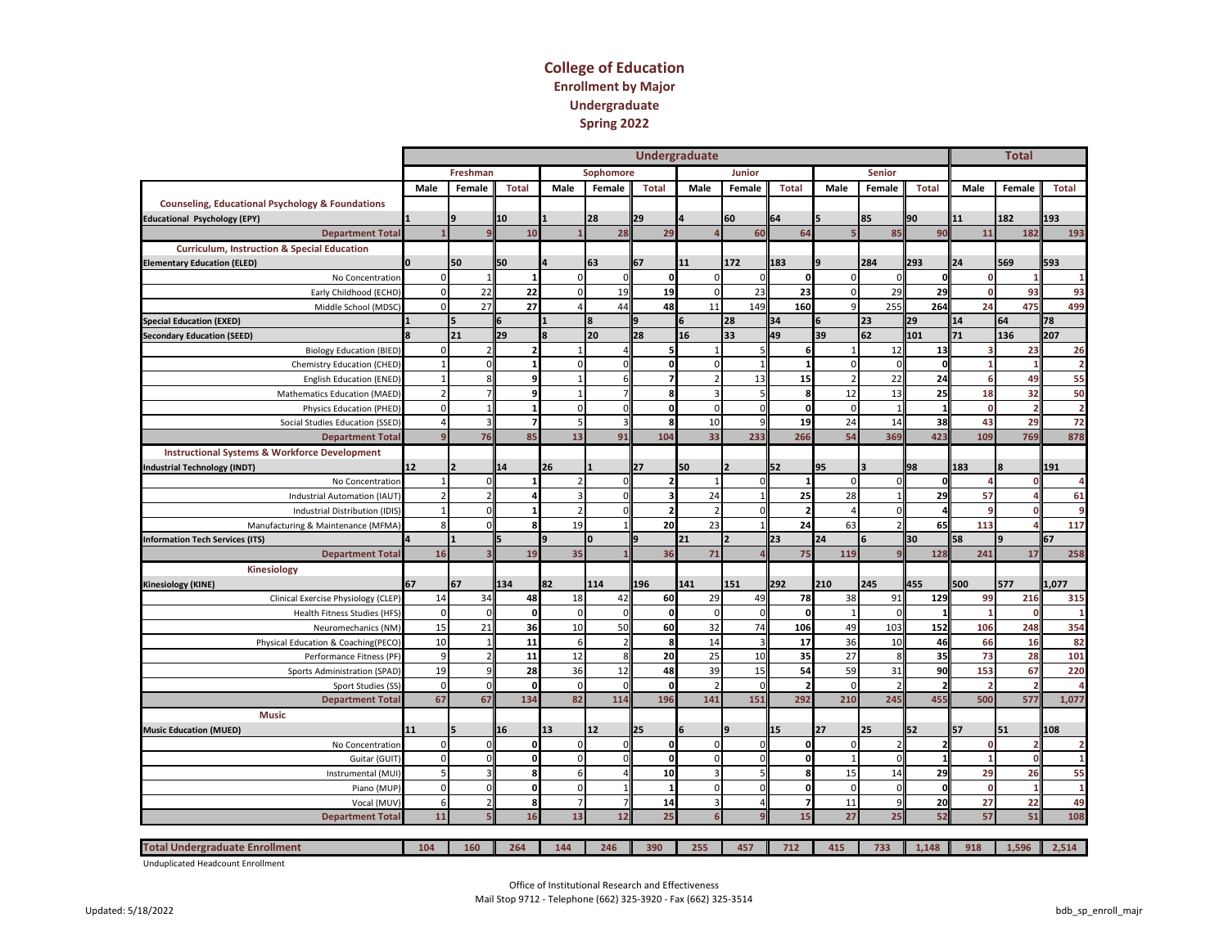#### **College of Education Enrollment by Major Undergraduate Spring 2022**

|                                                             |      |                               |              |                  |                |              | <b>Undergraduate</b> |              |                |                |                         |                          |                | <b>Total</b>   |                |
|-------------------------------------------------------------|------|-------------------------------|--------------|------------------|----------------|--------------|----------------------|--------------|----------------|----------------|-------------------------|--------------------------|----------------|----------------|----------------|
|                                                             |      | Freshman                      |              |                  | Sophomore      |              |                      | Junior       |                |                | <b>Senior</b>           |                          |                |                |                |
|                                                             | Male | Female                        | <b>Total</b> | Male             | Female         | <b>Total</b> | Male                 | Female       | <b>Total</b>   | Male           | Female                  | <b>Total</b>             | Male           | Female         | <b>Total</b>   |
| <b>Counseling, Educational Psychology &amp; Foundations</b> |      |                               |              |                  |                |              |                      |              |                |                |                         |                          |                |                |                |
| <b>Educational Psychology (EPY)</b>                         |      |                               | 10           |                  | 28             | 29           |                      | 60           | 64             |                | 85                      | 90                       | 11             | 182            | 193            |
| <b>Department Total</b>                                     |      |                               | 10           |                  | 28             | 29           | $\Delta$             | 60           | 64             | E,             | 85                      | 90                       | 11             | 182            | 193            |
| <b>Curriculum, Instruction &amp; Special Education</b>      |      |                               |              |                  |                |              |                      |              |                |                |                         |                          |                |                |                |
| <b>Elementary Education (ELED)</b>                          |      | 50                            | 50           |                  | 63             | 67           | 11                   | 172          | 183            |                | 284                     | 293                      | 24             | 569            | 593            |
| No Concentration                                            |      | $\mathbf 0$<br>$\mathbf{1}$   |              | $\Omega$         | $\Omega$       | οl           | $\mathbf 0$          | $\Omega$     | $\mathbf{0}$   | $\Omega$       | $\Omega$                | o                        | $\Omega$       | $\overline{1}$ |                |
| Early Childhood (ECHD)                                      |      | $\mathbf{0}$<br>22            | 22           | $\mathbf{0}$     | 19             | 19           | $\pmb{0}$            | 23           | 23             | $\overline{0}$ | 29                      | 29                       | 0              | 93             | 93             |
| Middle School (MDSC)                                        |      | $\mathbf{0}$<br>27            | 27           | Δ                | 44             | 48           | 11                   | 149          | 160            | $\mathbf{q}$   | 255                     | 264                      | 24             | 475            | 499            |
| <b>Special Education (EXED)</b>                             |      |                               | 6            |                  | 8              | q            | 6                    | 28           | 34             |                | 23                      | 29                       | 14             | 64             | 78             |
| <b>Secondary Education (SEED)</b>                           |      | 21                            | 29           |                  | 20             | 28           | 16                   | 33           | 49             | 39             | 62                      | 101                      | 71             | 136            | 207            |
| <b>Biology Education (BIED)</b>                             |      | 0                             |              | $\mathbf{1}$     | $\overline{a}$ | 5            | $\mathbf{1}$         |              | 6              | $\mathbf{1}$   | 12                      | 13                       | 3              | 23             | 26             |
| Chemistry Education (CHED)                                  |      | $\Omega$                      |              | $\Omega$         | $\Omega$       | O            | $\mathbf 0$          |              |                | $\Omega$       | $\Omega$                | $\mathbf{o}$             |                | $\overline{1}$ | $\overline{2}$ |
| <b>English Education (ENED)</b>                             |      | 8                             |              |                  | 6              |              | $\overline{2}$       | 13           | 15             | $\overline{2}$ | 22                      | 24                       | 6              | 49             | 55             |
| Mathematics Education (MAED)                                |      |                               |              | $\mathbf{1}$     |                |              | 3                    |              | 8              | 12             | 13                      | 25                       | 18             | 32             | 50             |
| Physics Education (PHED)                                    |      | $\Omega$<br>-1                |              | $\Omega$         | $\Omega$       | Û            | $\mathbf 0$          | $\Omega$     | $\mathbf{0}$   | $\Omega$       |                         | $\mathbf{1}$             | $\Omega$       | $\overline{2}$ | $\overline{2}$ |
| Social Studies Education (SSED)                             |      | 3<br>4                        | 7            | 5                | $\overline{3}$ | 8            | 10                   |              | 19             | 24             | 14                      | 38                       | 43             | 29             | 72             |
| <b>Department Total</b>                                     |      | 76<br>$\overline{9}$          | 85           | 13               | 91             | 104          | 33                   | 233          | 266            | 54             | 369                     | 423                      | 109            | 769            | 878            |
| <b>Instructional Systems &amp; Workforce Development</b>    |      |                               |              |                  |                |              |                      |              |                |                |                         |                          |                |                |                |
| <b>Industrial Technology (INDT)</b>                         | 12   | $\overline{2}$                | 14           | 26               |                | 27           | 50                   |              | 52             | 95             | $\overline{\mathbf{a}}$ | 98                       | 183            |                | 191            |
| No Concentration                                            |      | $\mathbf{1}$<br>$\mathbf 0$   |              | $\overline{z}$   | $\Omega$       |              |                      |              |                | $\mathbf{0}$   | $\Omega$                | $\Omega$                 |                | $\Omega$       |                |
| Industrial Automation (IAUT)                                |      | $\overline{2}$                |              | 3                | $\Omega$       |              | 24                   |              | 25             | 28             |                         | 29                       | 57             | $\Delta$       | 61             |
| Industrial Distribution (IDIS)                              |      | $\mathbf{1}$<br>$\Omega$      |              | $\overline{2}$   | $\Omega$       |              | $\overline{2}$       |              |                | $\overline{a}$ |                         | 4                        |                | $\mathbf{0}$   |                |
| Manufacturing & Maintenance (MFMA)                          |      | 8<br>$\Omega$                 |              | 19               |                | 20           | 23                   |              | 24             | 63             |                         | 65                       | 113            | $\Delta$       | 117            |
| nformation Tech Services (ITS)                              |      |                               |              | 9                | $\mathbf{0}$   | q            | 21                   |              | 23             | 24             | 6                       | 30                       | 58             | 9              | 67             |
| <b>Department Total</b>                                     |      | 16                            | 19           | 35               |                | 36           | 71                   |              | 75             | 119            |                         | 128                      | 241            | 17             | 258            |
| Kinesiology                                                 |      |                               |              |                  |                |              |                      |              |                |                |                         |                          |                |                |                |
| Kinesiology (KINE)                                          | 67   | 67                            | 134          | 82               | 114            | 196          | 141                  | 151          | 292            | 210            | 245                     | 455                      | 500            | 577            | 1,077          |
| Clinical Exercise Physiology (CLEP)                         |      | 14<br>34                      | 48           | 18               | 42             | 60           | 29                   | 49           | 78             | 38             | 91                      | 129                      | 99             | 216            | 315            |
| <b>Health Fitness Studies (HFS)</b>                         |      | $\mathbf 0$<br>$\Omega$       | $\mathbf{o}$ | $\Omega$         | $\Omega$       | $\mathbf 0$  | $\Omega$             | $\Omega$     | $\mathbf{0}$   | $\mathbf{1}$   | $\Omega$                | $\mathbf{1}$             | $\overline{1}$ | $\mathbf{0}$   |                |
| Neuromechanics (NM)                                         |      | 15<br>21                      | 36           | 10               | 50             | 60           | 32                   | 74           | 106            | 49             | 103                     | 152                      | 106            | 248            | 354            |
| Physical Education & Coaching(PECO)                         |      | 10                            | 11           | 6                | $\overline{2}$ | 8            | 14                   |              | 17             | 36             | 10                      | 46                       | 66             | 16             | 82             |
| Performance Fitness (PF)                                    |      | 9<br>$\overline{\phantom{0}}$ | 11           | 12               | 8              | 20           | 25                   | 10           | 35             | 27             | 8                       | 35                       | 73             | 28             | 101            |
| Sports Administration (SPAD)                                |      | 19<br>9                       | 28           | 36               | 12             | 48           | 39                   | 15           | 54             | 59             | 31                      | 90                       | 153            | 67             | 220            |
| Sport Studies (SS)                                          |      | $\mathbf 0$<br>$\mathbf 0$    | 0            | $\mathbf 0$      | $\Omega$       | O            | $\overline{2}$       | $\sqrt{ }$   |                | $\mathbf 0$    |                         | $\overline{2}$           | $\overline{z}$ | $\overline{2}$ |                |
| <b>Department Total</b>                                     |      | 67<br>67                      | 134          | 82               | 114            | 196          | 141                  | 151          | 292            | 210            | 245                     | 455                      | 500            | 577            | 1,077          |
| <b>Music</b>                                                |      |                               |              |                  |                |              |                      |              |                |                |                         |                          |                |                |                |
| <b>Music Education (MUED)</b>                               | 11   |                               | 16           | 13               | 12             | 25           |                      | $\mathbf{q}$ | 15             | 27             | 25                      | 52                       | 57             | 51             | 108            |
| No Concentration                                            |      | $\mathbf 0$<br>$\Omega$       | 0            | $\mathbf 0$      | $\mathbf{0}$   | οl           | $\mathbf 0$          |              | $\mathbf 0$    | $\mathbf{0}$   |                         | $\overline{\phantom{a}}$ | $\Omega$       | ,              |                |
| Guitar (GUIT)                                               |      | $\mathbf{0}$<br>$\Omega$      | O            | $\mathbf{0}$     | $\mathbf 0$    | ٥l           | $\mathbf 0$          |              | $\mathbf 0$    | $\mathbf{1}$   | $\Omega$                | $\mathbf{1}$             | 1              | $\mathbf 0$    |                |
| Instrumental (MUI)                                          |      | 5                             | 8            | $6 \overline{6}$ | $\overline{4}$ | 10           | $\overline{3}$       |              | 8              | 15             | 14                      | 29                       | 29             | 26             | 55             |
| Piano (MUP)                                                 |      | $\mathbf{0}$<br>$\mathbf 0$   | 0            | $\mathbf{0}$     | $\mathbf{1}$   | $\mathbf{1}$ | $\mathbf 0$          | $\Omega$     | $\mathbf 0$    | $\overline{0}$ | $\overline{0}$          | $\mathbf 0$              | $\mathbf 0$    | $\mathbf{1}$   | $\mathbf{1}$   |
| Vocal (MUV                                                  |      | 6                             | 8            | $\overline{7}$   | $\overline{7}$ | 14           | 3                    | $\Delta$     | $\overline{7}$ | 11             | 9                       | 20                       | 27             | 22             | 49             |
| <b>Department Total</b>                                     |      | 11                            | 16           | 13               | 12             | 25           | 6                    |              | 15             | 27             | 25                      | 52                       | 57             | 51             | 108            |
|                                                             |      |                               |              |                  |                |              |                      |              |                |                |                         |                          |                |                |                |
| <b>Total Undergraduate Enrollment</b>                       | 104  | 160                           | 264          | 144              | 246            | 390          | 255                  | 457          | 712            | 415            | 733                     | 1,148                    | 918            | 1,596          | 2,514          |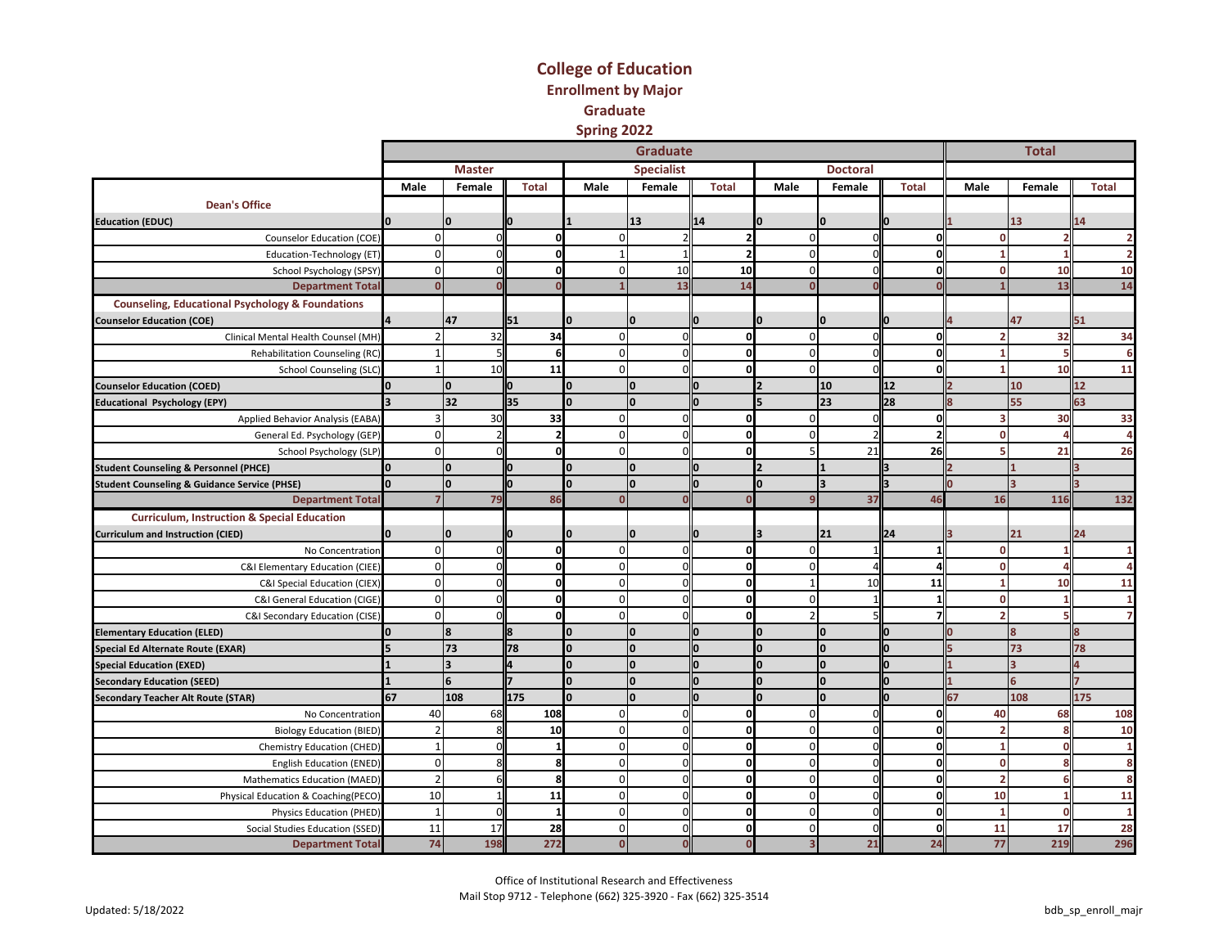#### **College of Education Enrollment by Major Graduate Spring 2022**

|                                                             |          |                         |              |                | <b>Graduate</b>   |              |                |                 |              |          | <b>Total</b>            |                |
|-------------------------------------------------------------|----------|-------------------------|--------------|----------------|-------------------|--------------|----------------|-----------------|--------------|----------|-------------------------|----------------|
|                                                             |          | <b>Master</b>           |              |                | <b>Specialist</b> |              |                | <b>Doctoral</b> |              |          |                         |                |
|                                                             | Male     | Female                  | <b>Total</b> | Male           | Female            | <b>Total</b> | Male           | Female          | <b>Total</b> | Male     | Female                  | <b>Total</b>   |
| <b>Dean's Office</b>                                        |          |                         |              |                |                   |              |                |                 |              |          |                         |                |
| <b>Education (EDUC)</b>                                     |          | n                       |              |                | 13                | 14           |                | I٥              |              |          | 13                      | 14             |
| Counselor Education (COE)                                   | n        |                         |              | $\Omega$       | $\mathcal{D}$     |              | $\Omega$       | r               |              |          |                         |                |
| Education-Technology (ET)                                   | $\Omega$ |                         | O            | 1              | $\mathbf{1}$      | 2            | $\mathbf 0$    | $\Omega$        |              |          |                         | $\overline{2}$ |
| School Psychology (SPSY)                                    | $\Omega$ |                         | ŋ            | $\overline{0}$ | 10                | 10           | $\mathbf 0$    | $\Omega$        |              | O        | 10                      | 10             |
| <b>Department Total</b>                                     |          |                         |              |                | 13                | 14           | $\Omega$       |                 |              |          | 13                      | 14             |
| <b>Counseling, Educational Psychology &amp; Foundations</b> |          |                         |              |                |                   |              |                |                 |              |          |                         |                |
| <b>Counselor Education (COE)</b>                            |          | 47                      | 51           | n              | 0                 |              |                | I٥              |              |          | 47                      | 51             |
| Clinical Mental Health Counsel (MH)                         |          | 32                      | 34           | $\mathbf 0$    | $\Omega$          | $\Omega$     | $\Omega$       | $\Omega$        | n            |          | 32                      | 34             |
| Rehabilitation Counseling (RC)                              |          |                         | $6 \mid$     | $\overline{0}$ | $\Omega$          | ŋ            | $\mathbf 0$    | C               |              |          |                         |                |
| School Counseling (SLC)                                     |          | 10                      | 11           | $\mathbf 0$    | $\Omega$          | $\Omega$     | $\mathbf 0$    |                 |              |          | 10                      | 11             |
| <b>Counselor Education (COED)</b>                           |          | O                       | n            | n              | <sup>0</sup>      |              |                | 10              | 12           |          | 10                      | 12             |
| <b>Educational Psychology (EPY)</b>                         |          | 32                      | 35           | I٥             | I٥                |              |                | 23              | 28           |          | 55                      | 63             |
| Applied Behavior Analysis (EABA)                            |          | 3 <sup>C</sup>          | 33           | $\overline{0}$ | n                 | O            | $\Omega$       | O               | n            |          | 30                      | 33             |
| General Ed. Psychology (GEP)                                | n        |                         |              | $\mathbf 0$    | n                 | ŋ            | $\Omega$       |                 |              |          |                         | Δ              |
| School Psychology (SLP)                                     | $\Omega$ |                         | O            | $\Omega$       | $\Omega$          | $\Omega$     | 5              | 21              | 26           |          | 21                      | 26             |
| <b>Student Counseling &amp; Personnel (PHCE)</b>            |          | l0                      | 10           | I٥             | Ю.                |              |                |                 |              |          |                         |                |
| <b>Student Counseling &amp; Guidance Service (PHSE)</b>     |          | $\Omega$                |              | I٥             | O                 |              |                | lз              |              |          |                         |                |
| <b>Department Total</b>                                     |          | 79                      | 86           | $\mathbf{0}$   | $\Omega$          |              | $\overline{9}$ | 37              | 46           | 16       | 116                     | 132            |
| <b>Curriculum, Instruction &amp; Special Education</b>      |          |                         |              |                |                   |              |                |                 |              |          |                         |                |
| <b>Curriculum and Instruction (CIED)</b>                    |          | n                       |              |                | 0                 |              |                | 21              | 24           |          | 21                      | 24             |
| No Concentration                                            | $\Omega$ |                         | ŋ            | $\overline{0}$ | $\Omega$          | $\Omega$     | $\mathbf 0$    |                 |              | O        |                         |                |
| C&I Elementary Education (CIEE)                             | $\Omega$ |                         |              | $\mathbf 0$    | $\Omega$          | $\mathbf{0}$ | $\mathbf 0$    |                 |              | O        |                         |                |
| C&I Special Education (CIEX)                                | $\Omega$ |                         | Ω            | $\mathbf 0$    | $\Omega$          | $\mathbf{0}$ | $\mathbf{1}$   | 10              | 11           |          | 10                      | 11             |
| C&I General Education (CIGE)                                | $\Omega$ |                         | O            | $\pmb{0}$      | $\Omega$          | $\mathbf{0}$ | $\mathbf 0$    |                 |              | O        |                         |                |
| C&I Secondary Education (CISE)                              | $\Omega$ |                         | O            | $\mathbf 0$    | n                 | O            | $\overline{2}$ |                 |              |          |                         |                |
| <b>Elementary Education (ELED)</b>                          |          | 8                       |              |                | $\Omega$          |              | O              | I٥              |              |          | 8                       |                |
| <b>Special Ed Alternate Route (EXAR)</b>                    |          | 73                      | 78           | I۵             | l0                |              | n              | lo.             |              |          | 73                      | 78             |
| <b>Special Education (EXED)</b>                             |          | $\overline{\mathbf{z}}$ |              | $\bf{0}$       |                   |              |                | I٥              |              |          | $\overline{\mathbf{z}}$ |                |
| <b>Secondary Education (SEED)</b>                           |          | 6                       |              | l0.            | O                 |              |                | I٥              |              |          | 6                       |                |
| <b>Secondary Teacher Alt Route (STAR)</b>                   | 67       | 108                     | 175          | I٥             | I٥                |              |                | I٥              |              | 67       | 108                     | 175            |
| No Concentration                                            | 40       | 68                      | 108          | $\overline{0}$ | n                 | $\mathbf 0$  | $\Omega$       | $\Omega$        | n            | 40       | 68                      | 108            |
| <b>Biology Education (BIED)</b>                             |          |                         | 10           | $\mathbf 0$    | $\Omega$          | $\Omega$     | $\Omega$       | $\Omega$        |              |          |                         | 10             |
| Chemistry Education (CHED)                                  |          |                         | 1            | $\overline{0}$ | 0                 | $\mathbf{0}$ | $\mathbf 0$    | O               | n            |          |                         |                |
| <b>English Education (ENED)</b>                             | $\Omega$ |                         | 8            | $\mathbf 0$    | $\Omega$          | $\mathbf{0}$ | $\mathbf 0$    | $\Omega$        | n            | $\Omega$ |                         | 8              |
| Mathematics Education (MAED)                                |          |                         | я            | $\mathbf 0$    | ſ                 | O            | $\Omega$       | O               |              | 2        |                         | 8              |
| Physical Education & Coaching(PECO)                         | 10       |                         | 11           | $\pmb{0}$      | n                 | $\Omega$     | $\mathbf 0$    | $\Omega$        |              | 10       |                         | 11             |
| Physics Education (PHED)                                    |          |                         |              | $\mathbf 0$    | n                 | $\Omega$     | $\Omega$       | ŋ               |              |          |                         |                |
| Social Studies Education (SSED)                             | 11       | 17                      | 28           | $\mathbf 0$    | n                 | $\mathbf{0}$ | $\mathbf 0$    | $\Omega$        |              | 11       | 17                      | 28             |
| <b>Department Total</b>                                     | 74       | 198                     | 272          | $\overline{0}$ |                   |              |                | 21              | 24           | 77       | 219                     | 296            |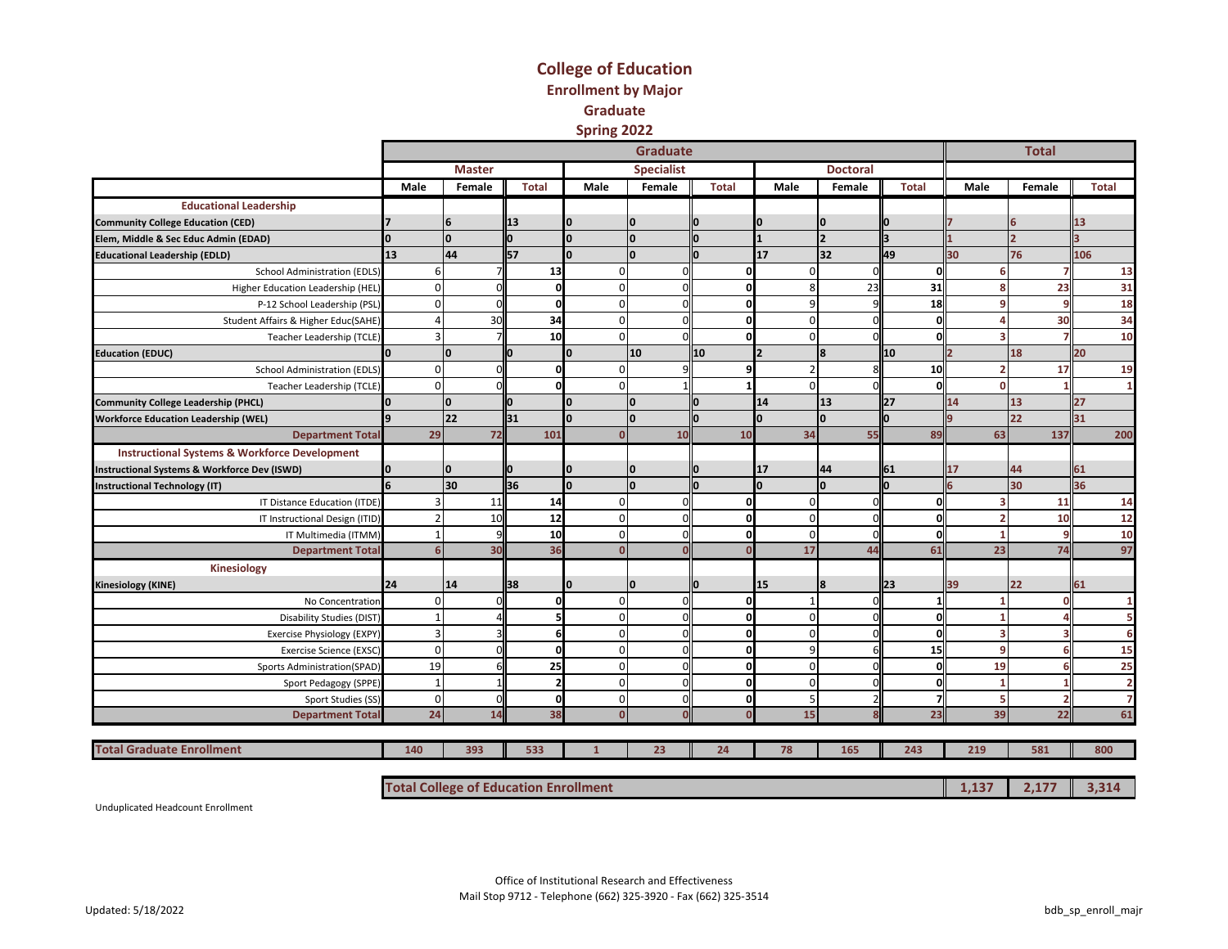#### **College of Education Enrollment by Major Graduate Spring 2022**

|                                                          |              |               |              |                | <b>Graduate</b>   |       |             |                          |              |      | <b>Total</b> |              |
|----------------------------------------------------------|--------------|---------------|--------------|----------------|-------------------|-------|-------------|--------------------------|--------------|------|--------------|--------------|
|                                                          |              | <b>Master</b> |              |                | <b>Specialist</b> |       |             | <b>Doctoral</b>          |              |      |              |              |
|                                                          | Male         | Female        | <b>Total</b> | Male           | Female            | Total | Male        | Female                   | <b>Total</b> | Male | Female       | <b>Total</b> |
| <b>Educational Leadership</b>                            |              |               |              |                |                   |       |             |                          |              |      |              |              |
| <b>Community College Education (CED)</b>                 |              | 6             | 13           |                |                   |       |             | <sup>0</sup>             |              |      | 6            | 13           |
| Elem, Middle & Sec Educ Admin (EDAD)                     |              | I٥            |              |                | I۵                |       |             | $\overline{\phantom{a}}$ |              |      |              |              |
| <b>Educational Leadership (EDLD)</b>                     | 13           | 44            | 57           | <sup>0</sup>   | I٥                |       | 17          | 32                       | 49           | 30   | 76           | 106          |
| <b>School Administration (EDLS)</b>                      | 6            |               | 13           | $\mathbf{0}$   | $\mathbf 0$       | O     | $\mathbf 0$ | n                        | $\Omega$     | 6    |              | 13           |
| Higher Education Leadership (HEL                         | <sup>0</sup> |               | n            | $\Omega$       | $\mathbf 0$       | ŋ     | 8           | 23                       | 31           |      | 23           | 31           |
| P-12 School Leadership (PSL)                             |              |               | O            | $\Omega$       | $\mathbf 0$       |       | 9           |                          | 18           |      |              | 18           |
| Student Affairs & Higher Educ(SAHE)                      |              | 30            | 34           | $\Omega$       | $\mathbf 0$       | O     | $\mathbf 0$ |                          | $\Omega$     |      | 30           | 34           |
| Teacher Leadership (TCLE)                                |              |               | 10           | $\Omega$       | $\Omega$          | ŋ     | $\mathbf 0$ |                          | $\Omega$     |      |              | 10           |
| <b>Education (EDUC)</b>                                  | <sup>0</sup> | I٥            |              |                | 10                | 10    |             | <b>R</b>                 | 10           |      | 18           | 20           |
| School Administration (EDLS)                             | <sup>n</sup> |               |              |                |                   |       |             |                          | 10           | 2    | 17           | 19           |
| Teacher Leadership (TCLE)                                | n            |               |              |                |                   |       | $\Omega$    |                          | O            |      |              |              |
| <b>Community College Leadership (PHCL)</b>               | $\Omega$     | l0            |              | n              | I٥                |       | 14          | 13                       | 27           | 14   | 13           | 27           |
| <b>Workforce Education Leadership (WEL)</b>              |              | 22            | 31           |                |                   |       |             | <sup>0</sup>             |              |      | 22           | 31           |
| <b>Department Total</b>                                  | 29           | 72            | 101          | $\mathbf{0}$   | 10                | 10    | 34          | 55                       | 89           | 63   | 137          | 200          |
| <b>Instructional Systems &amp; Workforce Development</b> |              |               |              |                |                   |       |             |                          |              |      |              |              |
| Instructional Systems & Workforce Dev (ISWD)             |              | o             |              |                |                   |       | 17          | 44                       | 61           | 17   | 44           | 61           |
| <b>Instructional Technology (IT)</b>                     |              | 30            | l36          | ln.            | I٥                |       | n           | lo.                      |              |      | 30           | 36           |
| IT Distance Education (ITDE)                             |              | 11            | 14           | $\overline{0}$ | $\mathbf 0$       | O     | $\mathbf 0$ | $\Omega$                 | 0            | 3    | 11           | 14           |
| IT Instructional Design (ITID)                           |              | 10            | 12           | $\Omega$       | $\overline{0}$    | n     | $\mathbf 0$ | $\Omega$                 | O            |      | 10           | 12           |
| IT Multimedia (ITMM)                                     |              |               | 10           | $\Omega$       | $\mathbf 0$       |       | $\mathbf 0$ | $\Omega$                 | $\Omega$     |      |              | 10           |
| <b>Department Total</b>                                  |              | 30            | 36           | $\Omega$       | $\Omega$          |       | 17          | 44                       | 61           | 23   | 74           | 97           |
| Kinesiology                                              |              |               |              |                |                   |       |             |                          |              |      |              |              |
| <b>Kinesiology (KINE)</b>                                | 24           | 14            | 138          |                | I٥                |       | 15          | 8                        | <b>II23</b>  | 39   | 22           | 61           |
| No Concentration                                         | $\Omega$     |               |              | $\Omega$       | $\mathbf 0$       | n     |             |                          |              |      |              |              |
| <b>Disability Studies (DIST</b>                          |              |               |              | O              | $\mathbf 0$       |       | $\Omega$    |                          | $\Omega$     |      |              |              |
| Exercise Physiology (EXPY)                               |              |               |              | $\Omega$       | $\Omega$          |       | $\Omega$    |                          | 0            |      |              |              |
| Exercise Science (EXSC)                                  | $\Omega$     |               |              | U              | $\mathbf 0$       |       | 9           |                          | 15           | q    |              | 15           |
| Sports Administration(SPAD)                              | 19           |               | 25           | n              | $\mathbf 0$       |       | 0           |                          | 0            | 19   |              | 25           |
| Sport Pedagogy (SPPE)                                    |              |               |              | $\Omega$       | $\mathbf 0$       |       | $\mathbf 0$ |                          | 0            |      |              |              |
| Sport Studies (SS)                                       | 0            |               | O            | $\Omega$       | $\mathbf 0$       | 0     | 5           |                          |              |      |              |              |
| <b>Department Total</b>                                  | 24           | 14            | 38           | $\Omega$       | $\Omega$          |       | 15          |                          | 23           | 39   | 22           | 61           |
|                                                          |              |               |              |                |                   |       |             |                          |              |      |              |              |
| <b>Total Graduate Enrollment</b>                         | 140          | 393           | 533          | $\mathbf{1}$   | 23                | 24    | 78          | 165                      | 243          | 219  | 581          | 800          |
|                                                          |              |               |              |                |                   |       |             |                          |              |      |              |              |

Unduplicated Headcount Enrollment

**Total College of Education Enrollment 1,137 2,177 3,314**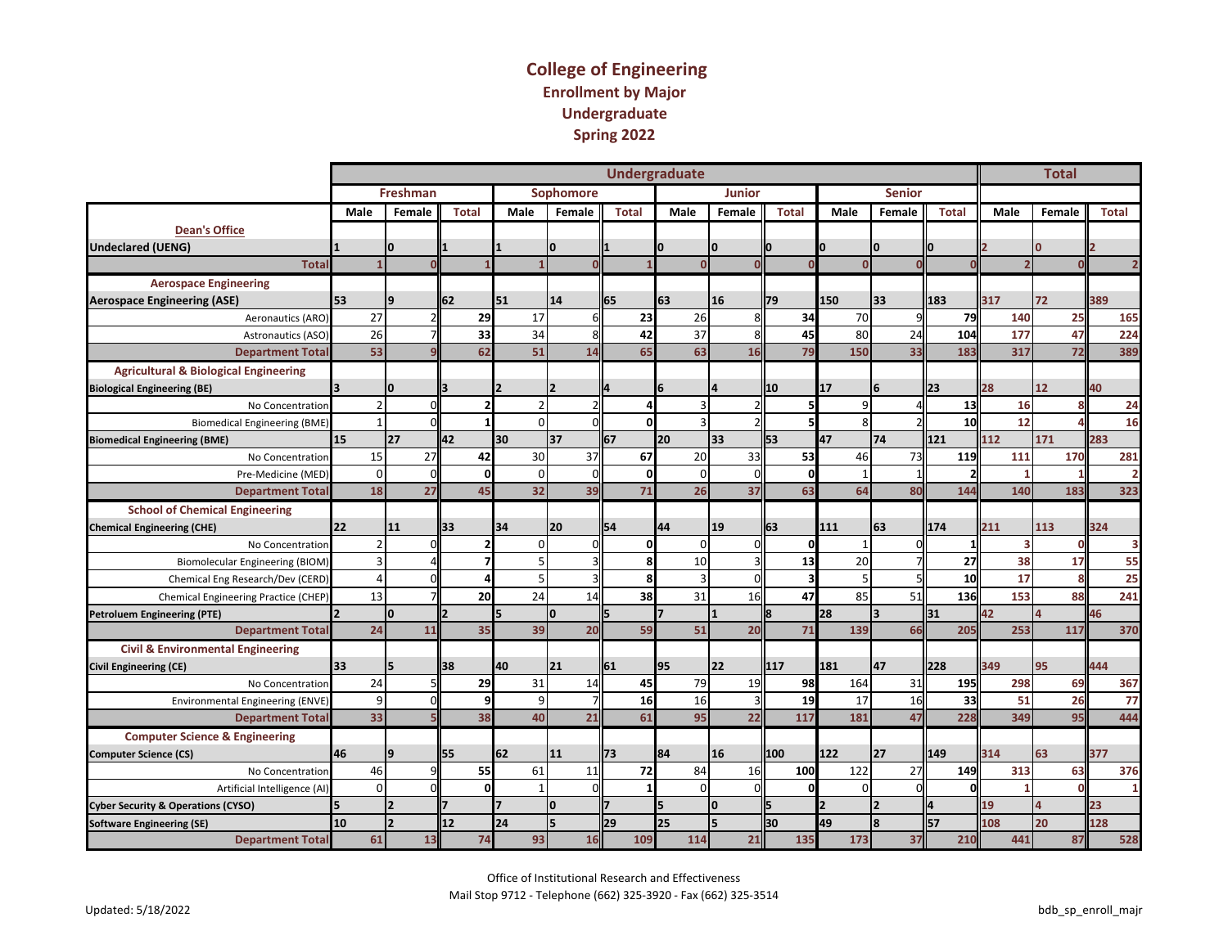#### **College of Engineering Enrollment by Major Undergraduate Spring 2022**

|                                                  |                |            |                |          |                  |              | <b>Undergraduate</b> |                |              |              |                |              |                          | <b>Total</b>   |              |
|--------------------------------------------------|----------------|------------|----------------|----------|------------------|--------------|----------------------|----------------|--------------|--------------|----------------|--------------|--------------------------|----------------|--------------|
|                                                  |                | Freshman   |                |          | <b>Sophomore</b> |              |                      | <b>Junior</b>  |              |              | <b>Senior</b>  |              |                          |                |              |
|                                                  | Male           | Female     | <b>Total</b>   | Male     | Female           | <b>Total</b> | Male                 | Female         | <b>Total</b> | Male         | Female         | <b>Total</b> | Male                     | Female         | <b>Total</b> |
| <b>Dean's Office</b>                             |                |            |                |          |                  |              |                      |                |              |              |                |              |                          |                |              |
| <b>Undeclared (UENG)</b>                         |                | I٥         |                |          | O                |              |                      | I٥             | ŋ            | O            | I٥             |              |                          | n              |              |
| Total                                            |                |            |                |          |                  |              | $\Omega$             |                | n            | $\mathbf{0}$ |                |              | $\overline{\phantom{a}}$ |                |              |
| <b>Aerospace Engineering</b>                     |                |            |                |          |                  |              |                      |                |              |              |                |              |                          |                |              |
| <b>Aerospace Engineering (ASE)</b>               | 53             | 19         | 62             | 51       | 14               | 65           | 63                   | 16             | 79           | 150          | 33             | 183          | 317                      | 72             | 389          |
| Aeronautics (ARO)                                | 27             |            | 29             | 17       | 6                | 23           | 26                   |                | 34           | 70           |                | 79           | 140                      | 25             | 165          |
| Astronautics (ASO)                               | 26             |            | 33             | 34       |                  | 42           | 37                   | 8              | 45           | 80           | 24             | 104          | 177                      | 47             | 224          |
| <b>Department Total</b>                          | 53             |            | 62             | 51       | 14               | 65           | 63                   | 16             | 79           | 150          | 33             | 183          | 317                      | 72             | 389          |
| <b>Agricultural &amp; Biological Engineering</b> |                |            |                |          |                  |              |                      |                |              |              |                |              |                          |                |              |
| <b>Biological Engineering (BE)</b>               |                | In         |                |          |                  |              |                      | $\overline{a}$ | 10           | 17           | 6              | 23           | 28                       | 12             | 40           |
| No Concentration                                 |                |            | $\overline{2}$ |          |                  |              | 3                    |                |              | 9            |                | 13           | 16                       |                | 24           |
| <b>Biomedical Engineering (BME</b>               |                |            | $\mathbf{1}$   | $\Omega$ | ΩI               | U            | Е                    |                |              | 8            |                | 10           | 12                       |                | 16           |
| <b>Biomedical Engineering (BME)</b>              | 15             | 27         | 42             | 30       | 37               | 67           | 20                   | 33             | 53           | 47           | 74             | 121          | 112                      | 171            | 283          |
| No Concentration                                 | 15             | 27         | 42             | 30       | 37               | 67           | 20                   | 33             | 53           | 46           | 73             | 119          | 111                      | 170            | 281          |
| Pre-Medicine (MED)                               | $\Omega$       | $\sqrt{ }$ | $\mathbf{0}$   | $\Omega$ | n                |              | $\Omega$             | $\Omega$       | 0            |              |                |              |                          |                |              |
| <b>Department Total</b>                          | 18             | 27         | 45             | 32       | 39               | 71           | 26                   | 37             | 63           | 64           | 80             | 144          | 140                      | 183            | 323          |
| <b>School of Chemical Engineering</b>            |                |            |                |          |                  |              |                      |                |              |              |                |              |                          |                |              |
| <b>Chemical Engineering (CHE)</b>                | 22             | 11         | 133            | 34       | 20               | 54           | 44                   | 19             | 63           | 111          | 63             | 174          | 211                      | 113            | 324          |
| No Concentration                                 | $\overline{2}$ |            | $\mathbf{2}$   | $\Omega$ | $\Omega$         | 0            | $\Omega$             | $\Omega$       | $\Omega$     |              |                | 1            | 3                        | $\Omega$       |              |
| Biomolecular Engineering (BIOM)                  |                |            | $\overline{7}$ | 5        |                  | я            | 10                   |                | 13           | 20           |                | 27           | 38                       | 17             | 55           |
| Chemical Eng Research/Dev (CERD)                 | $\Delta$       |            | $\overline{a}$ | 5        |                  | я            | 3                    | $\Omega$       |              | 5            |                | 10           | 17                       | $\mathbf{8}$   | 25           |
| Chemical Engineering Practice (CHEP)             | 13             |            | 20             | 24       | 14               | 38           | 31                   | 16             | 47           | 85           | 51             | 136          | 153                      | 88             | 241          |
| <b>Petroluem Engineering (PTE)</b>               | $\overline{2}$ | I٥         |                |          | I٥               | 5            | $\overline{z}$       |                | ll8          | 28           | l3.            | 31           | 42                       | $\overline{a}$ | 46           |
| <b>Department Total</b>                          | 24             | 11         | 35             | 39       | 20               | 59           | 51                   | 20             | 71           | 139          | 66             | 205          | 253                      | 117            | 370          |
| <b>Civil &amp; Environmental Engineering</b>     |                |            |                |          |                  |              |                      |                |              |              |                |              |                          |                |              |
| <b>Civil Engineering (CE)</b>                    | 33             |            | 138            | 40       | 21               | 61           | 95                   | 22             | 117          | 181          | 47             | 228          | 349                      | 95             | 444          |
| No Concentration                                 | 24             |            | 29             | 31       | 14               | 45           | 79                   | 19             | 98           | 164          | 31             | 195          | 298                      | 69             | 367          |
| Environmental Engineering (ENVE)                 | 9              |            | 9              | 9        |                  | 16           | 16                   |                | 19           | 17           | 16             | 33           | 51                       | 26             | 77           |
| <b>Department Tota</b>                           | 33             |            | 38             | 40       | 21               | 61           | 95                   | 22             | 117          | 181          | 47             | 228          | 349                      | 95             | 444          |
| <b>Computer Science &amp; Engineering</b>        |                |            |                |          |                  |              |                      |                |              |              |                |              |                          |                |              |
| <b>Computer Science (CS)</b>                     | 46             | ١q         | l55            | 62       | 11               | 73           | 84                   | 16             | 100          | 122          | 27             | 149          | 314                      | 63             | 377          |
| No Concentration                                 | 46             |            | 55             | 61       | 11               | 72           | 84                   | 16             | 100          | 122          | 27             | 149          | 313                      | 63             | 376          |
| Artificial Intelligence (AI)                     | $\Omega$       |            | $\mathbf{0}$   |          | ΩI               |              | $\Omega$             | $\Omega$       | $\Omega$     | $\Omega$     |                | n            |                          | $\Omega$       |              |
| <b>Cyber Security &amp; Operations (CYSO)</b>    |                | 12         |                |          | I٥               |              | 15                   | I٥             |              |              | $\overline{2}$ |              | 19                       | 4              | 23           |
| <b>Software Engineering (SE)</b>                 | 10             | 12         | 12             | 24       | 5                | 29           | 25                   | 5              | 30           | 49           | 8              | 57           | 108                      | 20             | 128          |
| <b>Department Total</b>                          | 61             | 13         | 74             | 93       | 16               | 109          | 114                  | 21             | 135          | 173          | 37             | 210          | 441                      | 87             | 528          |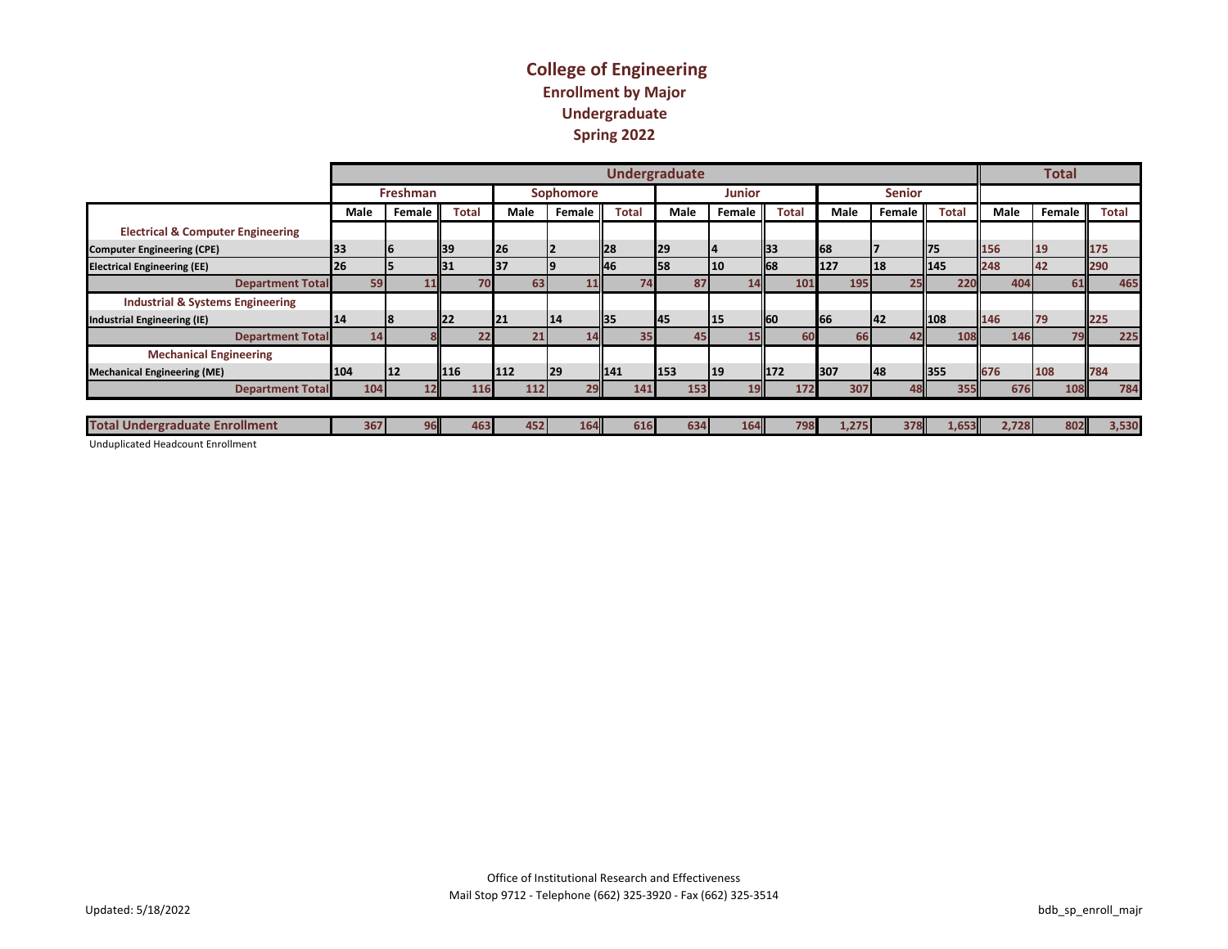#### **College of Engineering Enrollment by Major Undergraduate Spring 2022**

|                                              |      |     |                 |             |              |             |     |                  |                 | <b>Undergraduate</b> |           |      |              |        |              |             |     |                 |              |       |       |     | <b>Total</b> |              |
|----------------------------------------------|------|-----|-----------------|-------------|--------------|-------------|-----|------------------|-----------------|----------------------|-----------|------|--------------|--------|--------------|-------------|-----|-----------------|--------------|-------|-------|-----|--------------|--------------|
|                                              |      |     | Freshman        |             |              |             |     | <b>Sophomore</b> |                 |                      |           |      |              | Junior |              |             |     | <b>Senior</b>   |              |       |       |     |              |              |
|                                              | Male |     | Female          |             | <b>Total</b> | <b>Male</b> |     | Female           |                 | Total                |           | Male |              | Female | <b>Total</b> | <b>Male</b> |     | <b>Female</b> I | <b>Total</b> |       | Male  |     | Female       | <b>Total</b> |
| <b>Electrical &amp; Computer Engineering</b> |      |     |                 |             |              |             |     |                  |                 |                      |           |      |              |        |              |             |     |                 |              |       |       |     |              |              |
| <b>Computer Engineering (CPE)</b>            | 33   |     |                 | <b>1</b> 39 |              | <b>26</b>   |     |                  | <b>II28</b>     |                      | 29        |      | 14           |        | <b>1</b> 33  | 68          |     |                 | 175          |       | 156   | 19  |              | 175          |
| <b>Electrical Engineering (EE)</b>           | 26   |     |                 | <b>IB</b>   |              | 137         |     |                  | ll46            |                      | <b>58</b> |      | <b>10</b>    |        | <b>168</b>   | 127         | 18  |                 | 145          |       | 248   | 42  |              | 290          |
| <b>Department Total</b>                      |      | 59  | ш               |             | 70           |             | 63  |                  | UЦ              | 74                   |           | 87   |              |        | 10:          | 195         |     |                 |              | 220   | 404   |     | 61           | 465          |
| <b>Industrial &amp; Systems Engineering</b>  |      |     |                 |             |              |             |     |                  |                 |                      |           |      |              |        |              |             |     |                 |              |       |       |     |              |              |
| <b>Industrial Engineering (IE)</b>           | 14   |     |                 | <b>122</b>  |              | 21          |     | 14               | ll35            |                      | 145       |      | <b>115</b>   |        | ll60         | 66          | 142 |                 | 108          |       | 146   | 179 |              | 225          |
| <b>Department Total</b>                      |      | 14  |                 |             | 22           |             | 21  |                  | 14              | 35                   |           | 45   |              |        | 60           |             | 66  | 42              |              | 108   | 146   |     | 79           | 225          |
| <b>Mechanical Engineering</b>                |      |     |                 |             |              |             |     |                  |                 |                      |           |      |              |        |              |             |     |                 |              |       |       |     |              |              |
| <b>Mechanical Engineering (ME)</b>           | 104  |     | 12              | 116         |              | 112         |     | <b>29</b>        | 141             |                      | 153       |      | $ 19\rangle$ |        | 1172         | 307         | 48  |                 | 355          |       | 676   | 108 |              | 784          |
| <b>Department Total</b>                      |      | 104 | 12 <sub>1</sub> |             | 116          |             | 112 |                  | 29 <sub>l</sub> | 141                  |           | 153  |              | 19     | 172          | 307         |     | 48              |              | 355   | 676   |     | 108          | 784          |
|                                              |      |     |                 |             |              |             |     |                  |                 |                      |           |      |              |        |              |             |     |                 |              |       |       |     |              |              |
| <b>Total Undergraduate Enrollment</b>        |      | 367 | 96              |             | 463          |             | 452 | 164              |                 | 616                  |           | 634  |              | 164    |              | 1,275       |     | 378             |              | 1,653 | 2.728 |     | 802          | 3,530        |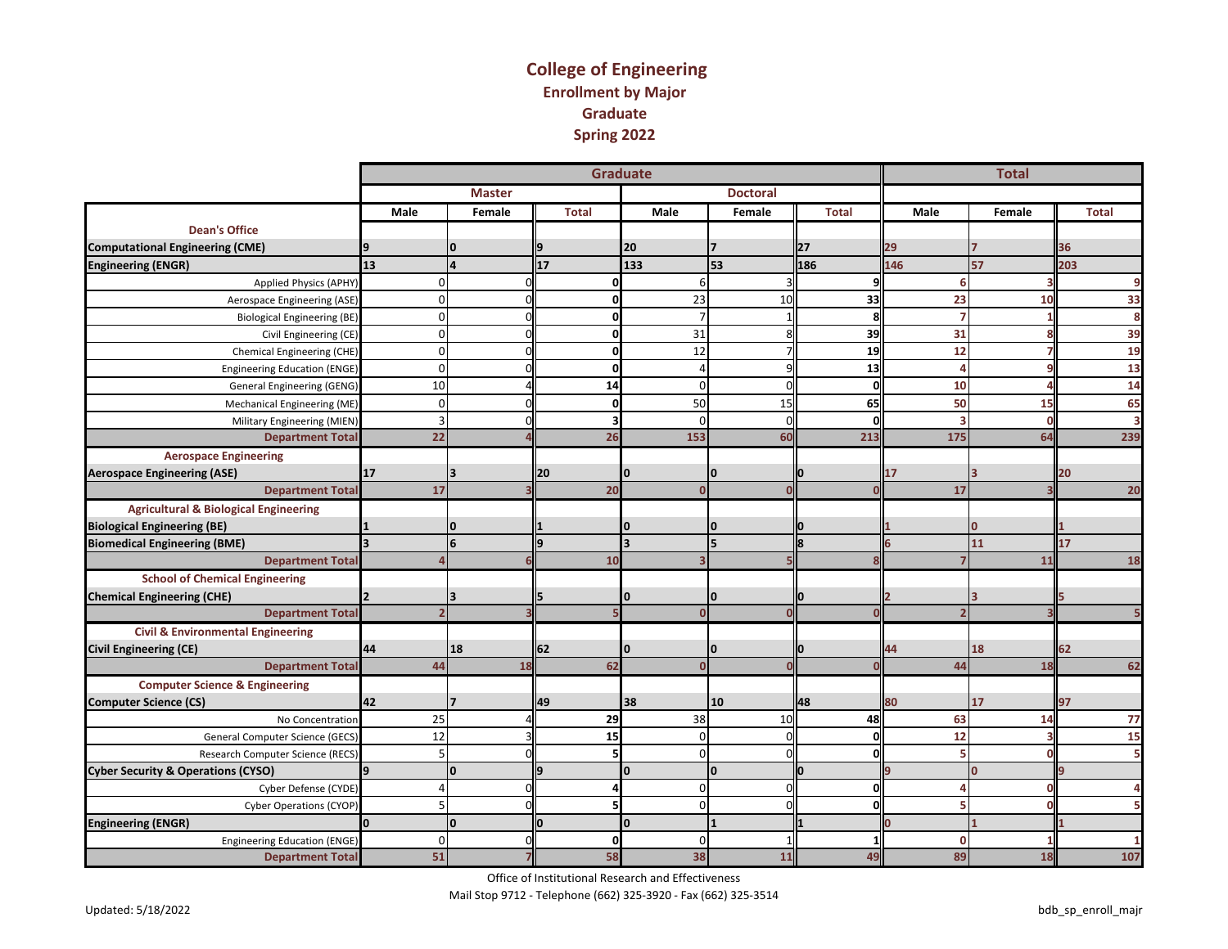#### **College of Engineering Enrollment by Major Graduate Spring 2022**

|                                                  |              |                         |                 | <b>Graduate</b> |                 |              |             | <b>Total</b> |                         |
|--------------------------------------------------|--------------|-------------------------|-----------------|-----------------|-----------------|--------------|-------------|--------------|-------------------------|
|                                                  |              | <b>Master</b>           |                 |                 | <b>Doctoral</b> |              |             |              |                         |
|                                                  | Male         | Female                  | <b>Total</b>    | Male            | Female          | <b>Total</b> | Male        | Female       | <b>Total</b>            |
| <b>Dean's Office</b>                             |              |                         |                 |                 |                 |              |             |              |                         |
| <b>Computational Engineering (CME)</b>           |              | $\bf{0}$                |                 | 20              |                 | 27           | 29          |              | 36                      |
| <b>Engineering (ENGR)</b>                        | 13           | 4                       | $\overline{17}$ | 133             | 53              | 186          | 146         | 57           | 203                     |
| Applied Physics (APHY)                           | $\Omega$     | $\Omega$                | $\Omega$        | 6               |                 | ۹l           | 6           |              | 9                       |
| Aerospace Engineering (ASE)                      | $\Omega$     |                         | O               | 23              | 10              | 33           | 23          | 10           | 33                      |
| <b>Biological Engineering (BE)</b>               |              |                         | ŋ               | $\overline{7}$  |                 | 8            | 7           |              | 8                       |
| Civil Engineering (CE)                           | $\Omega$     |                         | $\mathbf{0}$    | 31              |                 | 39           | 31          |              | 39                      |
| Chemical Engineering (CHE)                       | $\Omega$     |                         | $\mathbf{0}$    | 12              |                 | 19           | 12          |              | 19                      |
| <b>Engineering Education (ENGE)</b>              | $\Omega$     |                         | O               | $\Delta$        |                 | 13           | Δ           |              | 13                      |
| General Engineering (GENG)                       | 10           |                         | 14              | $\Omega$        |                 | 0l           | 10          |              | 14                      |
| Mechanical Engineering (ME)                      | $\Omega$     |                         | O               | 50              | 15              | 65           | 50          | 15           | 65                      |
| Military Engineering (MIEN)                      | 3            |                         | 3               | $\mathbf 0$     |                 | 0l           | 3           | $\Omega$     | $\overline{\mathbf{3}}$ |
| <b>Department Total</b>                          | 22           |                         | 26              | 153             | 60              | 213          | 175         | 64           | 239                     |
| <b>Aerospace Engineering</b>                     |              |                         |                 |                 |                 |              |             |              |                         |
| <b>Aerospace Engineering (ASE)</b>               | 17           | 3                       | 20              | O               | IО              |              | 17          |              | 20                      |
| <b>Department Total</b>                          | 17           |                         | 20              | $\Omega$        |                 |              | 17          |              | 20                      |
| <b>Agricultural &amp; Biological Engineering</b> |              |                         |                 |                 |                 |              |             |              |                         |
| <b>Biological Engineering (BE)</b>               |              | $\Omega$                |                 | $\Omega$        | IО              | n            |             |              |                         |
| <b>Biomedical Engineering (BME)</b>              |              | $6\phantom{1}6$         |                 | <b>z</b>        | l5              | l8           |             | 11           | 17                      |
| <b>Department Total</b>                          |              |                         | 10              | в               |                 |              |             | 11           | 18                      |
| <b>School of Chemical Engineering</b>            |              |                         |                 |                 |                 |              |             |              |                         |
| <b>Chemical Engineering (CHE)</b>                |              | $\overline{\mathbf{3}}$ |                 | I٥              | I٥              | Iо           |             |              |                         |
| <b>Department Total</b>                          |              |                         |                 | $\mathbf{0}$    |                 |              |             |              |                         |
| <b>Civil &amp; Environmental Engineering</b>     |              |                         |                 |                 |                 |              |             |              |                         |
| <b>Civil Engineering (CE)</b>                    | 44           | 18                      | 62              | O               | l0              |              | 44          | 18           | 62                      |
| <b>Department Total</b>                          | 44           | <b>18</b>               | 62              | $\Omega$        |                 |              | 44          | 18           | 62                      |
| <b>Computer Science &amp; Engineering</b>        |              |                         |                 |                 |                 |              |             |              |                         |
| <b>Computer Science (CS)</b>                     | 42           |                         | 49              | 38              | 10              | 48           | 80          | 17           | 97                      |
| No Concentration                                 | 25           |                         | 29              | 38              | 10              | 48           | 63          | 14           | 77                      |
| General Computer Science (GECS)                  | 12           |                         | 15              | $\mathbf 0$     |                 | 0l           | 12          |              | 15                      |
| Research Computer Science (RECS)                 |              |                         | 5               | $\mathbf 0$     |                 | Ol           | 5           |              | 5                       |
| <b>Cyber Security &amp; Operations (CYSO)</b>    | 9            | O                       |                 | $\mathbf{0}$    | I٥              | n            |             | $\Omega$     |                         |
| Cyber Defense (CYDE)                             |              | $\Omega$                |                 | $\mathbf 0$     |                 | 0l           | Δ           | n            | 4                       |
| Cyber Operations (CYOP)                          |              |                         |                 | $\mathbf 0$     |                 | ΩI           | 5           |              | 5                       |
| <b>Engineering (ENGR)</b>                        | <sup>0</sup> | $\mathbf{0}$            |                 | O               |                 |              |             |              |                         |
| <b>Engineering Education (ENGE)</b>              | $\Omega$     | ΩL                      | 0               | 0               |                 | 11           | $\mathbf 0$ |              |                         |
| <b>Department Total</b>                          | 51           |                         | 58              | 38              | 11              | 49           | 89          | 18           | 107                     |

Office of Institutional Research and Effectiveness

Mail Stop 9712 - Telephone (662) 325-3920 - Fax (662) 325-3514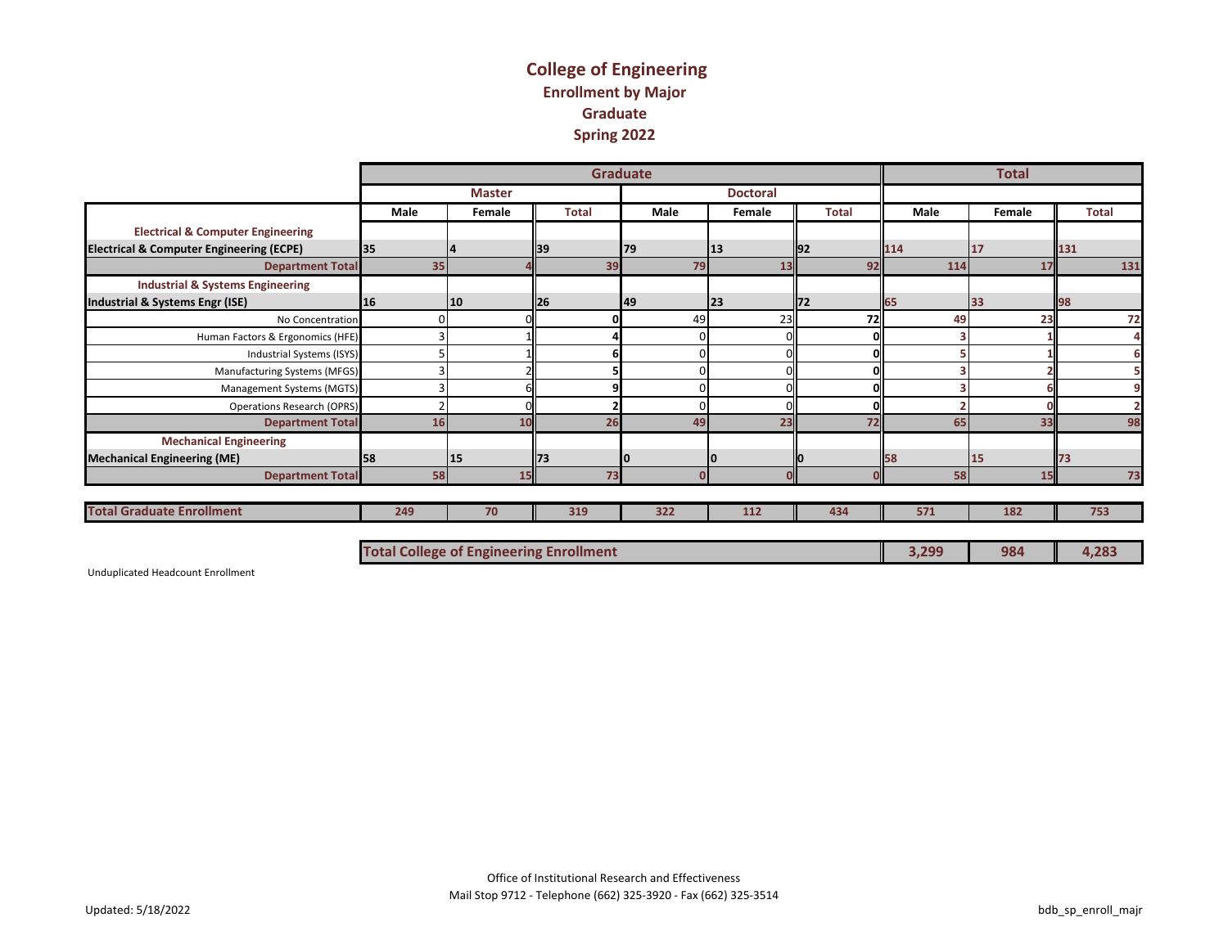#### **College of Engineering Enrollment by Major Graduate Spring 2022**

|                                                     |                                                |               |              | <b>Graduate</b> |                 |              |       | <b>Total</b> |              |
|-----------------------------------------------------|------------------------------------------------|---------------|--------------|-----------------|-----------------|--------------|-------|--------------|--------------|
|                                                     |                                                | <b>Master</b> |              |                 | <b>Doctoral</b> |              |       |              |              |
|                                                     | <b>Male</b>                                    | Female        | <b>Total</b> | Male            | Female          | <b>Total</b> | Male  | Female       | <b>Total</b> |
| <b>Electrical &amp; Computer Engineering</b>        |                                                |               |              |                 |                 |              |       |              |              |
| <b>Electrical &amp; Computer Engineering (ECPE)</b> | 35                                             |               | 39           | 79              | 13              | <b>1</b> 92  | 114   | 17           | 131          |
| <b>Department Total</b>                             | 35                                             |               | 39           | 79              | 13              | 92           | 114   | 17           | 131          |
| <b>Industrial &amp; Systems Engineering</b>         |                                                |               |              |                 |                 |              |       |              |              |
| Industrial & Systems Engr (ISE)                     | <b>16</b>                                      | <b>10</b>     | l26          | 49              | l23             | 72           | 65    | 33           | 198          |
| No Concentration                                    |                                                |               |              | 49              | 23              | <b>72</b>    | 49    | 23           | 72           |
| Human Factors & Ergonomics (HFE)                    |                                                |               |              |                 |                 |              |       |              |              |
| Industrial Systems (ISYS)                           |                                                |               |              | $\Omega$        |                 |              |       |              | 6            |
| Manufacturing Systems (MFGS)                        |                                                |               |              |                 |                 |              |       |              |              |
| Management Systems (MGTS)                           |                                                |               |              | n               |                 |              |       |              | 9            |
| <b>Operations Research (OPRS)</b>                   |                                                |               |              |                 |                 |              |       |              |              |
| <b>Department Total</b>                             | 16                                             | 10            | 26           | 49              | 23              | 72           | 65    | 33           | 98           |
| <b>Mechanical Engineering</b>                       |                                                |               |              |                 |                 |              |       |              |              |
| <b>Mechanical Engineering (ME)</b>                  | <b>1</b> 58                                    | <b>15</b>     | 173          |                 | 10              |              | 58    | 15           |              |
| <b>Department Total</b>                             | <b>58</b>                                      | 15            | 73           | $\Omega$        |                 |              | 58    | 15           | 73           |
|                                                     |                                                |               |              |                 |                 |              |       |              |              |
| <b>Total Graduate Enrollment</b>                    | 249                                            | 70            | 319          | 322             | 112             | 434          | 571   | 182          | 753          |
|                                                     |                                                |               |              |                 |                 |              |       |              |              |
|                                                     | <b>Total College of Engineering Enrollment</b> |               |              |                 |                 |              | 3,299 | 984          | 4,283        |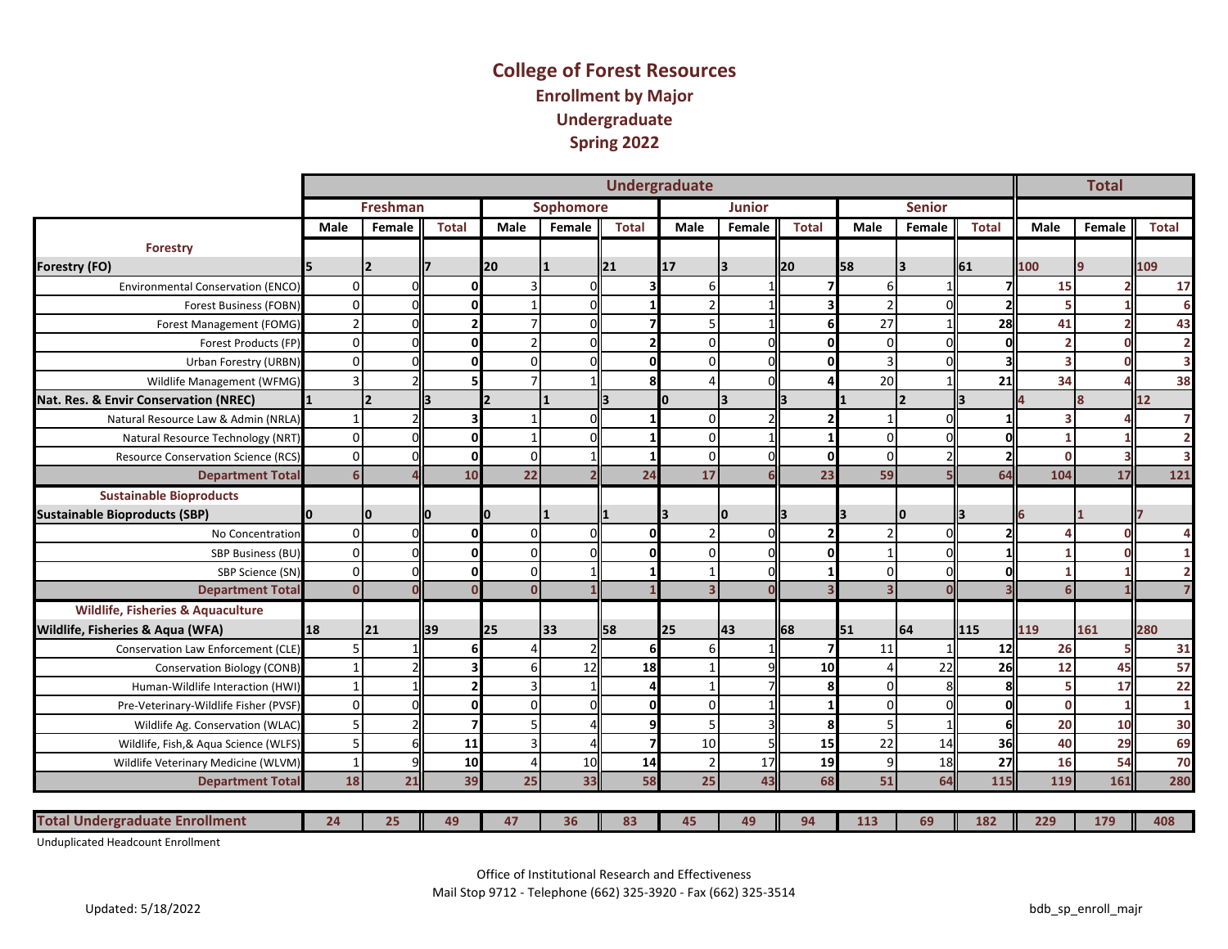## **College of Forest Resources Enrollment by Major Undergraduate Spring 2022**

|                                              |           |                 |                |                 |           |              | <b>Undergraduate</b> |                         |              |             |                          |              |              | <b>Total</b> |                         |
|----------------------------------------------|-----------|-----------------|----------------|-----------------|-----------|--------------|----------------------|-------------------------|--------------|-------------|--------------------------|--------------|--------------|--------------|-------------------------|
|                                              |           | <b>Freshman</b> |                |                 | Sophomore |              |                      | <b>Junior</b>           |              |             | <b>Senior</b>            |              |              |              |                         |
|                                              | Male      | Female          | <b>Total</b>   | Male            | Female    | <b>Total</b> | Male                 | Female                  | <b>Total</b> | Male        | Female                   | <b>Total</b> | Male         | Female       | Total                   |
| <b>Forestry</b>                              |           |                 |                |                 |           |              |                      |                         |              |             |                          |              |              |              |                         |
| <b>Forestry (FO)</b>                         |           |                 |                | 20              |           | 121          | 17                   |                         | ll20         | 58          | $\overline{\mathbf{3}}$  | 61           | 100          |              | 109                     |
| <b>Environmental Conservation (ENCO)</b>     | $\Omega$  |                 | O              |                 | $\Omega$  |              |                      |                         |              |             |                          |              | 15           |              | 17                      |
| <b>Forest Business (FOBN)</b>                | $\Omega$  |                 | 0              |                 |           |              |                      |                         |              |             |                          |              |              |              | 6                       |
| Forest Management (FOMG)                     |           |                 | $\overline{2}$ |                 | C         |              |                      |                         | 6            | 27          |                          | 28           | 41           |              | 43                      |
| Forest Products (FP)                         | $\Omega$  |                 | $\Omega$       |                 | C         |              |                      | n                       |              | $\Omega$    |                          |              |              | n            | $\overline{\mathbf{2}}$ |
| Urban Forestry (URBN)                        | $\Omega$  |                 | $\mathbf{0}$   |                 |           |              |                      |                         |              |             |                          |              |              |              | 3                       |
| Wildlife Management (WFMG)                   |           |                 |                |                 |           | ጰ            |                      | $\Omega$                |              | 20          |                          | 21           | 34           |              | 38                      |
| Nat. Res. & Envir Conservation (NREC)        |           |                 |                |                 |           |              | ŋ                    | $\overline{\mathbf{3}}$ |              |             | $\overline{\phantom{a}}$ |              |              |              | 12                      |
| Natural Resource Law & Admin (NRLA)          |           |                 | 3              |                 | $\cap$    |              |                      |                         |              |             |                          |              |              |              | $\overline{7}$          |
| Natural Resource Technology (NRT)            | $\Omega$  |                 | $\mathbf{0}$   |                 |           |              |                      |                         |              | $\Omega$    |                          |              |              |              | $\overline{2}$          |
| <b>Resource Conservation Science (RCS)</b>   | $\Omega$  |                 | $\mathbf 0$    | $\Omega$        |           |              |                      |                         |              |             |                          |              | $\mathbf{0}$ |              | 3                       |
| <b>Department Tota</b>                       |           |                 | 10             | $\overline{22}$ |           | 24           | 17                   |                         | 23           | 59          |                          | 64           | 104          | 17           | 121                     |
| <b>Sustainable Bioproducts</b>               |           |                 |                |                 |           |              |                      |                         |              |             |                          |              |              |              |                         |
| <b>Sustainable Bioproducts (SBP)</b>         |           | I٥              |                | 0               |           |              |                      | $\Omega$                | ll3          |             | 10                       |              |              |              |                         |
| No Concentration                             | $\Omega$  |                 | $\mathbf{0}$   | $\Omega$        | $\Omega$  | $\Omega$     |                      | $\Omega$                |              |             |                          |              |              | n            | 4                       |
| SBP Business (BU)                            | $\Omega$  |                 | $\mathbf{0}$   | $\Omega$        |           | U            |                      | n                       |              |             |                          |              |              |              |                         |
| SBP Science (SN)                             | $\Omega$  |                 | $\mathbf{0}$   | $\Omega$        |           |              |                      |                         |              |             |                          |              |              |              | $\overline{2}$          |
| <b>Department Total</b>                      |           |                 | n              | $\Omega$        |           |              |                      |                         |              |             |                          |              |              |              |                         |
| <b>Wildlife, Fisheries &amp; Aquaculture</b> |           |                 |                |                 |           |              |                      |                         |              |             |                          |              |              |              |                         |
| Wildlife, Fisheries & Aqua (WFA)             | 18        | 21              | 39             | 25              | 133       | ll58         | 25                   | 43                      | 68           | <b>I</b> 51 | 64                       | ll115        | 119          | 161          | 280                     |
| Conservation Law Enforcement (CLE)           |           |                 |                |                 |           |              |                      |                         |              | 11          |                          | 12           | 26           | 5            | 31                      |
| Conservation Biology (CONB)                  |           |                 |                |                 | 12        | 18           |                      |                         | 10           |             | 22                       | 26           | 12           | 45           | 57                      |
| Human-Wildlife Interaction (HWI)             |           |                 | $\overline{2}$ |                 |           |              |                      |                         | Զ            | U           |                          |              |              | 17           | 22                      |
| Pre-Veterinary-Wildlife Fisher (PVSF)        | $\Omega$  |                 | $\mathbf{0}$   | $\Omega$        |           |              |                      |                         |              |             |                          |              | $\Omega$     | 1            | $\mathbf{1}$            |
| Wildlife Ag. Conservation (WLAC)             | 5         |                 |                |                 |           |              |                      |                         |              |             |                          |              | 20           | 10           | 30                      |
| Wildlife, Fish, & Aqua Science (WLFS)        | $5 \,$    |                 | 11             |                 |           |              | 10                   |                         | 15           | 22          | 14                       | 36           | 40           | 29           | 69                      |
| Wildlife Veterinary Medicine (WLVM)          |           |                 | 10             |                 | 10        | 14           |                      | 17                      | 19           | 9           | 18                       | 27           | 16           | 54           | 70                      |
| <b>Department Total</b>                      | <b>18</b> | 21              | 39             | 25              | 33        | 58           | 25                   | 43                      | 68           | 51          | 64                       | 115          | 119          | 161          | 280                     |
|                                              |           |                 |                |                 |           |              |                      |                         |              |             |                          |              |              |              |                         |
| <b>Total Undergraduate Enrollment</b>        | 24        | 25              | 49             | 47              | 36        | 83           | 45                   | 49                      | 94           | 113         | 69                       | 182          | 229          | 179          | 408                     |

Unduplicated Headcount Enrollment

Office of Institutional Research and Effectiveness

Mail Stop 9712 - Telephone (662) 325-3920 - Fax (662) 325-3514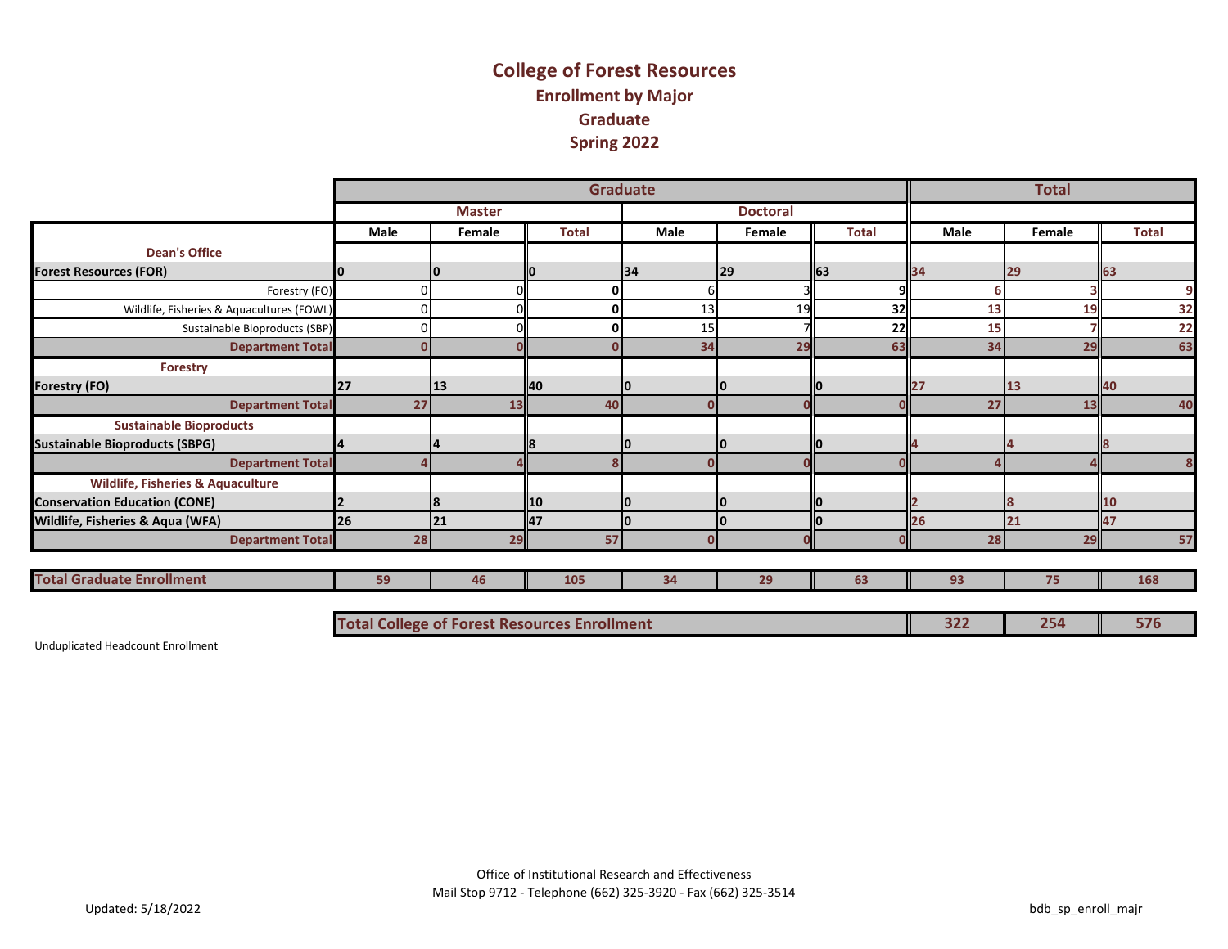## **College of Forest Resources Enrollment by Major Graduate Spring 2022**

|                                              |                                                     |               |              | <b>Graduate</b> |                 |              |      | <b>Total</b> |              |
|----------------------------------------------|-----------------------------------------------------|---------------|--------------|-----------------|-----------------|--------------|------|--------------|--------------|
|                                              |                                                     | <b>Master</b> |              |                 | <b>Doctoral</b> |              |      |              |              |
|                                              | Male                                                | Female        | <b>Total</b> | Male            | Female          | <b>Total</b> | Male | Female       | <b>Total</b> |
| <b>Dean's Office</b>                         |                                                     |               |              |                 |                 |              |      |              |              |
| <b>Forest Resources (FOR)</b>                |                                                     | Ю             |              | 134             | $ 29\rangle$    | 63           | 34   | 29           | 63           |
| Forestry (FO)                                |                                                     |               |              |                 |                 | q            | ь    |              | 9            |
| Wildlife, Fisheries & Aquacultures (FOWL)    |                                                     |               |              | 13              | 19              | 32           | 13   | 19           | 32           |
| Sustainable Bioproducts (SBP)                |                                                     |               |              | 15              |                 | 22           | 15   |              | 22           |
| <b>Department Total</b>                      |                                                     |               |              | 34              | 29              | 63           | 34   | 29           | 63           |
| <b>Forestry</b>                              |                                                     |               |              |                 |                 |              |      |              |              |
| <b>Forestry (FO)</b>                         | <b>127</b>                                          | 13            | 40           |                 | 10              |              | 27   | 13           | 140          |
| <b>Department Total</b>                      | 27                                                  | 13            | 40           |                 |                 |              | 27   | 13           | 40           |
| <b>Sustainable Bioproducts</b>               |                                                     |               |              |                 |                 |              |      |              |              |
| <b>Sustainable Bioproducts (SBPG)</b>        |                                                     |               |              |                 | 10              |              |      |              |              |
| <b>Department Total</b>                      |                                                     |               |              |                 |                 |              |      |              | 8            |
| <b>Wildlife, Fisheries &amp; Aquaculture</b> |                                                     |               |              |                 |                 |              |      |              |              |
| <b>Conservation Education (CONE)</b>         |                                                     | 8             | l10          | ıо              | 10              |              |      |              | 10           |
| Wildlife, Fisheries & Aqua (WFA)             | <b>26</b>                                           | 21            | 47           |                 | I٥              |              | 26   | 21           | 47           |
| <b>Department Total</b>                      | 28                                                  | 29            | 57           |                 |                 | O            | 28   | 29           | 57           |
|                                              |                                                     |               |              |                 |                 |              |      |              |              |
| <b>Total Graduate Enrollment</b>             | 59                                                  | 46            | 105          | 34              | 29              | 63           | 93   | 75           | 168          |
|                                              |                                                     |               |              |                 |                 |              |      |              |              |
|                                              | <b>Total College of Forest Resources Enrollment</b> |               |              |                 |                 |              | 322  | 254          | 576          |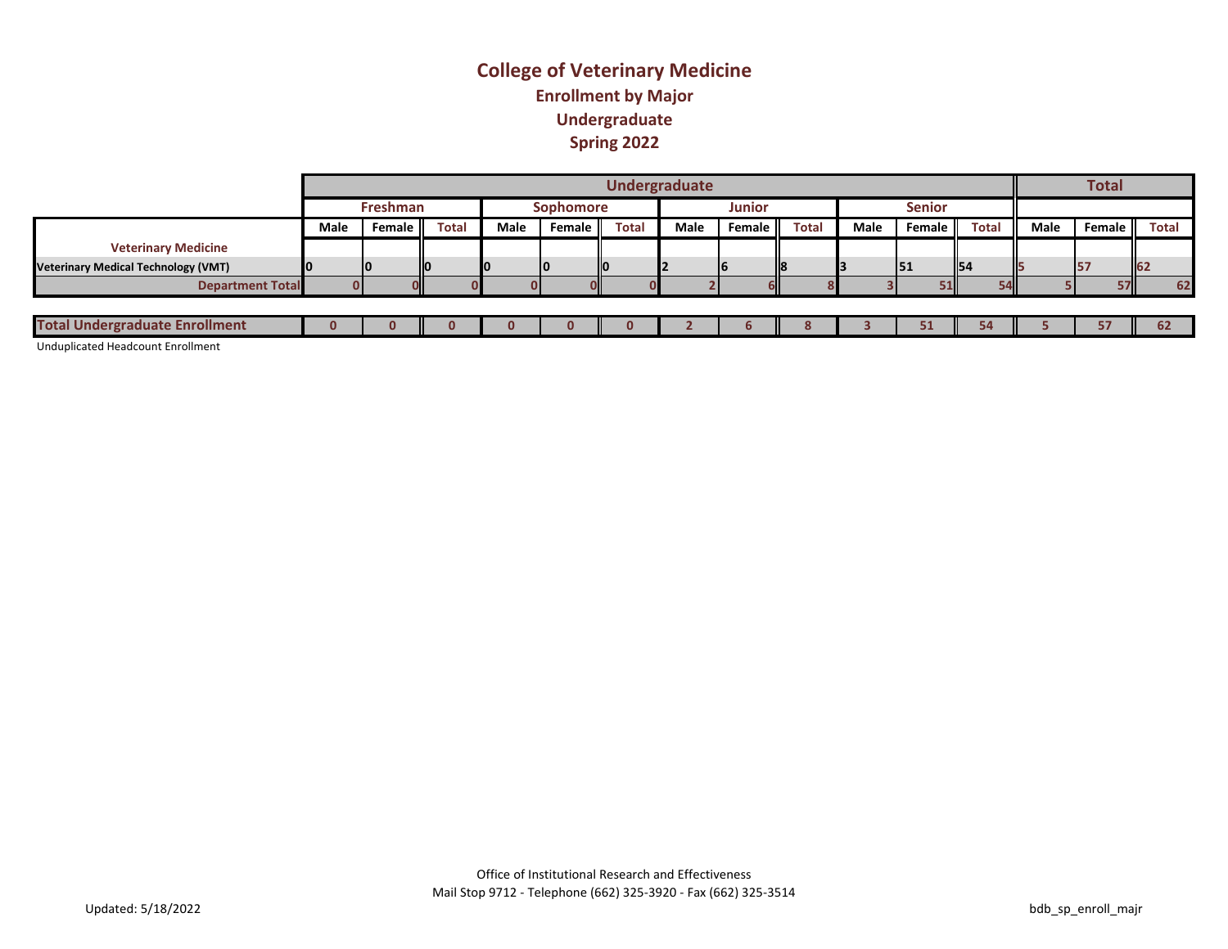## **College of Veterinary Medicine Enrollment by Major Undergraduate Spring 2022**

|                                            |      |                                                                       |       |      |        |              | Undergraduate |        |              |      |        |              |      | <b>Total</b> |              |
|--------------------------------------------|------|-----------------------------------------------------------------------|-------|------|--------|--------------|---------------|--------|--------------|------|--------|--------------|------|--------------|--------------|
|                                            |      | <b>Senior</b><br><b>Junior</b><br><b>Freshman</b><br><b>Sophomore</b> |       |      |        |              |               |        |              |      |        |              |      |              |              |
|                                            | Male | Female                                                                | Total | Male | Female | <b>Total</b> | Male          | Female | <b>Total</b> | Male | Female | <b>Total</b> | Male | Female       | <b>Total</b> |
| <b>Veterinary Medicine</b>                 |      |                                                                       |       |      |        |              |               |        |              |      |        |              |      |              |              |
| <b>Veterinary Medical Technology (VMT)</b> |      |                                                                       |       |      | IO     |              |               | 16     | ll8          |      | 51     | <b>154</b>   |      |              | <b>162</b>   |
| <b>Department Total</b>                    |      |                                                                       |       |      |        |              |               |        |              |      |        | <b>54</b>    |      | 57 I         | 62           |
|                                            |      |                                                                       |       |      |        |              |               |        |              |      |        |              |      |              |              |
| <b>Total Undergraduate Enrollment</b>      |      |                                                                       |       |      |        |              |               | ь      | $\bullet$    |      | 51     | 54           |      |              |              |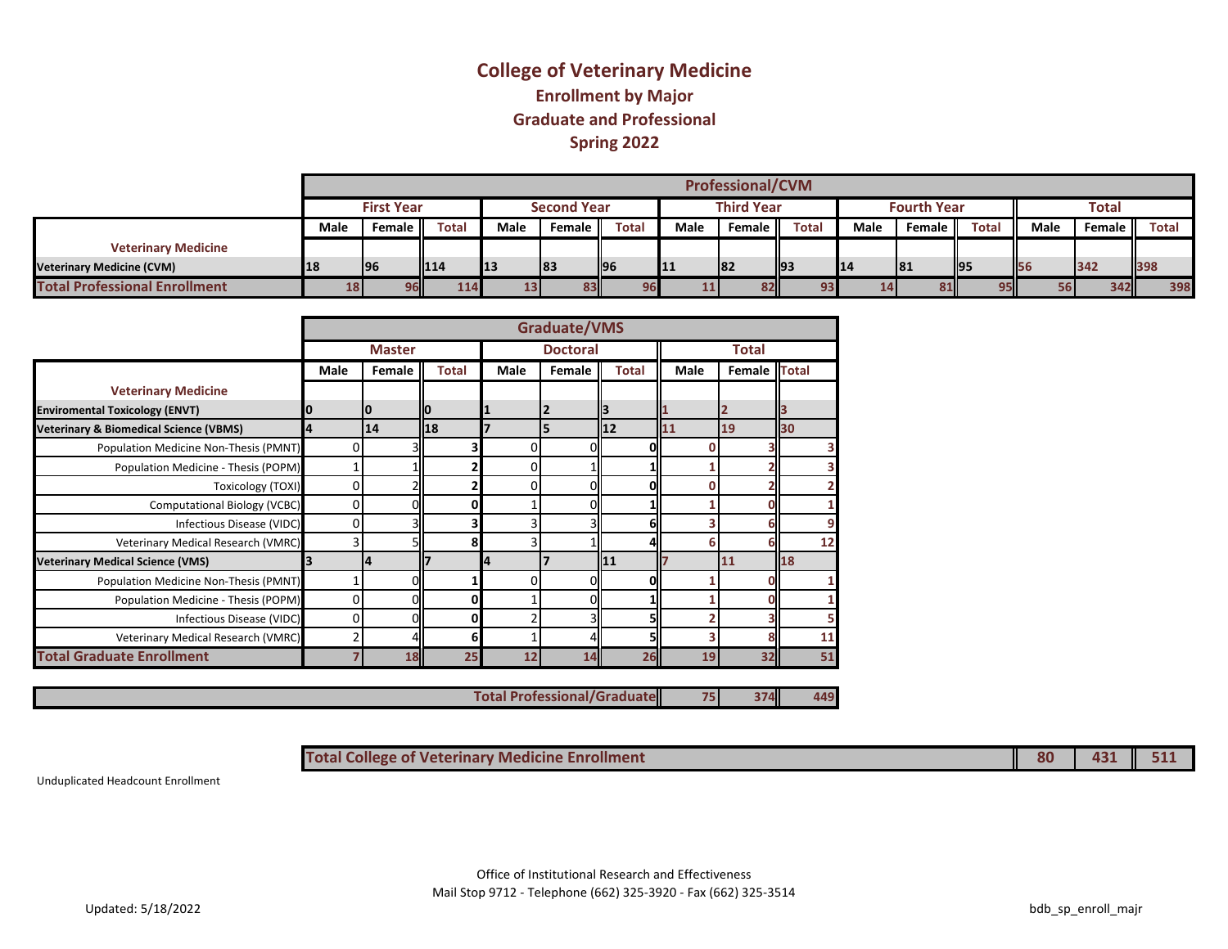## **Spring 2022 Graduate and Professional Enrollment by Major College of Veterinary Medicine**

|                                      |      | <b>Professional/CVM</b> |              |      |                    |              |      |                   |              |           |                    |              |             |           |            |
|--------------------------------------|------|-------------------------|--------------|------|--------------------|--------------|------|-------------------|--------------|-----------|--------------------|--------------|-------------|-----------|------------|
|                                      |      | <b>First Year</b>       |              |      | <b>Second Year</b> |              |      | <b>Third Year</b> |              |           | <b>Fourth Year</b> |              |             | Total     |            |
|                                      | Male | Female II               | <b>Total</b> | Male | Female             | <b>Total</b> | Male | Female            | <b>Total</b> | Male      | Female II          | <b>Total</b> | <b>Male</b> | Female II | Total      |
| <b>Veterinary Medicine</b>           |      |                         |              |      |                    |              |      |                   |              |           |                    |              |             |           |            |
| <b>Veterinary Medicine (CVM)</b>     | 18   | 196                     | II14         | 13   | 83                 | <b>196</b>   | 11   | 182               | II93         | <b>14</b> | 81                 | <b>195</b>   | <b>IS6</b>  | 342       | <b>398</b> |
| <b>Total Professional Enrollment</b> | 18   | 96                      | 114          | 131  | 83                 | 96           |      | 82 <sub>1</sub>   | co           |           | 81                 | 95           | 56          | 342       | 398        |

|                                                   |             |               |              |                 | <b>Graduate/VMS</b> |              |      |              |    |
|---------------------------------------------------|-------------|---------------|--------------|-----------------|---------------------|--------------|------|--------------|----|
|                                                   |             | <b>Master</b> |              | <b>Doctoral</b> |                     | Total        |      |              |    |
|                                                   | <b>Male</b> | Female        | <b>Total</b> | Male            | Female              | <b>Total</b> | Male | Female Total |    |
| <b>Veterinary Medicine</b>                        |             |               |              |                 |                     |              |      |              |    |
| <b>Enviromental Toxicology (ENVT)</b>             | 10          | 10            |              | 11              | $\mathbf{2}$        |              |      | 2            |    |
| <b>Veterinary &amp; Biomedical Science (VBMS)</b> | 14          | 14            | 18           |                 | 5                   | 12           | 11   | 19           | 30 |
| Population Medicine Non-Thesis (PMNT)             | 0           |               |              |                 | 01                  | ΩI           |      |              |    |
| Population Medicine - Thesis (POPM)               |             |               |              | n               |                     |              |      |              |    |
| <b>Toxicology (TOXI)</b>                          | 0           |               |              | 0               | 01                  | ΩI           |      |              |    |
| <b>Computational Biology (VCBC)</b>               | 0           |               |              |                 |                     |              |      |              |    |
| Infectious Disease (VIDC)                         | 0           |               |              |                 |                     | 61           |      |              | 9  |
| Veterinary Medical Research (VMRC)                | 3           |               | 8            |                 |                     |              | 6    | h            | 12 |
| <b>Veterinary Medical Science (VMS)</b>           | 13          | 14            |              | 14              |                     | <b>111</b>   |      | 11           | 18 |
| Population Medicine Non-Thesis (PMNT)             |             |               |              |                 |                     | ΩI           |      |              |    |
| Population Medicine - Thesis (POPM)               | 0           |               | 0            |                 | 01                  |              |      |              |    |
| Infectious Disease (VIDC)                         | 0           |               | 0            |                 |                     |              |      |              |    |
| Veterinary Medical Research (VMRC)                |             |               | 6            |                 |                     |              |      |              | 11 |
| <b>Total Graduate Enrollment</b>                  |             | 18            | 25           | 12              | 14                  | 26           | 19   | 32           | 51 |

 $\overline{a}$ 

**Total Professional/Graduate**

**75 374 449**

**Total College of Veterinary Medicine Enrollment 80 431 511**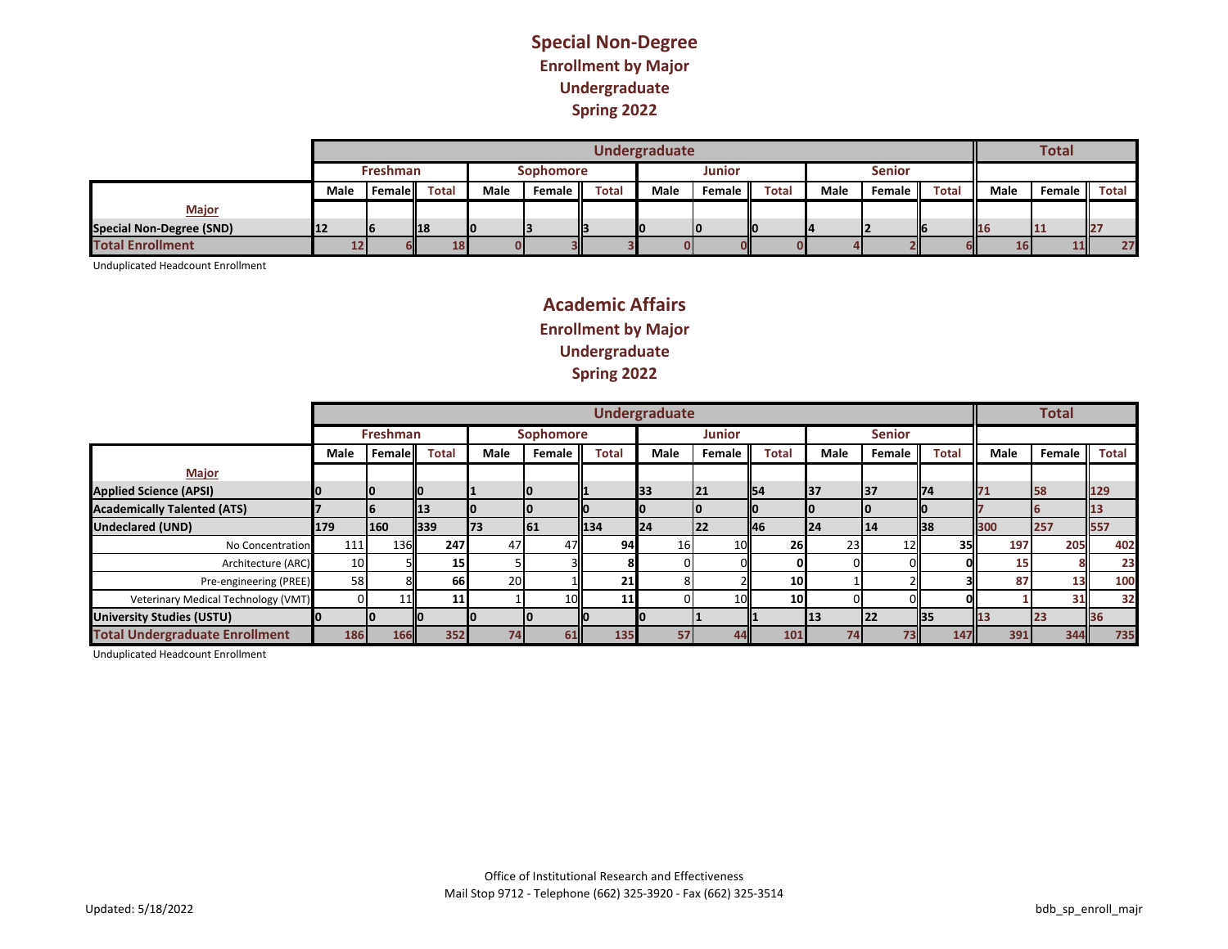#### **Special Non-Degree Enrollment by Major Undergraduate Spring 2022**

|                                 |      |                 |                         |                  |           |              | Undergraduate |           |              |      |           |              |            | <b>Total</b> |                 |
|---------------------------------|------|-----------------|-------------------------|------------------|-----------|--------------|---------------|-----------|--------------|------|-----------|--------------|------------|--------------|-----------------|
|                                 |      | <b>Freshman</b> |                         | <b>Sophomore</b> |           |              |               |           |              |      |           |              |            |              |                 |
|                                 | Male | . Female II     | <b>Total</b>            | Male             | Female II | <b>Total</b> | Male          | Female II | <b>Total</b> | Male | Female II | <b>Total</b> | Male       | Female II    | Total           |
| <b>Major</b>                    |      |                 |                         |                  |           |              |               |           |              |      |           |              |            |              |                 |
| <b>Special Non-Degree (SND)</b> | 12   | 16              | $\mathbf{\mathsf{I}18}$ |                  |           |              |               |           |              |      |           |              | <b>116</b> |              |                 |
| <b>Total Enrollment</b>         |      |                 | 18                      |                  |           |              |               |           |              |      |           |              | <b>16</b>  | 11 <b>I</b>  | 27 <sub>1</sub> |

Unduplicated Headcount Enrollment

## **Academic Affairs Enrollment by Major Undergraduate Spring 2022**

|                                       |                 |                 |                            |      |           |              | <b>Undergraduate</b> |               |              |            |                 |              |      | <b>Total</b> |       |
|---------------------------------------|-----------------|-----------------|----------------------------|------|-----------|--------------|----------------------|---------------|--------------|------------|-----------------|--------------|------|--------------|-------|
|                                       |                 | <b>Freshman</b> |                            |      | Sophomore |              |                      | <b>Junior</b> |              |            | <b>Senior</b>   |              |      |              |       |
|                                       | <b>Male</b>     | <b>Female</b>   | <b>Total</b>               | Male | Female    | <b>Total</b> | <b>Male</b>          | Female        | <b>Total</b> | Male       | Female          | <b>Total</b> | Male | Female       | Total |
| <b>Major</b>                          |                 |                 |                            |      |           |              |                      |               |              |            |                 |              |      |              |       |
| <b>Applied Science (APSI)</b>         |                 | IО              | llО                        |      |           |              | 33                   | 21            | ll54         | 137        | <b>37</b>       | <b>174</b>   | 71   | 58           | 129   |
| <b>Academically Talented (ATS)</b>    |                 | n               | $\mathbf{I}$ 13            |      |           |              |                      |               |              |            |                 |              |      |              | 13    |
| <b>Undeclared (UND)</b>               | 179             | 160             | $\mathbf{\color{red}1}339$ | 173  | 61        | 134          | 124                  | <b>22</b>     | 146          | <b>124</b> | <b>14</b>       | <b>II38</b>  | 300  | 257          | 557   |
| No Concentration                      | 111             | 136             | 247                        | 47   | 47        | 94           | 16                   | 10            | 26           | 23         | 12 <sub>1</sub> | 35           | 197  | 205          | 402   |
| Architecture (ARC)                    | 10 <sup>1</sup> |                 | 15 <sub>l</sub>            |      |           |              |                      |               |              |            |                 |              | 15   |              | 23    |
| Pre-engineering (PREE)                | 58              |                 | <b>66</b>                  | 20   |           | 21           |                      |               | 10           |            |                 |              | 87   | 13           | 100   |
| Veterinary Medical Technology (VMT)   |                 |                 | 11                         |      |           |              |                      | 10            | 10           |            |                 |              |      | 31           | 32    |
| <b>University Studies (USTU)</b>      |                 |                 |                            |      |           |              |                      |               |              | 113        | <b>22</b>       | <b>II</b> 35 |      |              | 36    |
| <b>Total Undergraduate Enrollment</b> | 186             | <b>166</b>      | 352                        | 74   | 61        | 135          | 57                   | 44            | 101          | 74         | 73              | 147          | 391  | 344          | 735   |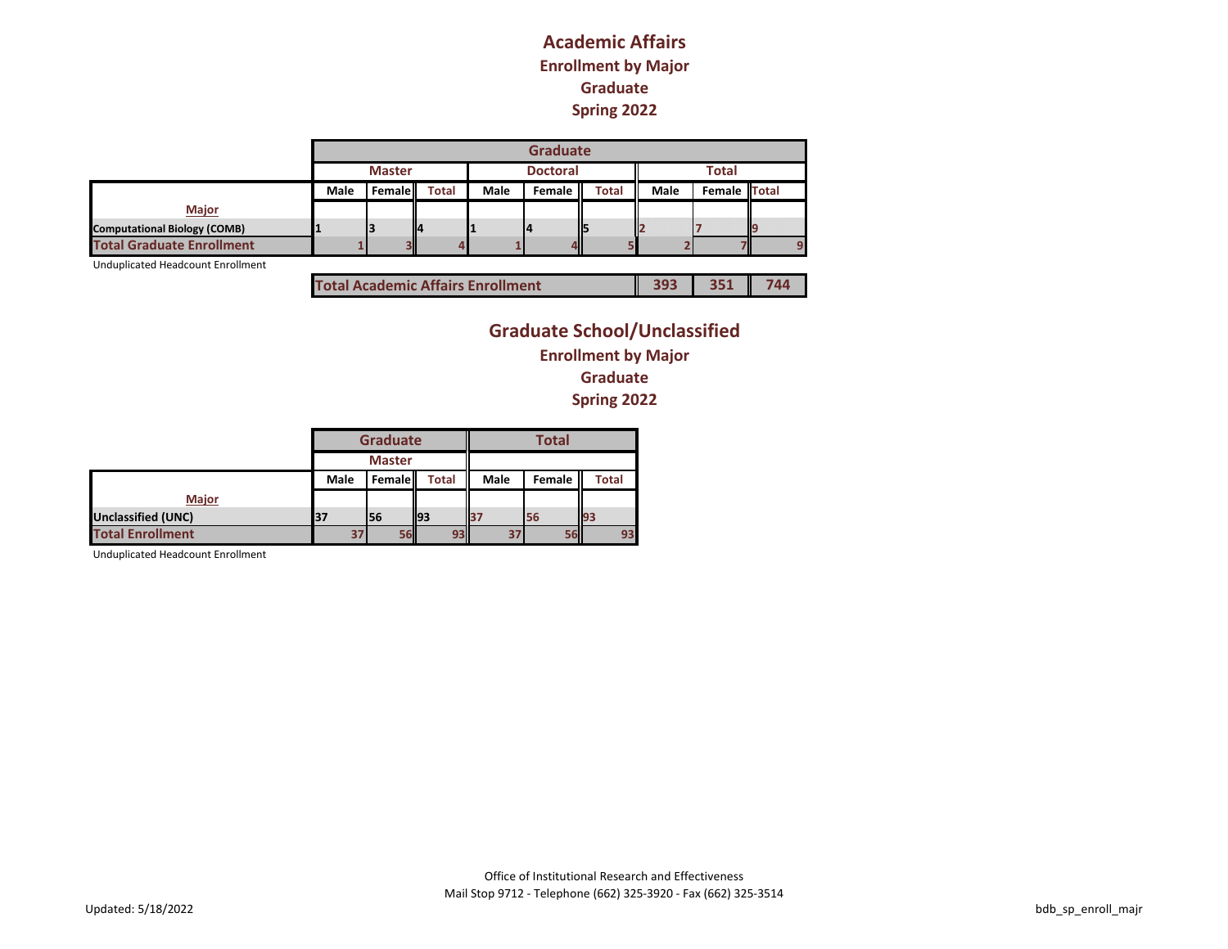#### **Academic Affairs Enrollment by Major Graduate Spring 2022**

|                                     |      |               |              |             | <b>Graduate</b> |              |      |              |     |
|-------------------------------------|------|---------------|--------------|-------------|-----------------|--------------|------|--------------|-----|
|                                     |      | <b>Master</b> |              |             | <b>Doctoral</b> |              |      | <b>Total</b> |     |
|                                     | Male | <b>Female</b> | <b>Total</b> | <b>Male</b> | Female II       | <b>Total</b> | Male | Female Total |     |
| Major                               |      |               |              |             |                 |              |      |              |     |
| <b>Computational Biology (COMB)</b> |      |               |              |             |                 | ΙĘ           |      |              | llq |
| <b>Total Graduate Enrollment</b>    |      |               |              |             | 4II             |              |      |              | o   |

Unduplicated Headcount Enrollment

| <b>Total Academic Affairs Enrollment</b> | 393 | 351 744 |  |
|------------------------------------------|-----|---------|--|
|------------------------------------------|-----|---------|--|

## **Graduate School/Unclassified Enrollment by Major Graduate Spring 2022**

|                           |      | <b>Graduate</b> |              |             |        |              |
|---------------------------|------|-----------------|--------------|-------------|--------|--------------|
|                           |      | <b>Master</b>   |              |             |        |              |
|                           | Male | Female          | <b>Total</b> | <b>Male</b> | Female | <b>Total</b> |
| <b>Major</b>              |      |                 |              |             |        |              |
| <b>Unclassified (UNC)</b> | 137  | 56              | 193          | 37          | 56     | 193          |
| <b>Total Enrollment</b>   | 37   | 56              | 93           | 37          |        | 93           |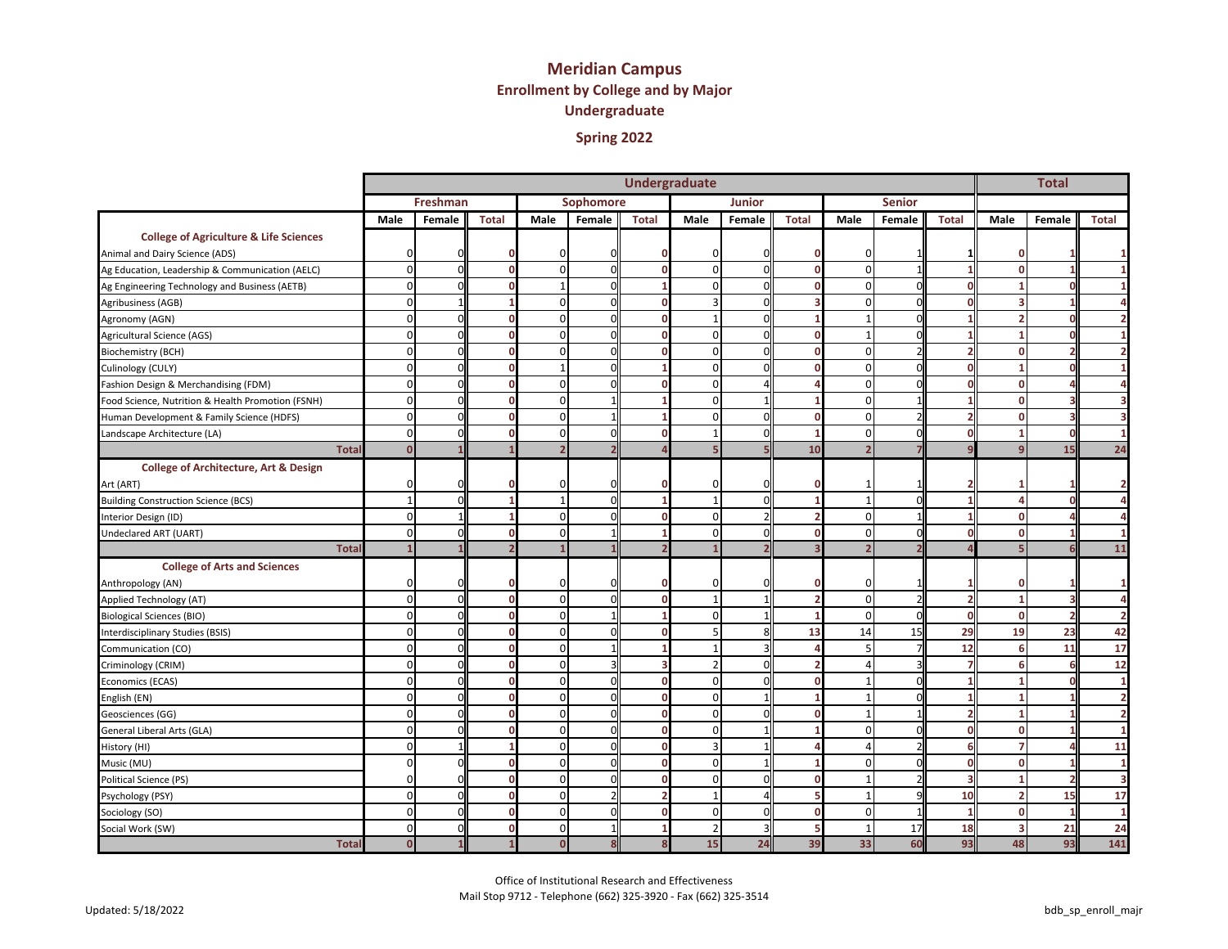# **Meridian Campus Enrollment by College and by Major Undergraduate**

| Spring 2022 |  |
|-------------|--|
|-------------|--|

|                                                   |                |          |              |                          |              | <b>Undergraduate</b> |                |               |              |              |               |              |                          |                |                |
|---------------------------------------------------|----------------|----------|--------------|--------------------------|--------------|----------------------|----------------|---------------|--------------|--------------|---------------|--------------|--------------------------|----------------|----------------|
|                                                   |                | Freshman |              |                          | Sophomore    |                      |                | <b>Junior</b> |              |              | <b>Senior</b> |              |                          |                |                |
|                                                   | Male           | Female   | <b>Total</b> | Male                     | Female       | <b>Total</b>         | Male           | Female        | <b>Total</b> | Male         | Female        | <b>Total</b> | <b>Male</b>              | Female         | <b>Total</b>   |
| <b>College of Agriculture &amp; Life Sciences</b> |                |          |              |                          |              |                      |                |               |              |              |               |              |                          |                |                |
| Animal and Dairy Science (ADS)                    | 0              |          |              | n                        |              |                      | 0              |               | 0            | O            |               |              |                          |                |                |
| Ag Education, Leadership & Communication (AELC)   | $\mathbf 0$    |          | n            | $\Omega$                 | $\Omega$     |                      | $\Omega$       |               | $\mathbf 0$  | $\Omega$     |               |              | $\Omega$                 |                |                |
| Ag Engineering Technology and Business (AETB)     | $\mathbf 0$    | n        | n            |                          | $\Omega$     |                      | $\Omega$       |               | $\Omega$     | $\Omega$     | $\Omega$      |              |                          |                |                |
| Agribusiness (AGB)                                | $\mathbf 0$    |          |              | $\Omega$                 |              | n                    | 3              |               | з            | $\Omega$     | $\Omega$      |              |                          |                |                |
| Agronomy (AGN)                                    | $\mathbf 0$    |          | O            | $\Omega$                 | n            | $\Omega$             | $\overline{1}$ |               |              |              | $\Omega$      |              | $\mathbf{z}$             |                |                |
| Agricultural Science (AGS)                        | $\Omega$       |          | O            | $\Omega$                 | ŋ            | n                    | $\Omega$       |               | $\mathbf 0$  |              | n             |              |                          |                |                |
| Biochemistry (BCH)                                | $\mathbf 0$    |          | 0            | $\Omega$                 | n            |                      | $\mathbf 0$    |               | $\mathbf 0$  | $\Omega$     |               |              | 0                        |                |                |
| Culinology (CULY)                                 | $\mathbf 0$    | $\Omega$ | O            | $\overline{1}$           | $\Omega$     |                      | $\mathbf 0$    |               | $\mathbf 0$  | $\Omega$     | O             |              |                          |                |                |
| Fashion Design & Merchandising (FDM)              | $\Omega$       |          | O            | $\Omega$                 |              |                      | $\Omega$       |               |              | <sup>0</sup> | O             |              | $\Omega$                 |                |                |
| Food Science, Nutrition & Health Promotion (FSNH) | $\mathbf 0$    | $\Omega$ | 0            | $\Omega$                 |              |                      | $\mathbf 0$    |               |              | $\Omega$     |               |              | $\mathbf{0}$             |                | 3              |
| Human Development & Family Science (HDFS)         | $\mathbf 0$    | n        | O            | $\Omega$                 |              |                      | $\Omega$       |               | $\mathbf 0$  | $\Omega$     |               |              | 0                        |                |                |
| Landscape Architecture (LA)                       | $\Omega$       |          | O            | $\Omega$                 |              |                      |                |               |              | $\Omega$     | O             |              |                          |                |                |
| <b>Tota</b>                                       | $\Omega$       |          |              | $\overline{\phantom{a}}$ |              |                      |                |               | 10           |              |               |              |                          | 15             | 24             |
| <b>College of Architecture, Art &amp; Design</b>  |                |          |              |                          |              |                      |                |               |              |              |               |              |                          |                |                |
| Art (ART)                                         | $\Omega$       |          |              | n                        |              |                      | 0              |               | n            |              |               |              |                          |                | $\overline{2}$ |
| <b>Building Construction Science (BCS)</b>        | $\mathbf{1}$   |          |              |                          | $\Omega$     |                      | $\overline{1}$ |               |              |              | ŋ             |              |                          |                | Δ              |
| Interior Design (ID)                              | $\mathbf 0$    |          |              | $\Omega$                 |              |                      | $\mathbf 0$    |               |              | $\Omega$     |               |              | 0                        |                |                |
| Undeclared ART (UART)                             | $\mathbf 0$    |          | $\Omega$     | $\Omega$                 |              |                      | $\Omega$       |               | $\mathbf 0$  | $\Omega$     | O             |              | $\Omega$                 |                | 1              |
| <b>Total</b>                                      | $\overline{1}$ |          |              |                          |              |                      |                |               | R            |              |               |              |                          |                | 11             |
| <b>College of Arts and Sciences</b>               |                |          |              |                          |              |                      |                |               |              |              |               |              |                          |                |                |
| Anthropology (AN)                                 | 0              |          | Ω            | O                        |              |                      | $\mathbf{0}$   |               | 0            | <sup>0</sup> |               |              | 0                        |                | $\mathbf{1}$   |
| Applied Technology (AT)                           | $\mathbf 0$    | $\Omega$ | $\mathbf 0$  | $\Omega$                 | n            |                      | $\overline{1}$ |               | 2            | $\Omega$     |               |              |                          | З              | $\overline{a}$ |
| <b>Biological Sciences (BIO)</b>                  | $\Omega$       |          | O            | $\Omega$                 |              |                      | $\Omega$       |               |              | $\Omega$     | $\Omega$      |              | $\Omega$                 | $\overline{2}$ | $\overline{2}$ |
| Interdisciplinary Studies (BSIS)                  | $\mathbf 0$    | ŋ        | 0            | $\Omega$                 | <sub>∩</sub> |                      |                |               | 13           | 14           | 15            | 29           | 19                       | 23             | 42             |
| Communication (CO)                                | $\mathbf 0$    |          | 0            | $\Omega$                 |              |                      | $\mathbf{1}$   |               |              |              |               | 12           | 6                        | 11             | 17             |
| Criminology (CRIM)                                | $\Omega$       |          |              | $\Omega$                 |              |                      | $\mathcal{D}$  |               |              |              |               |              | 6                        |                | 12             |
| Economics (ECAS)                                  | $\mathbf 0$    |          | O            | $\Omega$                 | $\Omega$     | O                    | $\mathbf 0$    |               | $\mathbf 0$  |              | $\Omega$      |              |                          |                | $\mathbf{1}$   |
| English (EN)                                      | $\mathbf 0$    |          | O            | $\Omega$                 |              | n                    | $\Omega$       |               |              |              | O             |              |                          |                | $\overline{2}$ |
| Geosciences (GG)                                  | $\mathbf 0$    | $\Omega$ | O            | $\Omega$                 | U            | n                    | $\Omega$       |               | $\Omega$     |              |               |              |                          |                | $\overline{2}$ |
| General Liberal Arts (GLA)                        | $\mathbf 0$    | $\Omega$ | O            | $\Omega$                 | ŋ            | $\Omega$             | $\mathbf 0$    |               |              | 0            | O             |              | 0                        |                | $\mathbf{1}$   |
| History (HI)                                      | $\mathbf 0$    |          |              | $\Omega$                 | $\Omega$     | $\Omega$             | 3              |               |              |              |               |              | 7                        |                | 11             |
| Music (MU)                                        | $\Omega$       |          | O            | $\Omega$                 | $\Omega$     | $\Omega$             | $\Omega$       |               |              | $\Omega$     | O             |              | $\mathbf{0}$             |                | 1              |
| Political Science (PS)                            | n              |          | O            | $\Omega$                 |              |                      | $\Omega$       |               | $\sqrt{2}$   |              |               |              |                          | 2              | 3              |
| Psychology (PSY)                                  | $\mathbf 0$    | $\Omega$ | $\Omega$     | $\Omega$                 |              |                      | $\mathbf{1}$   |               |              |              | q             | 10           | $\overline{\phantom{a}}$ | 15             | 17             |
| Sociology (SO)                                    | $\Omega$       | ŋ        | 0            | $\Omega$                 |              |                      | $\Omega$       |               | $\mathbf 0$  | $\Omega$     |               |              | $\Omega$                 |                | $\overline{1}$ |
| Social Work (SW)                                  | $\Omega$       |          | n            | $\Omega$                 |              |                      | $\mathcal{P}$  |               |              |              | 17            | 18           |                          | 21             | 24             |
| <b>Total</b>                                      | $\mathbf 0$    |          |              | $\mathbf 0$              | 8            | 8                    | 15             | 24            | 39           | 33           | 60            | 93           | 48                       | 93             | 141            |

Office of Institutional Research and Effectiveness Mail Stop 9712 - Telephone (662) 325-3920 - Fax (662) 325-3514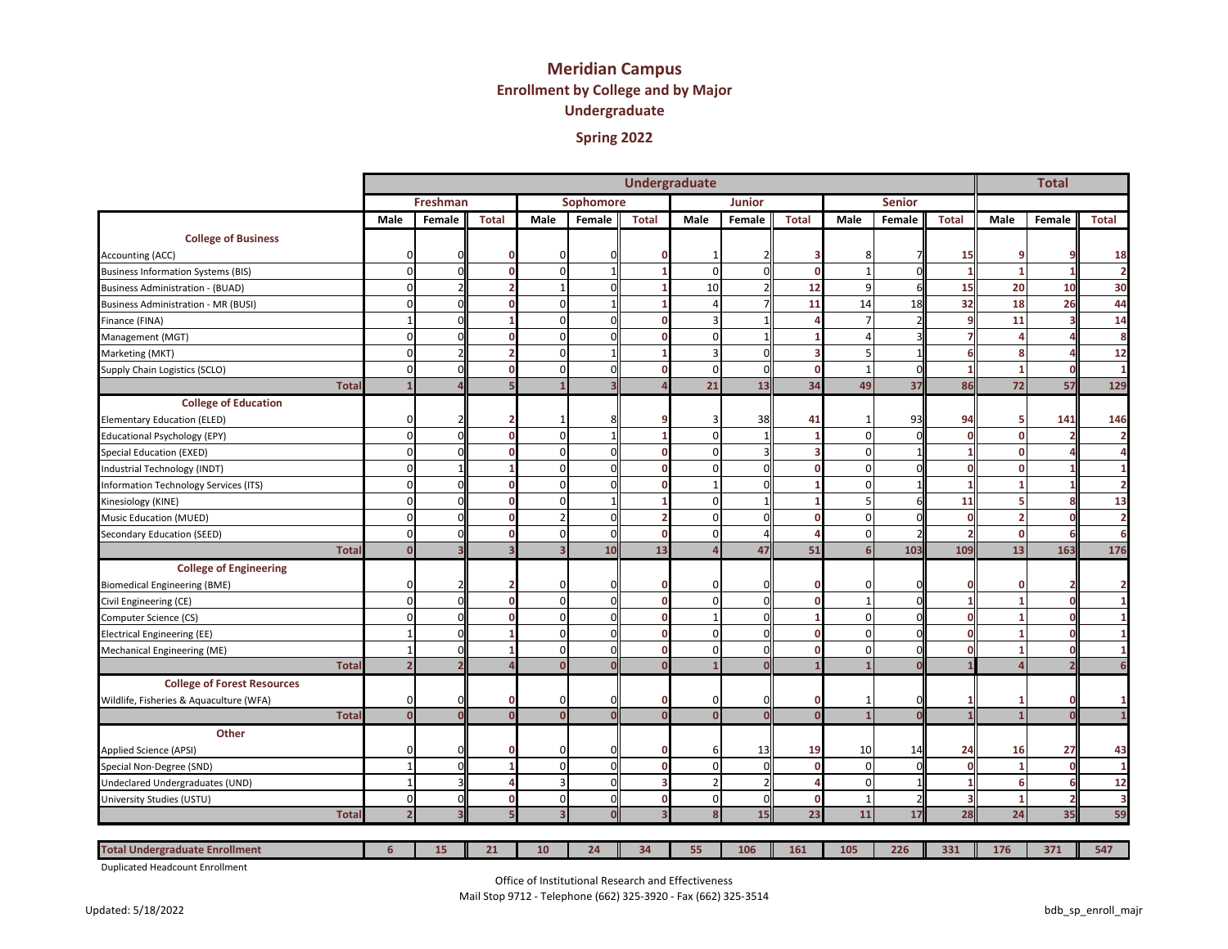# **Meridian Campus Enrollment by College and by Major Undergraduate**

| Spring 2022 |  |
|-------------|--|
|-------------|--|

|                                            |              |                |                |                         |                          |           |              | <b>Undergraduate</b> |               |                |              |               |              |                | <b>Total</b>   |                |
|--------------------------------------------|--------------|----------------|----------------|-------------------------|--------------------------|-----------|--------------|----------------------|---------------|----------------|--------------|---------------|--------------|----------------|----------------|----------------|
|                                            |              |                | Freshman       |                         |                          | Sophomore |              |                      | <b>Junior</b> |                |              | <b>Senior</b> |              |                |                |                |
|                                            |              | Male           | Female         | <b>Total</b>            | Male                     | Female    | <b>Total</b> | Male                 | Female        | <b>Total</b>   | Male         | Female        | <b>Total</b> | Male           | Female         | <b>Total</b>   |
| <b>College of Business</b>                 |              |                |                |                         |                          |           |              |                      |               |                |              |               |              |                |                |                |
| Accounting (ACC)                           |              | $\Omega$       | $\Omega$       |                         | $\mathbf{0}$             |           |              |                      |               | 3              |              |               | 15           |                |                | 18             |
| <b>Business Information Systems (BIS)</b>  |              | $\overline{0}$ | $\Omega$       | n                       | $\mathbf{0}$             |           |              | $\mathbf 0$          |               | $\mathbf 0$    |              |               |              | $\overline{1}$ | $\overline{1}$ | $\overline{2}$ |
| <b>Business Administration - (BUAD)</b>    |              | $\Omega$       | $\mathcal{D}$  |                         | $\overline{1}$           |           |              | 10                   |               | 12             | q            |               | 15           | 20             | 10             | 30             |
| <b>Business Administration - MR (BUSI)</b> |              | $\overline{0}$ | $\Omega$       | O                       | $\Omega$                 |           |              | 4                    |               | 11             | 14           | 18            | 32           | 18             | 26             | 44             |
| Finance (FINA)                             |              |                | $\Omega$       |                         | 0                        |           |              | 3                    |               |                |              |               |              | 11             | Ŕ              | 14             |
| Management (MGT)                           |              | $\Omega$       | $\Omega$       | $\Omega$                | $\Omega$                 | n         | $\Omega$     | $\mathbf 0$          |               |                | $\Lambda$    |               |              |                |                | 8              |
| Marketing (MKT)                            |              | $\mathbf 0$    |                |                         | $\mathbf{0}$             |           |              | $\overline{3}$       |               | 3              | 5            |               |              | 8              |                | 12             |
| Supply Chain Logistics (SCLO)              |              | $\mathbf 0$    | $\Omega$       | n                       | $\Omega$                 |           | n            | $\Omega$             | O             | $\mathbf 0$    |              | $\Omega$      |              |                | $\mathbf 0$    | -1             |
|                                            | <b>Total</b> |                |                |                         |                          |           |              | 21                   | 13            | 34             | 49           | 37            | 86           | 72             | 57             | 129            |
| <b>College of Education</b>                |              |                |                |                         |                          |           |              |                      |               |                |              |               |              |                |                |                |
| Elementary Education (ELED)                |              | $\Omega$       |                | 2                       | $\overline{\phantom{a}}$ |           |              | 3                    | 38            | 41             |              | 93            | 94           | 5              | 141            | 146            |
| <b>Educational Psychology (EPY)</b>        |              | $\Omega$       | $\Omega$       | n                       | $\Omega$                 |           |              | $\Omega$             |               |                | $\Omega$     | U             |              | $\Omega$       | 2              | 2              |
| Special Education (EXED)                   |              | $\Omega$       | $\Omega$       | n                       | $\Omega$                 |           | n            | $\Omega$             |               | в              | $\Omega$     |               |              | n              |                |                |
| Industrial Technology (INDT)               |              | $\overline{0}$ | $\mathbf{1}$   |                         | $\mathbf{0}$             |           | n            | $\overline{0}$       |               | $\mathbf 0$    | $\Omega$     | n             |              | 0              |                |                |
| Information Technology Services (ITS)      |              | $\Omega$       | $\Omega$       | n                       | $\Omega$                 |           | n            | $\mathbf{1}$         |               |                | $\Omega$     |               |              |                |                |                |
| Kinesiology (KINE)                         |              | $\mathbf 0$    | $\overline{0}$ | O                       | $\Omega$                 |           |              | $\mathbf 0$          |               |                | 5            |               | 11           |                | 8              | 13             |
| <b>Music Education (MUED)</b>              |              | $\overline{0}$ | $\Omega$       | n                       | $\overline{2}$           |           |              | $\Omega$             |               | $\mathbf 0$    | $\Omega$     |               |              |                | O              |                |
| Secondary Education (SEED)                 |              | $\overline{0}$ | $\Omega$       | $\mathbf 0$             | $\mathbf{0}$             | U         | 0            | $\mathbf 0$          | Δ             | $\overline{a}$ | $\mathbf 0$  |               |              | $\mathbf 0$    | 6              | 6              |
|                                            | <b>Total</b> | $\mathbf{0}$   |                | $\overline{\mathbf{3}}$ | $\overline{\mathbf{3}}$  | 10        | 13           | $\Delta$             | 47            | 51             | 6            | 103           | 109          | 13             | 163            | 176            |
| <b>College of Engineering</b>              |              |                |                |                         |                          |           |              |                      |               |                |              |               |              |                |                |                |
| <b>Biomedical Engineering (BME)</b>        |              | $\Omega$       |                |                         | 0                        |           | o            | O                    |               | 0              | <sup>0</sup> |               |              | Ω              |                |                |
| Civil Engineering (CE)                     |              | $\Omega$       | $\Omega$       | $\Omega$                | $\Omega$                 |           | $\Omega$     | $\Omega$             |               | $\Omega$       |              | O             |              |                | $\Omega$       |                |
| Computer Science (CS)                      |              | $\Omega$       | $\Omega$       | n                       | $\Omega$                 |           | n            | $\mathbf{1}$         |               |                | $\Omega$     | U             |              |                | $\Omega$       |                |
| <b>Electrical Engineering (EE)</b>         |              |                | $\Omega$       |                         | $\Omega$                 |           | n            | $\Omega$             |               | $\mathbf 0$    | $\Omega$     | U             |              |                | O              |                |
| Mechanical Engineering (ME)                |              |                | $\Omega$       |                         | $\Omega$                 |           | n            | $\Omega$             |               | $\mathbf 0$    | $\Omega$     | U             |              |                |                |                |
|                                            | <b>Total</b> | $\overline{2}$ |                |                         | $\Omega$                 |           | $\Omega$     |                      |               |                |              |               |              |                |                |                |
| <b>College of Forest Resources</b>         |              |                |                |                         |                          |           |              |                      |               |                |              |               |              |                |                |                |
| Wildlife, Fisheries & Aquaculture (WFA)    |              | 0              | $\Omega$       |                         | 0                        |           |              | 0                    | n             | $\mathbf 0$    |              |               |              |                | O              |                |
|                                            | <b>Total</b> | $\mathbf{0}$   | $\mathbf{o}$   | $\Omega$                | $\mathbf{0}$             |           | $\mathbf{0}$ | $\mathbf{0}$         | n             | $\mathbf{0}$   |              |               |              |                | $\Omega$       |                |
| Other                                      |              |                |                |                         |                          |           |              |                      |               |                |              |               |              |                |                |                |
| Applied Science (APSI)                     |              | $\Omega$       | $\Omega$       |                         | 0                        |           | n            | 6                    | 13            | 19             | 10           | 14            | 24           | 16             | 27             | 43             |
| Special Non-Degree (SND)                   |              |                | $\Omega$       |                         | $\overline{0}$           |           | n            | $\Omega$             |               | $\mathbf 0$    | $\Omega$     | U             |              |                | $\Omega$       |                |
| Undeclared Undergraduates (UND)            |              |                |                |                         | Е                        |           |              | $\mathcal{P}$        |               |                | $\Omega$     |               |              |                | 6              | 12             |
| University Studies (USTU)                  |              | $\mathbf 0$    | $\Omega$       | n                       | $\mathbf{0}$             | n         | O            | $\overline{0}$       | n             | $\mathbf 0$    | -1           | 2             |              | -1             | $\overline{2}$ | З              |
|                                            | <b>Tota</b>  | $\overline{2}$ |                |                         | З                        |           |              | $\mathbf{8}$         | 15            | 23             | 11           | 17            | 28           | 24             | 35             | 59             |
|                                            |              |                |                |                         |                          |           |              |                      |               |                |              |               |              |                |                |                |
| <b>Total Undergraduate Enrollment</b>      |              | 6              | 15             | 21                      | 10                       | 24        | 34           | 55                   | 106           | 161            | 105          | 226           | 331          | 176            | 371            | 547            |

Duplicated Headcount Enrollment

Office of Institutional Research and Effectiveness

Mail Stop 9712 - Telephone (662) 325-3920 - Fax (662) 325-3514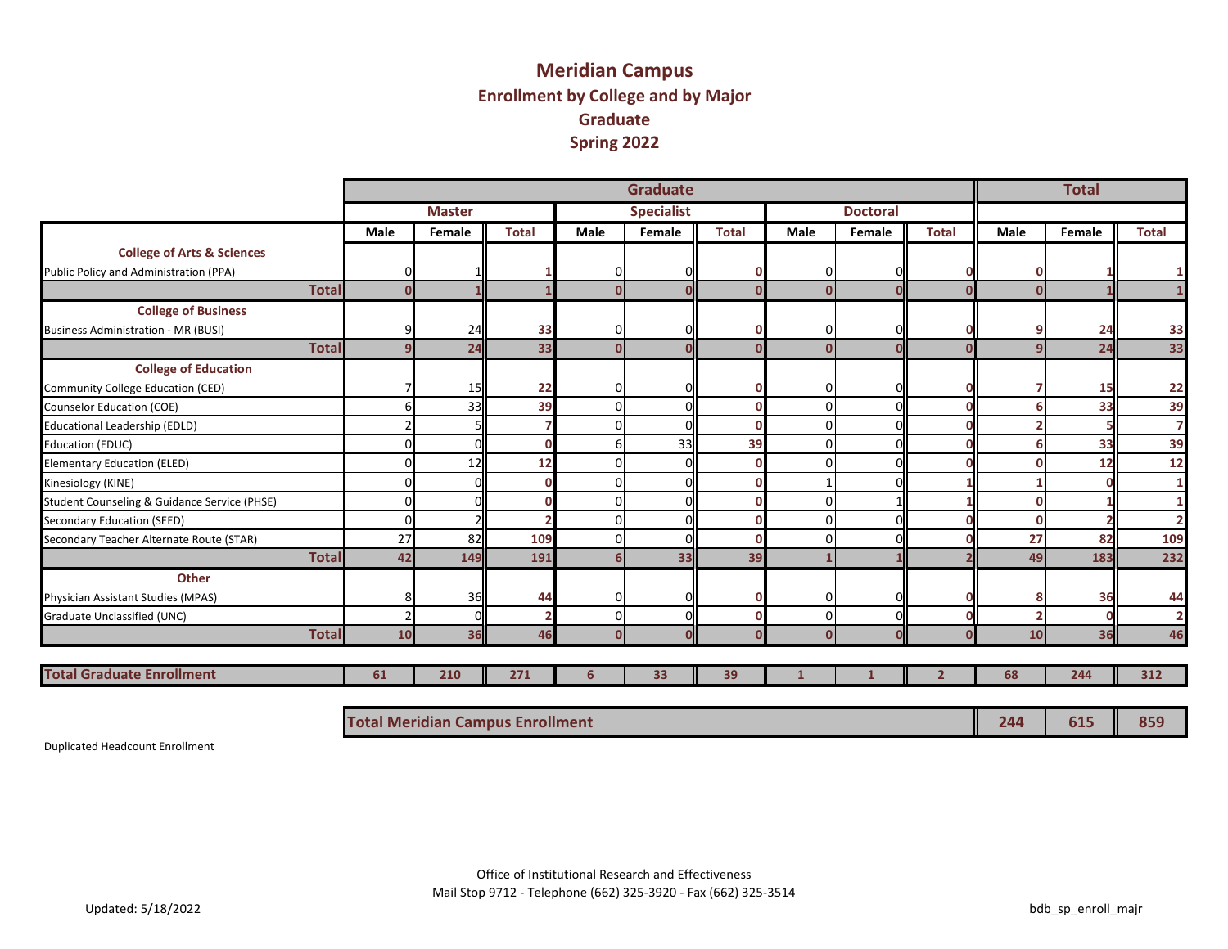## **Meridian Campus Enrollment by College and by Major Graduate Spring 2022**

|                                              |              |             |               |                                         |      | <b>Graduate</b>   |              |          |                 |              |      | <b>Total</b> |                |  |  |  |
|----------------------------------------------|--------------|-------------|---------------|-----------------------------------------|------|-------------------|--------------|----------|-----------------|--------------|------|--------------|----------------|--|--|--|
|                                              |              |             | <b>Master</b> |                                         |      | <b>Specialist</b> |              |          | <b>Doctoral</b> |              |      |              |                |  |  |  |
|                                              |              | <b>Male</b> | Female        | <b>Total</b>                            | Male | Female            | <b>Total</b> | Male     | Female          | <b>Total</b> | Male | Female       | <b>Total</b>   |  |  |  |
| <b>College of Arts &amp; Sciences</b>        |              |             |               |                                         |      |                   |              |          |                 |              |      |              |                |  |  |  |
| Public Policy and Administration (PPA)       |              | 0           |               |                                         |      | O                 |              | 0        |                 |              |      |              | 1              |  |  |  |
|                                              | <b>Total</b> | $\Omega$    |               |                                         | n    | Ō                 |              | $\Omega$ | n               |              |      |              | $\mathbf{1}$   |  |  |  |
| <b>College of Business</b>                   |              |             |               |                                         |      |                   |              |          |                 |              |      |              |                |  |  |  |
| <b>Business Administration - MR (BUSI)</b>   |              | 9           | 24            | 33                                      |      | 0                 |              | 0        | n               |              |      | 24           | 33             |  |  |  |
|                                              | <b>Total</b> | 9           | 24            | 33                                      | n    | U                 |              | $\Omega$ | $\Omega$        |              |      | 24           | 33             |  |  |  |
| <b>College of Education</b>                  |              |             |               |                                         |      |                   |              |          |                 |              |      |              |                |  |  |  |
| Community College Education (CED)            |              |             | 15            | 22                                      | ŋ    | 0                 |              | 0        | O               |              |      | 15           | 22             |  |  |  |
| <b>Counselor Education (COE)</b>             |              | 6           | 33            | 39                                      | U    | $\mathbf 0$       |              | $\Omega$ | $\Omega$        |              |      | 33           | 39             |  |  |  |
| <b>Educational Leadership (EDLD)</b>         |              |             |               |                                         |      | $\Omega$          |              | $\Omega$ | $\Omega$        |              |      |              | $\overline{7}$ |  |  |  |
| <b>Education (EDUC)</b>                      |              | $\Omega$    | $\Omega$      |                                         |      | 33                | 39           | $\Omega$ | $\Omega$        |              |      | 33           | 39             |  |  |  |
| <b>Elementary Education (ELED)</b>           |              | $\Omega$    | 12            | 12                                      |      | $\Omega$          |              |          | $\Omega$        |              |      | 12           | 12             |  |  |  |
| Kinesiology (KINE)                           |              | $\Omega$    |               |                                         |      | $\Omega$          |              |          | $\Omega$        |              |      |              | 1              |  |  |  |
| Student Counseling & Guidance Service (PHSE) |              | 0           |               |                                         |      | $\Omega$          |              | $\Omega$ |                 |              |      |              | 1              |  |  |  |
| Secondary Education (SEED)                   |              | 0           | $\mathcal{P}$ |                                         |      | $\Omega$          |              | $\Omega$ | $\Omega$        |              |      |              | $\overline{2}$ |  |  |  |
| Secondary Teacher Alternate Route (STAR)     |              | 27          | 82            | 109                                     |      | $\Omega$          |              | $\Omega$ | $\Omega$        |              | 27   | 82           | 109            |  |  |  |
|                                              | <b>Total</b> | 42          | 149           | 191                                     |      | 33                | 39           |          |                 |              | 49   | 183          | 232            |  |  |  |
| Other                                        |              |             |               |                                         |      |                   |              |          |                 |              |      |              |                |  |  |  |
| Physician Assistant Studies (MPAS)           |              | 8           | 36            | 44                                      |      | 0                 |              | 0        | n               |              |      | 36           | 44             |  |  |  |
| <b>Graduate Unclassified (UNC)</b>           |              |             | $\Omega$      |                                         |      | $\Omega$          |              | $\Omega$ | $\Omega$        |              |      | 0            | $\overline{2}$ |  |  |  |
|                                              | <b>Total</b> | 10          | 36            | 46                                      |      | U                 |              | $\Omega$ | $\Omega$        |              | 10   | 36           | 46             |  |  |  |
|                                              |              |             |               |                                         |      |                   |              |          |                 |              |      |              |                |  |  |  |
| <b>Total Graduate Enrollment</b>             |              | 61          | 210           | 271                                     | 6    | 33                | 39           |          |                 |              | 68   | 244          | 312            |  |  |  |
|                                              |              |             |               |                                         |      |                   |              |          |                 |              |      |              |                |  |  |  |
|                                              |              |             |               | <b>Total Meridian Campus Enrollment</b> |      |                   |              |          |                 |              | 244  | 615          | 859            |  |  |  |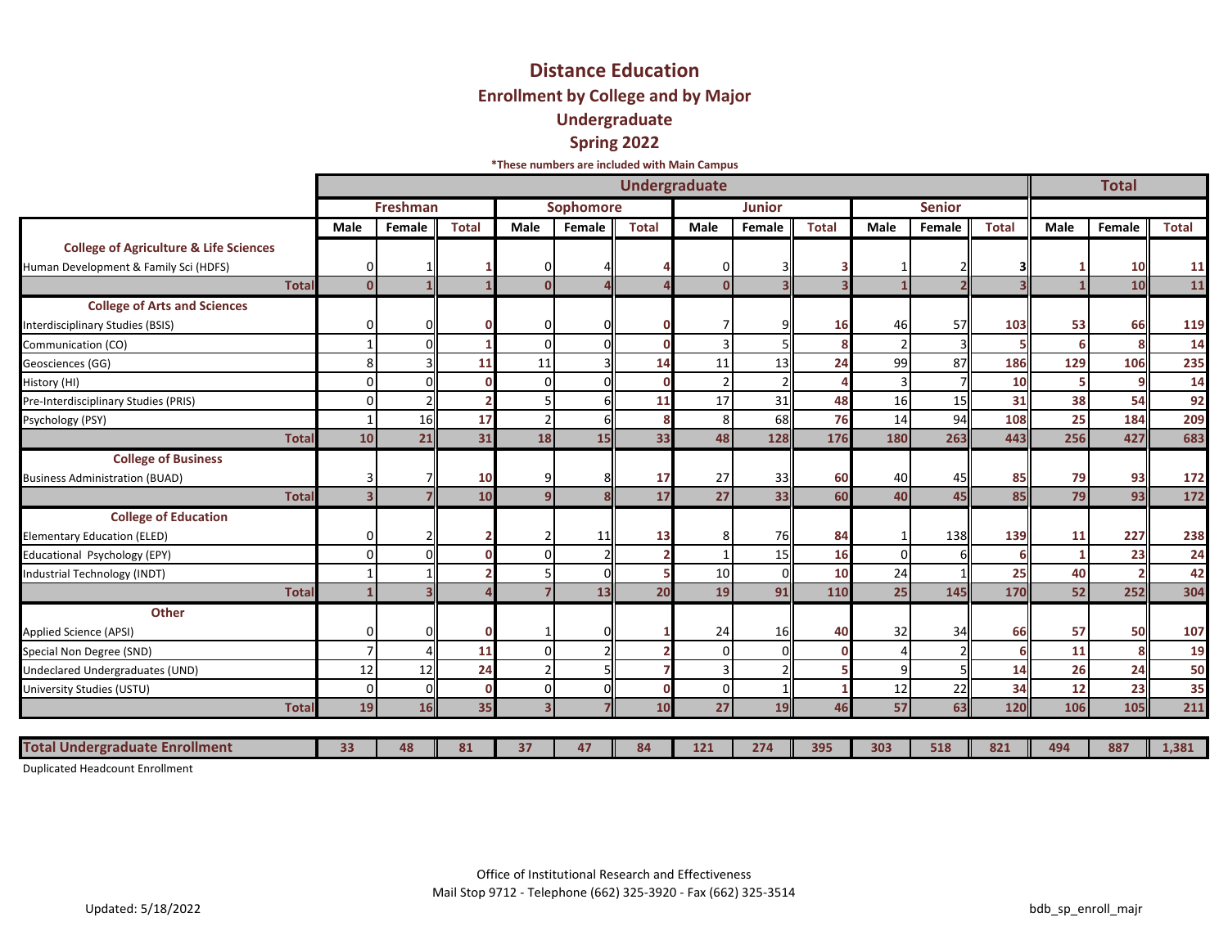## **Undergraduate Spring 2022 \*These numbers are included with Main Campus Distance Education Enrollment by College and by Major**

|                                                                                            |                         |                 |              |                         |                  |              | <b>Undergraduate</b> |               |                         |              |               |              |             | <b>Total</b> |              |
|--------------------------------------------------------------------------------------------|-------------------------|-----------------|--------------|-------------------------|------------------|--------------|----------------------|---------------|-------------------------|--------------|---------------|--------------|-------------|--------------|--------------|
|                                                                                            |                         | <b>Freshman</b> |              |                         | <b>Sophomore</b> |              |                      | <b>Junior</b> |                         |              | <b>Senior</b> |              |             |              |              |
|                                                                                            | <b>Male</b>             | Female          | <b>Total</b> | Male                    | Female           | <b>Total</b> | Male                 | Female        | <b>Total</b>            | <b>Male</b>  | Female        | <b>Total</b> | <b>Male</b> | Female       | <b>Total</b> |
| <b>College of Agriculture &amp; Life Sciences</b><br>Human Development & Family Sci (HDFS) | O                       |                 |              |                         |                  |              | 0                    |               |                         |              |               |              |             | 10           | 11           |
| <b>Total</b>                                                                               | $\mathbf{0}$            |                 |              | $\Omega$                |                  |              | $\mathbf{0}$         |               | $\overline{\mathbf{z}}$ |              |               |              |             | 10           | 11           |
| <b>College of Arts and Sciences</b><br>Interdisciplinary Studies (BSIS)                    |                         |                 |              |                         |                  |              |                      |               | 16                      | 46           | 57            | 103          | 53          | 66           | 119          |
| Communication (CO)                                                                         |                         |                 |              |                         |                  |              | 3 <sub>1</sub>       |               |                         |              |               |              | 6           |              | 14           |
| Geosciences (GG)                                                                           | 8                       |                 | 11           | 11                      |                  | 14           | 11                   | 13            | 24                      | 99           | 87            | 186          | 129         | 106          | 235          |
| History (HI)                                                                               | U                       |                 |              |                         |                  | r            | $\overline{2}$       |               |                         |              |               | 10           | 5           |              | 14           |
| Pre-Interdisciplinary Studies (PRIS)                                                       | U                       |                 |              |                         |                  | 11           | 17                   | 31            | 48                      | 16           | 15            | 31           | 38          | 54           | 92           |
| Psychology (PSY)                                                                           |                         | 16              | 17           |                         |                  | 8            | 8                    | 68            | 76                      | 14           | 94            | 108          | 25          | 184          | 209          |
| <b>Total</b>                                                                               | 10                      | 21              | 31           | 18                      | 15               | 33           | 48                   | 128           | 176                     | 180          | 263           | 443          | 256         | 427          | 683          |
| <b>College of Business</b><br><b>Business Administration (BUAD)</b>                        | 3                       |                 | 10           | q                       |                  | 17           | 27                   | 33            | 60                      | 40           | 45            | 85           | 79          | 93           | 172          |
| <b>Total</b>                                                                               | $\overline{\mathbf{3}}$ |                 | 10           | q                       |                  | 17           | 27                   | 33            | 60                      | 40           | 45            | 85           | 79          | 93           | 172          |
| <b>College of Education</b><br>Elementary Education (ELED)                                 | ŋ                       |                 |              |                         | 11               | 13           | 8                    | 76            | 84                      |              | 138           | 139          | 11          | 227          | 238          |
| Educational Psychology (EPY)                                                               | $\Omega$                |                 |              |                         |                  |              | $\mathbf{1}$         | 15            | 16                      | $\Omega$     |               |              |             | 23           | 24           |
| Industrial Technology (INDT)                                                               |                         |                 |              |                         |                  |              | 10                   | $\mathcal{C}$ | 10                      | 24           |               | 25           | 40          |              | 42           |
| <b>Total</b>                                                                               |                         |                 |              |                         | 13               | 20           | 19                   | 91            | 110                     | 25           | 145           | 170          | 52          | 252          | 304          |
| Other<br>Applied Science (APSI)<br>Special Non Degree (SND)                                |                         |                 | 11           |                         |                  |              | 24<br>0              | 16            | 40                      | 32           | 34            | 66           | 57<br>11    | 50           | 107<br>19    |
| Undeclared Undergraduates (UND)                                                            | 12                      | 12              | 24           |                         |                  |              | 3                    |               |                         | $\mathbf{q}$ |               | 14           | 26          | 24           | 50           |
| University Studies (USTU)                                                                  | 0                       |                 |              | 0                       |                  | ſ            | $\overline{0}$       |               |                         | 12           | 22            | 34           | 12          | 23           | 35           |
| <b>Total</b>                                                                               | 19                      | 16              | 35           | $\overline{\mathbf{3}}$ |                  | 10           | 27                   | 19            | 46                      | 57           | 63            | 120          | 106         | 105          | 211          |
|                                                                                            |                         |                 |              |                         |                  |              |                      |               |                         |              |               |              |             |              |              |
| <b>Total Undergraduate Enrollment</b>                                                      | 33                      | 48              | 81           | 37                      | 47               | 84           | 121                  | 274           | 395                     | 303          | 518           | 821          | 494         | 887          | 1,381        |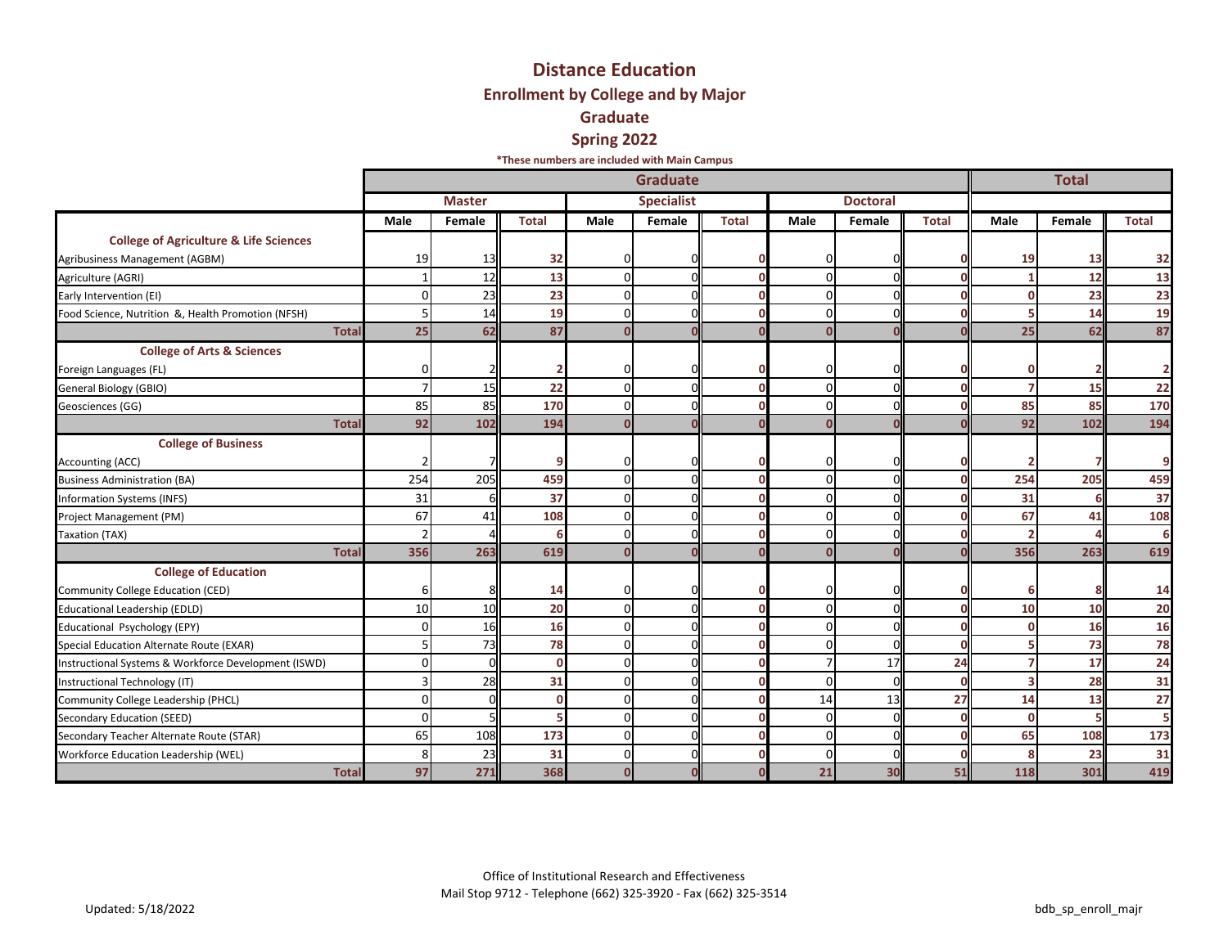## **Distance Education Enrollment by College and by Major Graduate Spring 2022**

**\*These numbers are included with Main Campus**

|                                                      |          |               | <b>Total</b> |                |                   |              |              |                 |              |      |        |              |
|------------------------------------------------------|----------|---------------|--------------|----------------|-------------------|--------------|--------------|-----------------|--------------|------|--------|--------------|
|                                                      |          | <b>Master</b> |              |                | <b>Specialist</b> |              |              | <b>Doctoral</b> |              |      |        |              |
|                                                      | Male     | Female        | <b>Total</b> | Male           | Female            | <b>Total</b> | Male         | Female          | <b>Total</b> | Male | Female | <b>Total</b> |
| <b>College of Agriculture &amp; Life Sciences</b>    |          |               |              |                |                   |              |              |                 |              |      |        |              |
| Agribusiness Management (AGBM)                       | 19       | 13            | 32           | 0              |                   |              | $\Omega$     |                 |              | 19   | 13     | 32           |
| Agriculture (AGRI)                                   |          | 12            | 13           | $\Omega$       |                   |              | $\Omega$     | ſ               |              |      | 12     | 13           |
| Early Intervention (EI)                              | n        | 23            | 23           | $\Omega$       |                   |              | $\Omega$     | C               |              |      | 23     | 23           |
| Food Science, Nutrition &, Health Promotion (NFSH)   |          | 14            | 19           | $\Omega$       |                   |              | $\Omega$     | $\epsilon$      |              |      | 14     | 19           |
| Total                                                | 25       | 62            | 87           | $\Omega$       |                   |              | $\mathbf{0}$ |                 |              | 25   | 62     | 87           |
| <b>College of Arts &amp; Sciences</b>                |          |               |              |                |                   |              |              |                 |              |      |        |              |
| Foreign Languages (FL)                               |          |               |              | 0              |                   |              | $\Omega$     |                 |              |      |        |              |
| General Biology (GBIO)                               |          | 15            | 22           | $\overline{0}$ |                   |              | $\Omega$     | ſ               |              |      | 15     | 22           |
| Geosciences (GG)                                     | 85       | 85            | 170          | $\overline{0}$ |                   |              | $\Omega$     | $\mathcal{C}$   |              | 85   | 85     | 170          |
| <b>Tota</b>                                          | 92       | 102           | 194          | $\Omega$       |                   |              | $\Omega$     |                 |              | 92   | 102    | 194          |
| <b>College of Business</b>                           |          |               |              |                |                   |              |              |                 |              |      |        |              |
| <b>Accounting (ACC)</b>                              |          |               |              | $\Omega$       |                   |              | $\Omega$     |                 |              |      |        | c            |
| <b>Business Administration (BA)</b>                  | 254      | 205           | 459          | $\overline{0}$ |                   |              | $\Omega$     | ſ               |              | 254  | 205    | 459          |
| <b>Information Systems (INFS)</b>                    | 31       |               | 37           | $\Omega$       |                   |              | $\Omega$     | $\mathcal{C}$   |              | 31   |        | 37           |
| Project Management (PM)                              | 67       | 41            | 108          | $\Omega$       |                   |              | $\Omega$     |                 |              | 67   | 41     | 108          |
| Taxation (TAX)                                       |          |               |              | $\Omega$       |                   |              | $\Omega$     | ſ               |              |      |        |              |
| <b>Total</b>                                         | 356      | 263           | 619          | $\Omega$       |                   |              | $\Omega$     |                 |              | 356  | 263    | 619          |
| <b>College of Education</b>                          |          |               |              |                |                   |              |              |                 |              |      |        |              |
| Community College Education (CED)                    | 6        |               | 14           | $\Omega$       |                   |              | $\Omega$     |                 |              |      |        | 14           |
| <b>Educational Leadership (EDLD)</b>                 | 10       | 10            | 20           | $\Omega$       |                   | n            | $\Omega$     | $\mathcal{C}$   |              | 10   | 10     | 20           |
| Educational Psychology (EPY)                         |          | 16            | 16           | $\Omega$       |                   |              | $\Omega$     | ſ               |              |      | 16     | 16           |
| Special Education Alternate Route (EXAR)             |          | 73            | 78           | $\Omega$       |                   |              | $\Omega$     | $\epsilon$      |              |      | 73     | 78           |
| Instructional Systems & Workforce Development (ISWD) |          |               |              | $\Omega$       |                   |              |              | 17              | 24           |      | 17     | 24           |
| Instructional Technology (IT)                        |          | 28            | 31           | $\Omega$       |                   |              | $\Omega$     | $\mathcal{C}$   |              |      | 28     | 31           |
| Community College Leadership (PHCL)                  |          | ŋ             |              | $\Omega$       |                   |              | 14           | 13              | 27           | 14   | 13     | 27           |
| Secondary Education (SEED)                           | $\Omega$ |               |              | $\overline{0}$ |                   |              | $\Omega$     | $\epsilon$      |              | n    |        |              |
| Secondary Teacher Alternate Route (STAR)             | 65       | 108           | 173          | $\Omega$       |                   |              | $\Omega$     | $\epsilon$      |              | 65   | 108    | 173          |
| Workforce Education Leadership (WEL)                 |          | 23            | 31           | $\Omega$       |                   |              | $\Omega$     | ſ               |              |      | 23     | 31           |
| <b>Tota</b>                                          | 97       | 271           | 368          | $\bf{0}$       |                   |              | 21           | 30              | 51           | 118  | 301    | 419          |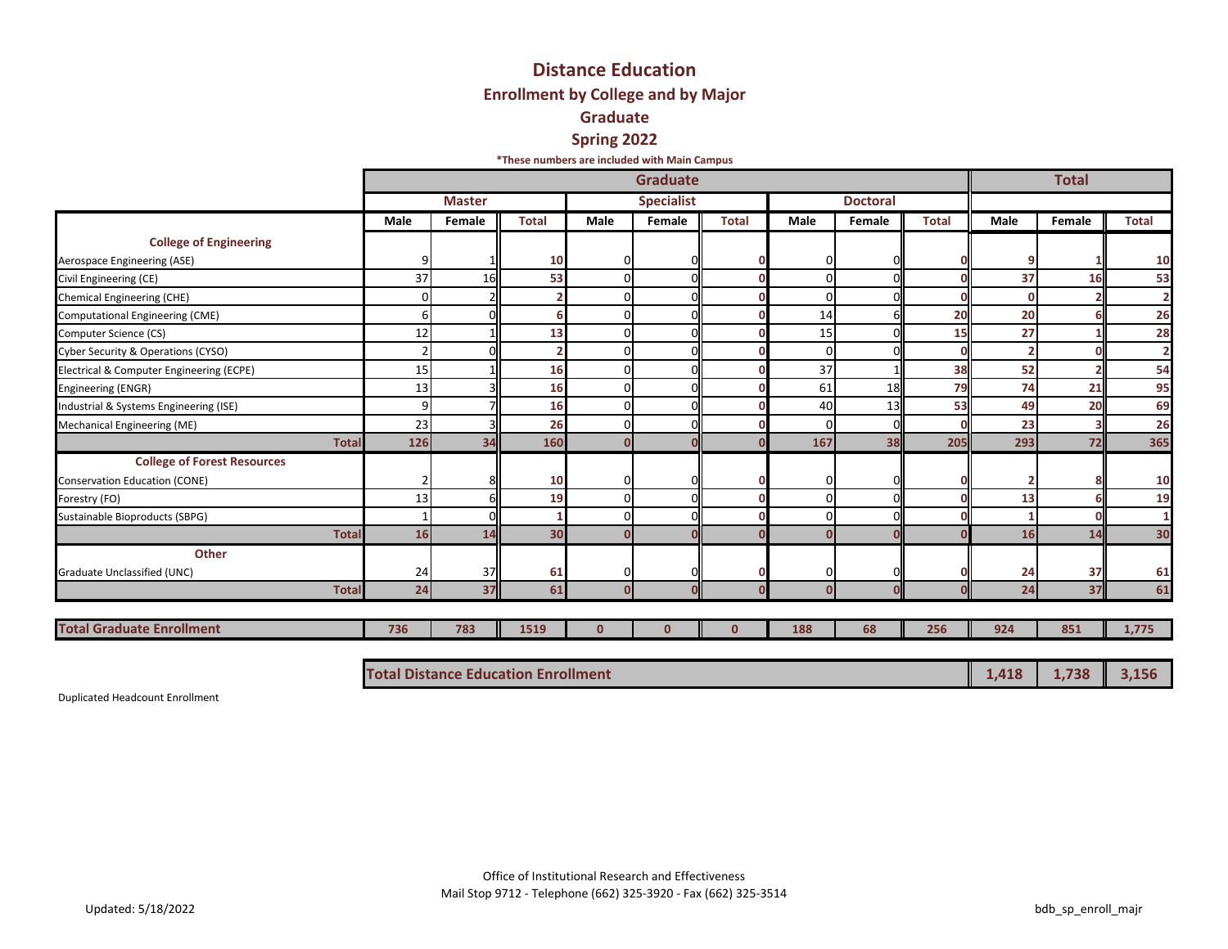## **Distance Education Enrollment by College and by Major Graduate Spring 2022**

**\*These numbers are included with Main Campus**

|                                          |      |               | <b>Total</b> |              |                   |              |          |                 |              |      |        |                |
|------------------------------------------|------|---------------|--------------|--------------|-------------------|--------------|----------|-----------------|--------------|------|--------|----------------|
|                                          |      | <b>Master</b> |              |              | <b>Specialist</b> |              |          | <b>Doctoral</b> |              |      |        |                |
|                                          | Male | Female        | <b>Total</b> | Male         | Female            | <b>Total</b> | Male     | Female          | <b>Total</b> | Male | Female | <b>Total</b>   |
| <b>College of Engineering</b>            |      |               |              |              |                   |              |          |                 |              |      |        |                |
| Aerospace Engineering (ASE)              | 9    |               | 10           | 0            |                   |              | 0        |                 |              |      |        | 10             |
| Civil Engineering (CE)                   | 37   | 16            | 53           |              |                   |              | ŋ        |                 |              | 37   | 16     | 53             |
| <b>Chemical Engineering (CHE)</b>        | O    |               |              |              |                   |              | $\Omega$ |                 |              | O    |        | $\overline{2}$ |
| Computational Engineering (CME)          | 6    |               |              | $\Omega$     |                   |              | 14       |                 | 20           | 20   |        | 26             |
| Computer Science (CS)                    | 12   |               | 13           | 0            |                   |              | 15       |                 | 15           | 27   |        | 28             |
| Cyber Security & Operations (CYSO)       |      |               |              |              |                   |              | $\Omega$ |                 |              |      |        | $\overline{2}$ |
| Electrical & Computer Engineering (ECPE) | 15   |               | 16           |              |                   |              | 37       |                 | 38           | 52   |        | 54             |
| Engineering (ENGR)                       | 13   |               | 16           | $\Omega$     |                   |              | 61       | 18              | 79           | 74   | 21     | 95             |
| Industrial & Systems Engineering (ISE)   | 9    |               | 16           | 0            | $\Omega$          |              | 40       | 13              | 53           | 49   | 20     | 69             |
| Mechanical Engineering (ME)              | 23   |               | 26           | $\Omega$     |                   |              | O        | $\Omega$        |              | 23   |        | 26             |
| <b>Total</b>                             | 126  | 34            | 160          | $\Omega$     |                   |              | 167      | 38              | 205          | 293  | 72     | 365            |
| <b>College of Forest Resources</b>       |      |               |              |              |                   |              |          |                 |              |      |        |                |
| <b>Conservation Education (CONE)</b>     |      |               | 10           | $\Omega$     |                   |              | 0        | O               |              |      |        | 10             |
| Forestry (FO)                            | 13   | 61            | 19           | $\mathbf 0$  | ΩL                |              | $\Omega$ | $\Omega$        |              | 13   |        | 19             |
| Sustainable Bioproducts (SBPG)           |      |               |              |              |                   |              | O        |                 |              |      |        | $\mathbf{1}$   |
| <b>Total</b>                             | 16   | 14            | 30           |              |                   |              |          |                 |              | 16   | 14     | 30             |
| Other                                    |      |               |              |              |                   |              |          |                 |              |      |        |                |
| Graduate Unclassified (UNC)              | 24   | 37            | 61           | <sup>0</sup> |                   |              | O        | C               |              | 24   | 37     | 61             |
| <b>Total</b>                             | 24   | 37            | 61           | $\Omega$     |                   |              | $\Omega$ | $\Omega$        |              | 24   | 37     | 61             |
|                                          |      |               |              |              |                   |              |          |                 |              |      |        |                |
| <b>Total Graduate Enrollment</b>         | 736  | 783           | 1519         | $\mathbf{0}$ | $\mathbf{0}$      | $\mathbf{0}$ | 188      | 68              | 256          | 924  | 851    | 1,775          |
|                                          |      |               |              |              |                   |              |          |                 |              |      |        |                |

| <b>Total Distance Education Enrollment</b> | $1,418$ 1,738 3,156 |  |  |
|--------------------------------------------|---------------------|--|--|
|--------------------------------------------|---------------------|--|--|